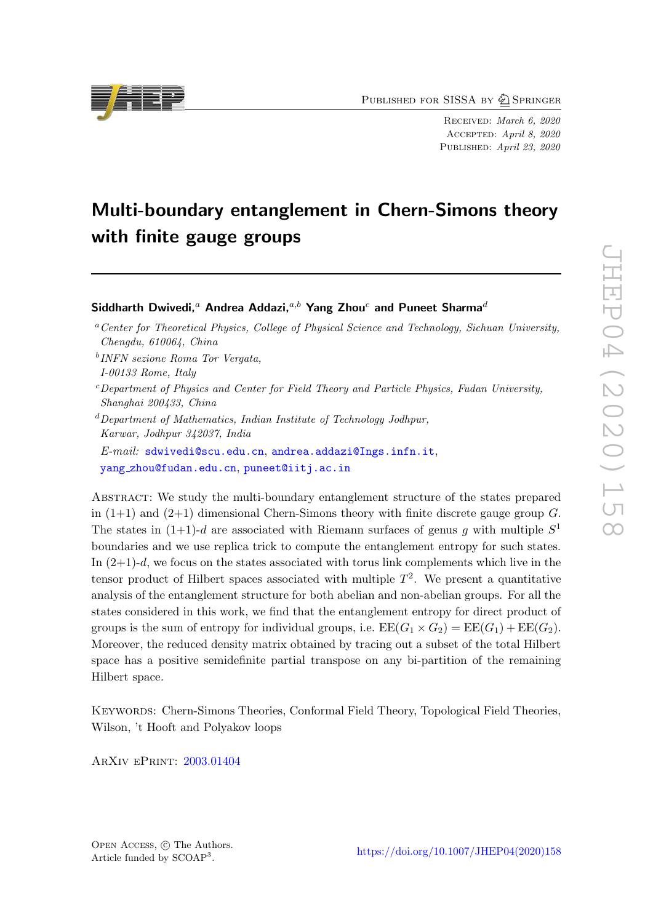PUBLISHED FOR SISSA BY 2 SPRINGER

RECEIVED: March 6, 2020 Accepted : April 8, 2020 PUBLISHED: April 23, 2020

## Multi-boundary entanglement in Chern-Simons theory with finite gauge groups

### Siddharth Dwivedi, $^a$  Andrea Addazi, $^{a,b}$  Yang Zhou $^c$  and Puneet Sharma $^d$

b *INFN sezione Roma Tor Vergata,*

- <sup>c</sup>*Department of Physics and Center for Field Theory and Particle Physics, Fudan University, Shanghai 200433, China*
- <sup>d</sup>*Department of Mathematics, Indian Institute of Technology Jodhpur, Karwar, Jodhpur 342037, India*

*E-mail:* [sdwivedi@scu.edu.cn](mailto:sdwivedi@scu.edu.cn) , [andrea.addazi@Ings.infn.it](mailto:andrea.addazi@Ings.infn.it) , yang [zhou@fudan.edu.cn](mailto:yang_zhou@fudan.edu.cn) , [puneet@iitj.ac.in](mailto:puneet@iitj.ac.in)

Abstract: We study the multi-boundary entanglement structure of the states prepared in  $(1+1)$  and  $(2+1)$  dimensional Chern-Simons theory with finite discrete gauge group G. The states in  $(1+1)-d$  are associated with Riemann surfaces of genus g with multiple  $S<sup>1</sup>$ boundaries and we use replica trick to compute the entanglement entropy for such states. In  $(2+1)-d$ , we focus on the states associated with torus link complements which live in the tensor product of Hilbert spaces associated with multiple  $T^2$ . We present a quantitative analysis of the entanglement structure for both abelian and non-abelian groups. For all the states considered in this work, we find that the entanglement entropy for direct product of groups is the sum of entropy for individual groups, i.e.  $\text{EE}(G_1 \times G_2) = \text{EE}(G_1) + \text{EE}(G_2)$ . Moreover, the reduced density matrix obtained by tracing out a subset of the total Hilbert space has a positive semidefinite partial transpose on any bi-partition of the remaining Hilbert space.

KEYWORDS: Chern-Simons Theories, Conformal Field Theory, Topological Field Theories, Wilson, 't Hooft and Polyakov loops

ArXiv ePrint: [2003.01404](https://arxiv.org/abs/2003.01404)





<sup>a</sup>*Center for Theoretical Physics, College of Physical Science and Technology, Sichuan University, Chengdu, 610064, China*

*I-00133 Rome, Italy*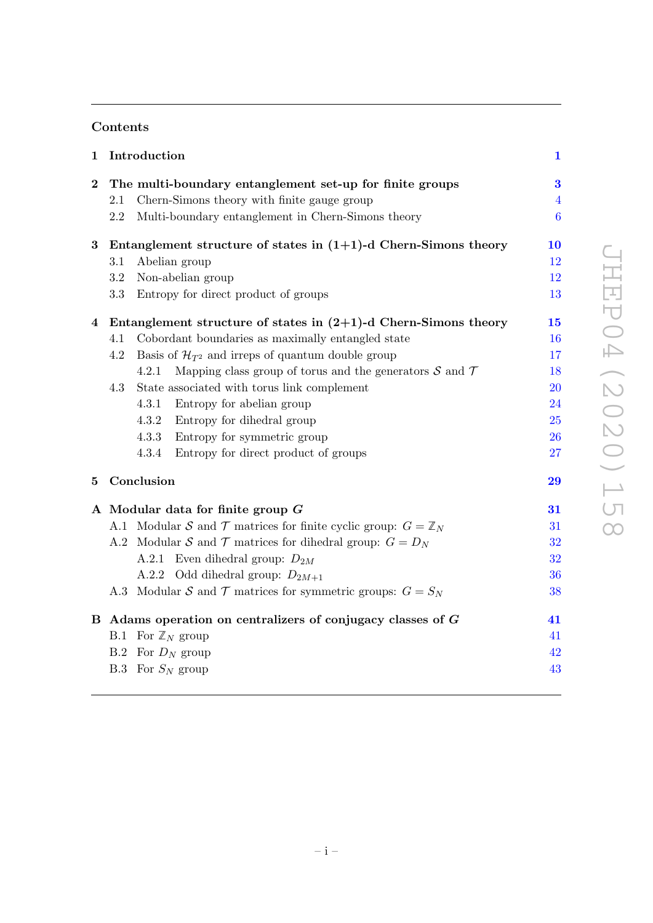## Contents

| 1              |     | Introduction                                                             | $\mathbf{1}$   |
|----------------|-----|--------------------------------------------------------------------------|----------------|
| $\bf{2}$       |     | The multi-boundary entanglement set-up for finite groups                 | 3              |
|                | 2.1 | Chern-Simons theory with finite gauge group                              | $\overline{4}$ |
|                | 2.2 | Multi-boundary entanglement in Chern-Simons theory                       | 6              |
| $\bf{3}$       |     | Entanglement structure of states in $(1+1)$ -d Chern-Simons theory       | 10             |
|                | 3.1 | Abelian group                                                            | 12             |
|                | 3.2 | Non-abelian group                                                        | 12             |
|                | 3.3 | Entropy for direct product of groups                                     | 13             |
| $\overline{4}$ |     | Entanglement structure of states in $(2+1)$ -d Chern-Simons theory       | 15             |
|                | 4.1 | Cobordant boundaries as maximally entangled state                        | 16             |
|                | 4.2 | Basis of $\mathcal{H}_{T^2}$ and irreps of quantum double group          | 17             |
|                |     | Mapping class group of torus and the generators $S$ and $T$<br>4.2.1     | 18             |
|                | 4.3 | State associated with torus link complement                              | 20             |
|                |     | Entropy for abelian group<br>4.3.1                                       | 24             |
|                |     | 4.3.2<br>Entropy for dihedral group                                      | 25             |
|                |     | 4.3.3<br>Entropy for symmetric group                                     | 26             |
|                |     | 4.3.4<br>Entropy for direct product of groups                            | 27             |
| 5              |     | Conclusion                                                               | 29             |
|                |     | A Modular data for finite group $G$                                      | 31             |
|                |     | A.1 Modular S and T matrices for finite cyclic group: $G = \mathbb{Z}_N$ | 31             |
|                |     | A.2 Modular S and T matrices for dihedral group: $G = D_N$               | 32             |
|                |     | A.2.1 Even dihedral group: $D_{2M}$                                      | 32             |
|                |     | A.2.2 Odd dihedral group: $D_{2M+1}$                                     | 36             |
|                |     | A.3 Modular S and T matrices for symmetric groups: $G = S_N$             | 38             |
|                |     | B Adams operation on centralizers of conjugacy classes of $G$            | 41             |
|                |     | B.1 For $\mathbb{Z}_N$ group                                             | 41             |
|                |     | B.2 For $D_N$ group                                                      | 42             |
|                |     | B.3 For $S_N$ group                                                      | 43             |
|                |     |                                                                          |                |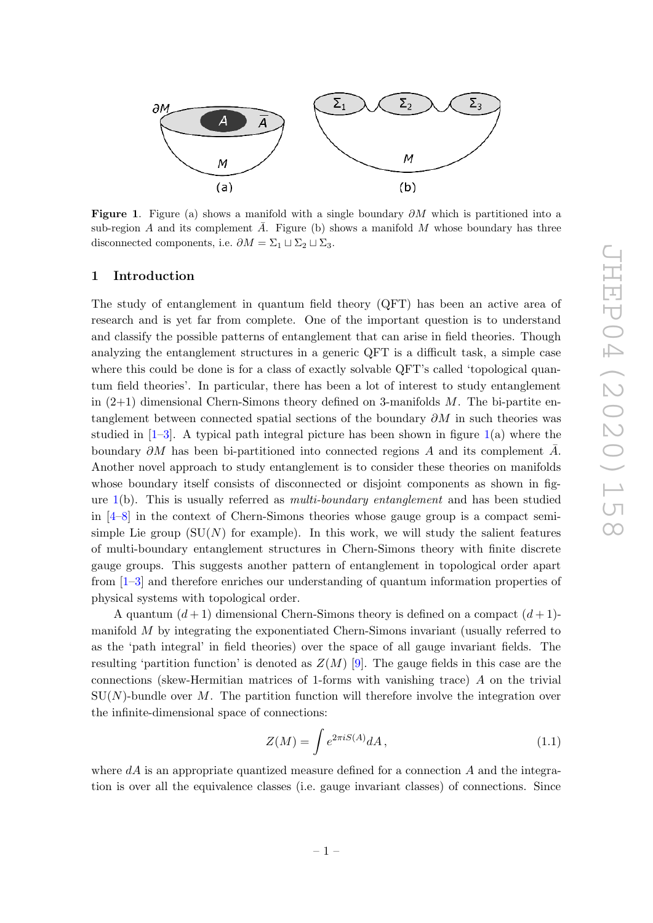

<span id="page-2-1"></span>Figure 1. Figure (a) shows a manifold with a single boundary  $\partial M$  which is partitioned into a sub-region A and its complement  $\overline{A}$ . Figure (b) shows a manifold M whose boundary has three disconnected components, i.e.  $\partial M = \Sigma_1 \sqcup \Sigma_2 \sqcup \Sigma_3$ .

#### <span id="page-2-0"></span>1 Introduction

The study of entanglement in quantum field theory (QFT) has been an active area of research and is yet far from complete. One of the important question is to understand and classify the possible patterns of entanglement that can arise in field theories. Though analyzing the entanglement structures in a generic QFT is a difficult task, a simple case where this could be done is for a class of exactly solvable QFT's called 'topological quantum field theories'. In particular, there has been a lot of interest to study entanglement in (2+1) dimensional Chern-Simons theory defined on 3-manifolds M. The bi-partite entanglement between connected spatial sections of the boundary  $\partial M$  in such theories was studied in [ [1](#page-46-0) – [3\]](#page-47-0). A typical path integral picture has been shown in figure [1\(](#page-2-1)a) where the boundary  $\partial M$  has been bi-partitioned into connected regions A and its complement  $\overline{A}$ . Another novel approach to study entanglement is to consider these theories on manifolds whose boundary itself consists of disconnected or disjoint components as shown in figure [1\(](#page-2-1)b). This is usually referred as *multi-boundary entanglement* and has been studied in [ [4](#page-47-1) – [8\]](#page-47-2) in the context of Chern-Simons theories whose gauge group is a compact semisimple Lie group  $(SU(N))$  for example). In this work, we will study the salient features of multi-boundary entanglement structures in Chern-Simons theory with finite discrete gauge groups. This suggests another pattern of entanglement in topological order apart from [ [1](#page-46-0) – [3\]](#page-47-0) and therefore enriches our understanding of quantum information properties of physical systems with topological order.

A quantum  $(d+1)$  dimensional Chern-Simons theory is defined on a compact  $(d+1)$ manifold M by integrating the exponentiated Chern-Simons invariant (usually referred to as the 'path integral' in field theories) over the space of all gauge invariant fields. The resulting 'partition function' is denoted as  $Z(M)$  [[9\]](#page-47-3). The gauge fields in this case are the connections (skew-Hermitian matrices of 1-forms with vanishing trace) A on the trivial  $SU(N)$ -bundle over M. The partition function will therefore involve the integration over the infinite-dimensional space of connections:

$$
Z(M) = \int e^{2\pi i S(A)} dA, \qquad (1.1)
$$

where  $dA$  is an appropriate quantized measure defined for a connection  $A$  and the integration is over all the equivalence classes (i.e. gauge invariant classes) of connections. Since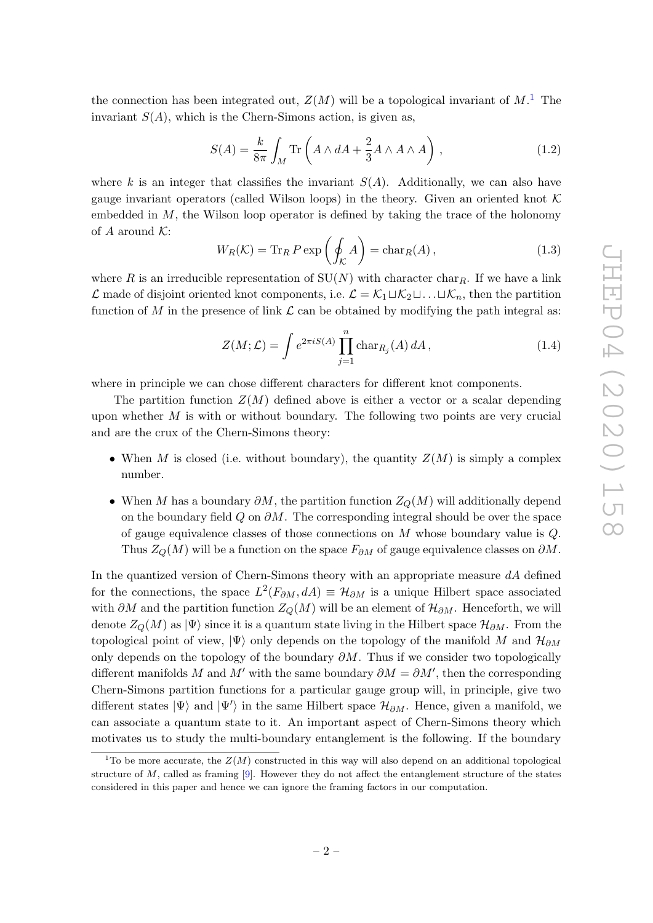the connection has been integrated out,  $Z(M)$  will be a topological invariant of  $M$ <sup>[1](#page-3-0)</sup>. The invariant  $S(A)$ , which is the Chern-Simons action, is given as,

<span id="page-3-1"></span>
$$
S(A) = \frac{k}{8\pi} \int_M \text{Tr}\left(A \wedge dA + \frac{2}{3}A \wedge A \wedge A\right),\tag{1.2}
$$

where k is an integer that classifies the invariant  $S(A)$ . Additionally, we can also have gauge invariant operators (called Wilson loops) in the theory. Given an oriented knot K embedded in M, the Wilson loop operator is defined by taking the trace of the holonomy of A around  $K$ :

$$
W_R(\mathcal{K}) = \text{Tr}_R P \exp\left(\oint_{\mathcal{K}} A\right) = \text{char}_R(A),\tag{1.3}
$$

where R is an irreducible representation of  $SU(N)$  with character char<sub>R</sub>. If we have a link  $\mathcal{L}$  made of disjoint oriented knot components, i.e.  $\mathcal{L} = \mathcal{K}_1 \sqcup \mathcal{K}_2 \sqcup \ldots \sqcup \mathcal{K}_n$ , then the partition function of M in the presence of link  $\mathcal L$  can be obtained by modifying the path integral as:

$$
Z(M; \mathcal{L}) = \int e^{2\pi i S(A)} \prod_{j=1}^{n} \text{char}_{R_j}(A) dA, \qquad (1.4)
$$

where in principle we can chose different characters for different knot components.

The partition function  $Z(M)$  defined above is either a vector or a scalar depending upon whether M is with or without boundary. The following two points are very crucial and are the crux of the Chern-Simons theory:

- When M is closed (i.e. without boundary), the quantity  $Z(M)$  is simply a complex number.
- When M has a boundary  $\partial M$ , the partition function  $Z_Q(M)$  will additionally depend on the boundary field  $Q$  on  $\partial M$ . The corresponding integral should be over the space of gauge equivalence classes of those connections on M whose boundary value is Q . Thus  $Z_Q(M)$  will be a function on the space  $F_{\partial M}$  of gauge equivalence classes on  $\partial M$ .

In the quantized version of Chern-Simons theory with an appropriate measure  $dA$  defined for the connections, the space  $L^2(F_{\partial M}, dA) \equiv \mathcal{H}_{\partial M}$  is a unique Hilbert space associated with  $\partial M$  and the partition function  $Z_Q(M)$  will be an element of  $\mathcal{H}_{\partial M}$ . Henceforth, we will denote  $Z_Q(M)$  as  $|\Psi\rangle$  since it is a quantum state living in the Hilbert space  $\mathcal{H}_{\partial M}$ . From the topological point of view,  $|\Psi\rangle$  only depends on the topology of the manifold M and  $\mathcal{H}_{\partial M}$ only depends on the topology of the boundary  $\partial M$ . Thus if we consider two topologically different manifolds M and M' with the same boundary  $\partial M = \partial M'$ , then the corresponding Chern-Simons partition functions for a particular gauge group will, in principle, give two different states  $|\Psi\rangle$  and  $|\Psi'\rangle$  in the same Hilbert space  $\mathcal{H}_{\partial M}$ . Hence, given a manifold, we can associate a quantum state to it. An important aspect of Chern-Simons theory which motivates us to study the multi-boundary entanglement is the following. If the boundary

<span id="page-3-0"></span><sup>&</sup>lt;sup>1</sup>To be more accurate, the  $Z(M)$  constructed in this way will also depend on an additional topological structure of M, called as framing [ [9\]](#page-47-3). However they do not affect the entanglement structure of the states considered in this paper and hence we can ignore the framing factors in our computation.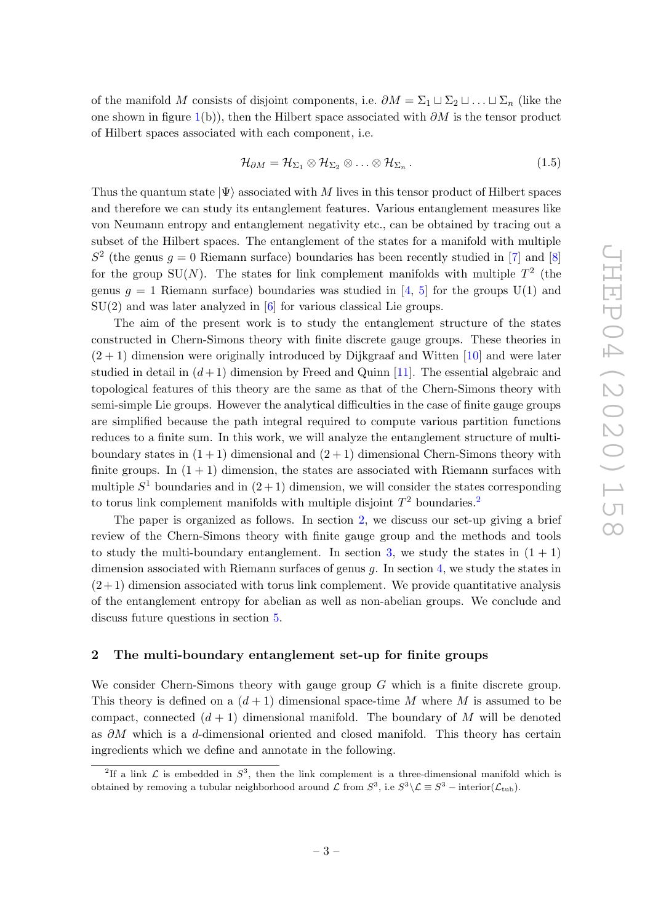of the manifold M consists of disjoint components, i.e.  $\partial M = \Sigma_1 \sqcup \Sigma_2 \sqcup \ldots \sqcup \Sigma_n$  (like the one shown in figure  $1(b)$  $1(b)$ ), then the Hilbert space associated with  $\partial M$  is the tensor product of Hilbert spaces associated with each component, i.e.

$$
\mathcal{H}_{\partial M} = \mathcal{H}_{\Sigma_1} \otimes \mathcal{H}_{\Sigma_2} \otimes \ldots \otimes \mathcal{H}_{\Sigma_n} \,.
$$
 (1.5)

Thus the quantum state  $|\Psi\rangle$  associated with M lives in this tensor product of Hilbert spaces and therefore we can study its entanglement features. Various entanglement measures like von Neumann entropy and entanglement negativity etc., can be obtained by tracing out a subset of the Hilbert spaces. The entanglement of the states for a manifold with multiple  $S<sup>2</sup>$  (the genus  $g = 0$  Riemann surface) boundaries has been recently studied in [[7\]](#page-47-4) and [[8](#page-47-2)] for the group SU(N). The states for link complement manifolds with multiple  $T^2$  (the genus  $g = 1$  Riemann surface) boundaries was studied in [[4](#page-47-1), [5\]](#page-47-5) for the groups  $U(1)$  and  $SU(2)$  and was later analyzed in  $[6]$  $[6]$  for various classical Lie groups.

The aim of the present work is to study the entanglement structure of the states constructed in Chern-Simons theory with finite discrete gauge groups. These theories in  $(2 + 1)$  dimension were originally introduced by Dijkgraaf and Witten [\[10\]](#page-47-7) and were later studied in detail in  $(d+1)$  dimension by Freed and Quinn [\[11\]](#page-47-8). The essential algebraic and topological features of this theory are the same as that of the Chern-Simons theory with semi-simple Lie groups. However the analytical difficulties in the case of finite gauge groups are simplified because the path integral required to compute various partition functions reduces to a finite sum. In this work, we will analyze the entanglement structure of multiboundary states in  $(1 + 1)$  dimensional and  $(2 + 1)$  dimensional Chern-Simons theory with finite groups. In  $(1 + 1)$  dimension, the states are associated with Riemann surfaces with multiple  $S^1$  boundaries and in  $(2+1)$  dimension, we will consider the states corresponding to torus link complement manifolds with multiple disjoint  $T^2$  $T^2$  boundaries.<sup>2</sup>

The paper is organized as follows. In section [2,](#page-4-0) we discuss our set-up giving a brief review of the Chern-Simons theory with finite gauge group and the methods and tools to study the multi-boundary entanglement. In section [3,](#page-11-0) we study the states in  $(1 + 1)$ dimension associated with Riemann surfaces of genus g. In section [4,](#page-16-0) we study the states in  $(2+1)$  dimension associated with torus link complement. We provide quantitative analysis of the entanglement entropy for abelian as well as non-abelian groups. We conclude and discuss future questions in section [5](#page-30-0) .

#### <span id="page-4-0"></span>2 The multi-boundary entanglement set-up for finite groups

We consider Chern-Simons theory with gauge group G which is a finite discrete group. This theory is defined on a  $(d+1)$  dimensional space-time M where M is assumed to be compact, connected  $(d+1)$  dimensional manifold. The boundary of M will be denoted as ∂M which is a d-dimensional oriented and closed manifold. This theory has certain ingredients which we define and annotate in the following.

<span id="page-4-1"></span><sup>&</sup>lt;sup>2</sup>If a link  $\mathcal L$  is embedded in  $S^3$ , then the link complement is a three-dimensional manifold which is obtained by removing a tubular neighborhood around  $\mathcal L$  from  $S^3$ , i.e  $S^3 \setminus \mathcal L \equiv S^3$  – interior( $\mathcal L_{\text{tub}}$ ).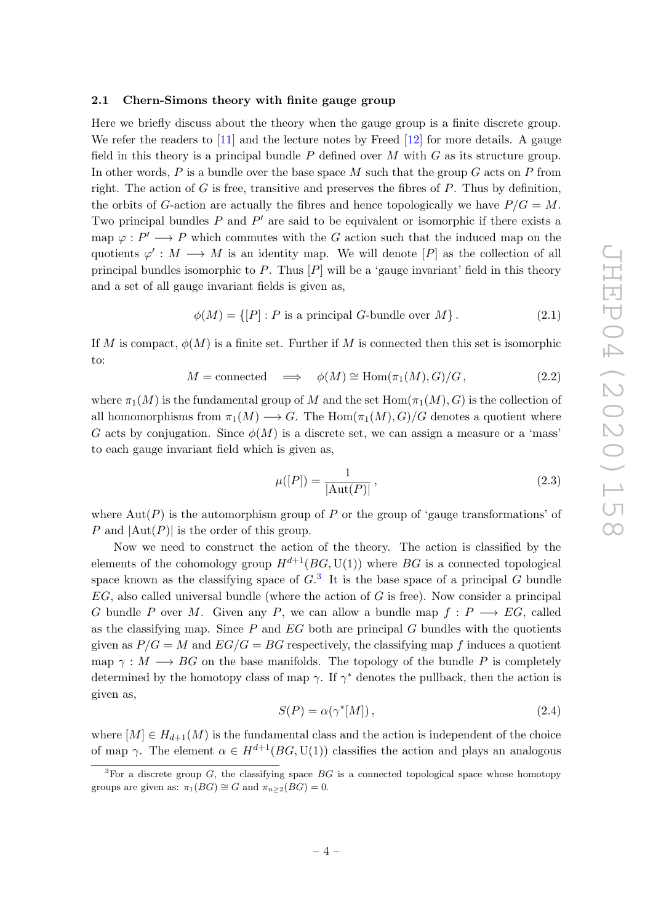#### <span id="page-5-0"></span>2.1 Chern-Simons theory with finite gauge group

Here we briefly discuss about the theory when the gauge group is a finite discrete group. We refer the readers to [\[11\]](#page-47-8) and the lecture notes by Freed [\[12\]](#page-47-9) for more details. A gauge field in this theory is a principal bundle  $P$  defined over  $M$  with  $G$  as its structure group. In other words, P is a bundle over the base space M such that the group G acts on P from right. The action of  $G$  is free, transitive and preserves the fibres of  $P$ . Thus by definition, the orbits of G-action are actually the fibres and hence topologically we have  $P/G = M$ . Two principal bundles  $P$  and  $P'$  are said to be equivalent or isomorphic if there exists a map  $\varphi: P' \longrightarrow P$  which commutes with the G action such that the induced map on the quotients  $\varphi' : M \longrightarrow M$  is an identity map. We will denote  $[P]$  as the collection of all principal bundles isomorphic to P. Thus  $[P]$  will be a 'gauge invariant' field in this theory and a set of all gauge invariant fields is given as,

$$
\phi(M) = \{ [P] : P \text{ is a principal } G\text{-bundle over } M \}. \tag{2.1}
$$

If M is compact,  $\phi(M)$  is a finite set. Further if M is connected then this set is isomorphic to:

$$
M = \text{connected} \quad \Longrightarrow \quad \phi(M) \cong \text{Hom}(\pi_1(M), G)/G, \tag{2.2}
$$

where  $\pi_1(M)$  is the fundamental group of  $M$  and the set  $\mathrm{Hom}(\pi_1(M), G)$  is the collection of all homomorphisms from  $\pi_1(M) \longrightarrow G$ . The  $\text{Hom}(\pi_1(M), G)/G$  denotes a quotient where G acts by conjugation. Since  $\phi(M)$  is a discrete set, we can assign a measure or a 'mass' to each gauge invariant field which is given as,

$$
\mu([P]) = \frac{1}{|\text{Aut}(P)|},
$$
\n(2.3)

where  $\text{Aut}(P)$  is the automorphism group of P or the group of 'gauge transformations' of P and  $|\text{Aut}(P)|$  is the order of this group.

Now we need to construct the action of the theory. The action is classified by the elements of the cohomology group  $H^{d+1}(BG, \mathrm{U}(1))$  where  $BG$  is a connected topological space known as the classifying space of  $G<sup>3</sup>$  $G<sup>3</sup>$  $G<sup>3</sup>$ . It is the base space of a principal G bundle  $EG$ , also called universal bundle (where the action of  $G$  is free). Now consider a principal G bundle P over M. Given any P, we can allow a bundle map  $f: P \longrightarrow EG$ , called as the classifying map. Since  $P$  and  $EG$  both are principal  $G$  bundles with the quotients given as  $P/G = M$  and  $EG/G = BG$  respectively, the classifying map f induces a quotient map  $\gamma: M \longrightarrow BG$  on the base manifolds. The topology of the bundle P is completely determined by the homotopy class of map  $\gamma$ . If  $\gamma^*$  denotes the pullback, then the action is given as,

<span id="page-5-2"></span>
$$
S(P) = \alpha(\gamma^*[M]),\tag{2.4}
$$

where  $[M] \in H_{d+1}(M)$  is the fundamental class and the action is independent of the choice of map  $\gamma$ . The element  $\alpha \in H^{d+1}(BG, \mathrm{U}(1))$  classifies the action and plays an analogous

<span id="page-5-1"></span><sup>&</sup>lt;sup>3</sup>For a discrete group  $G$ , the classifying space  $BG$  is a connected topological space whose homotopy groups are given as:  $\pi_1(BG) \cong G$  and  $\pi_{n \geq 2}(BG) = 0$ .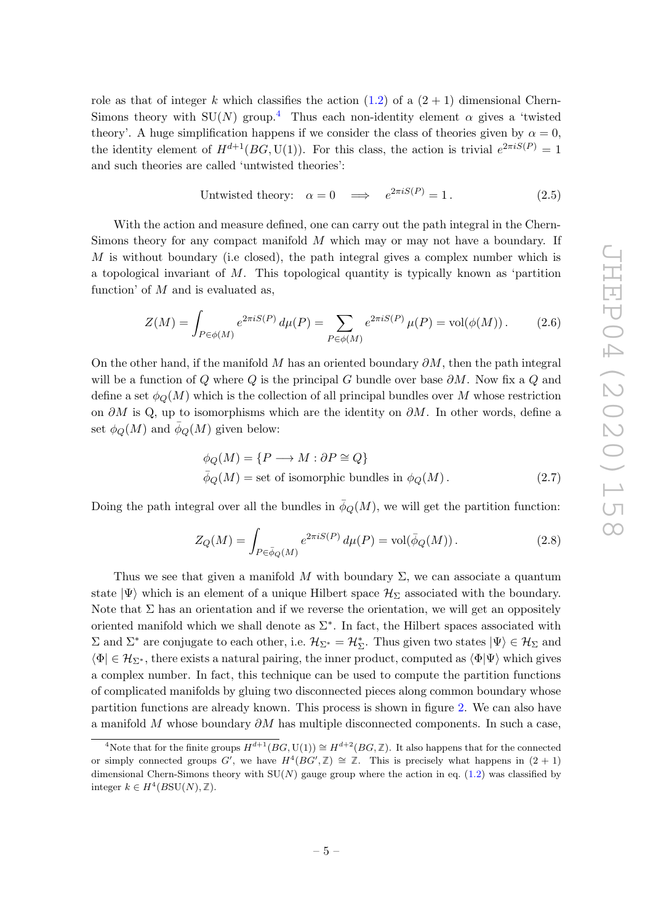role as that of integer k which classifies the action  $(1.2)$  of a  $(2 + 1)$  dimensional Chern-Simons theory with  $SU(N)$  group.<sup>[4](#page-6-0)</sup> Thus each non-identity element  $\alpha$  gives a 'twisted theory'. A huge simplification happens if we consider the class of theories given by  $\alpha = 0$ , the identity element of  $H^{d+1}(BG, U(1))$ . For this class, the action is trivial  $e^{2\pi i S(P)} = 1$ and such theories are called 'untwisted theories':

<span id="page-6-1"></span>Untwisted theory:

\n
$$
\alpha = 0 \quad \Longrightarrow \quad e^{2\pi i S(P)} = 1. \tag{2.5}
$$

With the action and measure defined, one can carry out the path integral in the Chern-Simons theory for any compact manifold M which may or may not have a boundary. If  $M$  is without boundary (i.e closed), the path integral gives a complex number which is a topological invariant of M. This topological quantity is typically known as 'partition function' of  $M$  and is evaluated as,

$$
Z(M) = \int_{P \in \phi(M)} e^{2\pi i S(P)} d\mu(P) = \sum_{P \in \phi(M)} e^{2\pi i S(P)} \mu(P) = \text{vol}(\phi(M)).
$$
 (2.6)

On the other hand, if the manifold M has an oriented boundary  $\partial M$ , then the path integral will be a function of Q where Q is the principal G bundle over base  $\partial M$ . Now fix a Q and define a set  $\phi_Q(M)$  which is the collection of all principal bundles over M whose restriction on  $\partial M$  is Q, up to isomorphisms which are the identity on  $\partial M$ . In other words, define a set  $\phi_Q(M)$  and  $\bar{\phi}_Q(M)$  given below:

$$
\phi_Q(M) = \{ P \longrightarrow M : \partial P \cong Q \}
$$
  

$$
\bar{\phi}_Q(M) = \text{set of isomorphic bundles in } \phi_Q(M).
$$
 (2.7)

Doing the path integral over all the bundles in  $\bar{\phi}_Q(M)$ , we will get the partition function:

$$
Z_Q(M) = \int_{P \in \bar{\phi}_Q(M)} e^{2\pi i S(P)} d\mu(P) = \text{vol}(\bar{\phi}_Q(M)). \tag{2.8}
$$

Thus we see that given a manifold M with boundary  $\Sigma$ , we can associate a quantum state  $|\Psi\rangle$  which is an element of a unique Hilbert space  $\mathcal{H}_{\Sigma}$  associated with the boundary. Note that  $\Sigma$  has an orientation and if we reverse the orientation, we will get an oppositely oriented manifold which we shall denote as  $\Sigma^*$ . In fact, the Hilbert spaces associated with  $\Sigma$  and  $\Sigma^*$  are conjugate to each other, i.e.  $\mathcal{H}_{\Sigma^*} = \mathcal{H}_{\Sigma}^*$ . Thus given two states  $|\Psi\rangle \in \mathcal{H}_{\Sigma}$  and  $\langle \Phi | \in \mathcal{H}_{\Sigma^*}$ , there exists a natural pairing, the inner product, computed as  $\langle \Phi | \Psi \rangle$  which gives a complex number. In fact, this technique can be used to compute the partition functions of complicated manifolds by gluing two disconnected pieces along common boundary whose partition functions are already known. This process is shown in figure [2.](#page-7-1) We can also have a manifold M whose boundary  $\partial M$  has multiple disconnected components. In such a case,

<span id="page-6-0"></span><sup>&</sup>lt;sup>4</sup>Note that for the finite groups  $H^{d+1}(BG, U(1)) \cong H^{d+2}(BG, \mathbb{Z})$ . It also happens that for the connected or simply connected groups G', we have  $H^4(BG', \mathbb{Z}) \cong \mathbb{Z}$ . This is precisely what happens in  $(2 + 1)$ dimensional Chern-Simons theory with  $SU(N)$  gauge group where the action in eq. [\(1.2\)](#page-3-1) was classified by integer  $k \in H^4(BSU(N),\mathbb{Z})$ .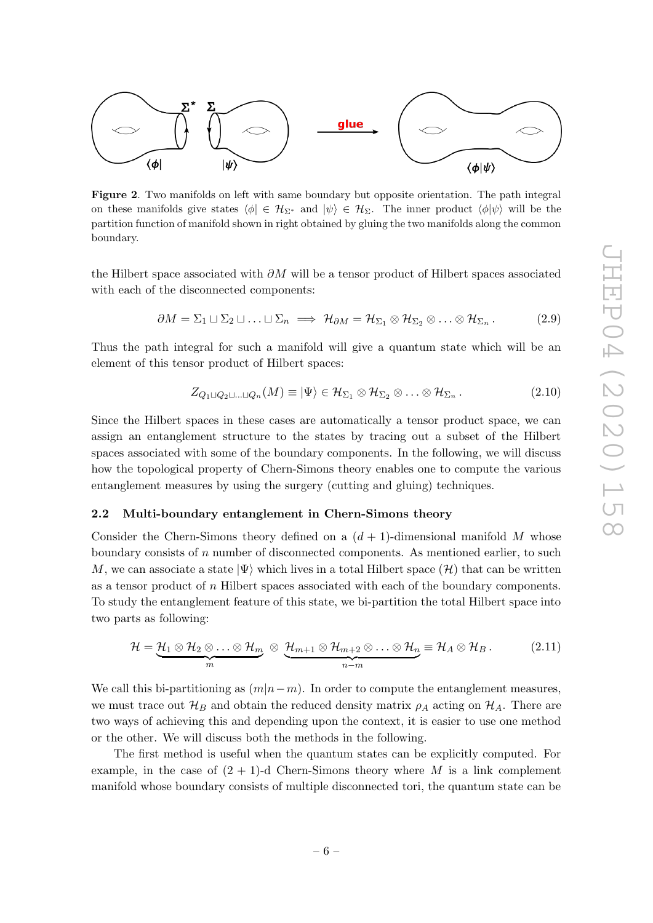

<span id="page-7-1"></span>Figure 2. Two manifolds on left with same boundary but opposite orientation. The path integral on these manifolds give states  $\langle \phi | \in \mathcal{H}_{\Sigma^*}$  and  $|\psi \rangle \in \mathcal{H}_{\Sigma}$ . The inner product  $\langle \phi | \psi \rangle$  will be the partition function of manifold shown in right obtained by gluing the two manifolds along the common boundary.

the Hilbert space associated with  $\partial M$  will be a tensor product of Hilbert spaces associated with each of the disconnected components:

$$
\partial M = \Sigma_1 \sqcup \Sigma_2 \sqcup \ldots \sqcup \Sigma_n \implies \mathcal{H}_{\partial M} = \mathcal{H}_{\Sigma_1} \otimes \mathcal{H}_{\Sigma_2} \otimes \ldots \otimes \mathcal{H}_{\Sigma_n}.
$$
 (2.9)

Thus the path integral for such a manifold will give a quantum state which will be an element of this tensor product of Hilbert spaces:

$$
Z_{Q_1 \sqcup Q_2 \sqcup \ldots \sqcup Q_n}(M) \equiv |\Psi\rangle \in \mathcal{H}_{\Sigma_1} \otimes \mathcal{H}_{\Sigma_2} \otimes \ldots \otimes \mathcal{H}_{\Sigma_n}.
$$
\n(2.10)

Since the Hilbert spaces in these cases are automatically a tensor product space, we can assign an entanglement structure to the states by tracing out a subset of the Hilbert spaces associated with some of the boundary components. In the following, we will discuss how the topological property of Chern-Simons theory enables one to compute the various entanglement measures by using the surgery (cutting and gluing) techniques.

#### <span id="page-7-0"></span>2.2 Multi-boundary entanglement in Chern-Simons theory

Consider the Chern-Simons theory defined on a  $(d+1)$ -dimensional manifold M whose boundary consists of *n* number of disconnected components. As mentioned earlier, to such M, we can associate a state  $|\Psi\rangle$  which lives in a total Hilbert space  $(\mathcal{H})$  that can be written as a tensor product of n Hilbert spaces associated with each of the boundary components. To study the entanglement feature of this state, we bi-partition the total Hilbert space into two parts as following:

$$
\mathcal{H} = \underbrace{\mathcal{H}_1 \otimes \mathcal{H}_2 \otimes \ldots \otimes \mathcal{H}_m}_{m} \otimes \underbrace{\mathcal{H}_{m+1} \otimes \mathcal{H}_{m+2} \otimes \ldots \otimes \mathcal{H}_n}_{n-m} \equiv \mathcal{H}_A \otimes \mathcal{H}_B. \tag{2.11}
$$

We call this bi-partitioning as  $(m|n-m)$ . In order to compute the entanglement measures, we must trace out  $\mathcal{H}_B$  and obtain the reduced density matrix  $\rho_A$  acting on  $\mathcal{H}_A$ . There are two ways of achieving this and depending upon the context, it is easier to use one method or the other. We will discuss both the methods in the following.

The first method is useful when the quantum states can be explicitly computed. For example, in the case of  $(2 + 1)$ -d Chern-Simons theory where M is a link complement manifold whose boundary consists of multiple disconnected tori, the quantum state can be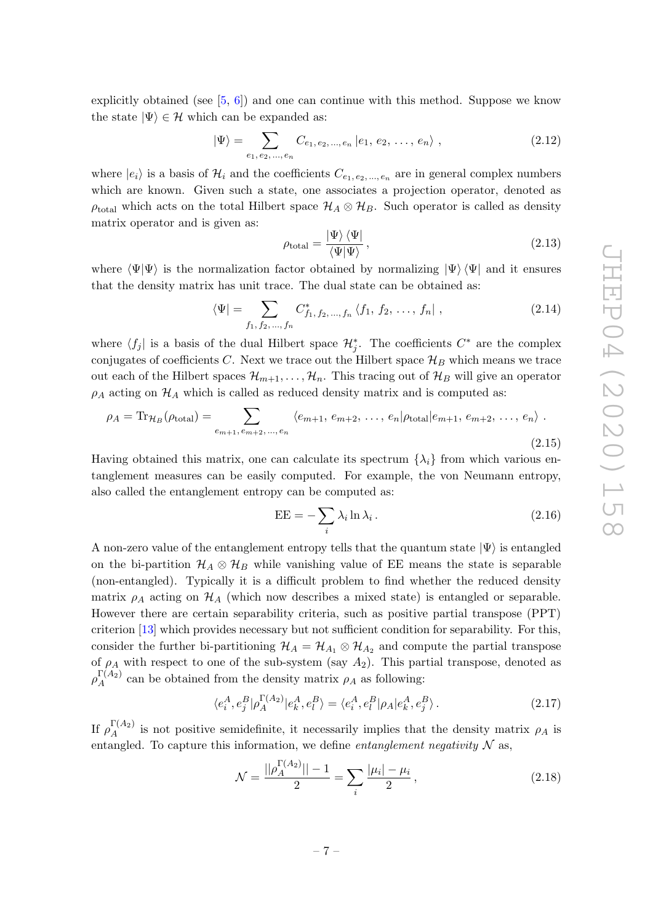explicitly obtained (see [[5](#page-47-5), [6\]](#page-47-6)) and one can continue with this method. Suppose we know the state  $|\Psi\rangle \in \mathcal{H}$  which can be expanded as:

$$
|\Psi\rangle = \sum_{e_1, e_2, ..., e_n} C_{e_1, e_2, ..., e_n} |e_1, e_2, ..., e_n\rangle ,
$$
 (2.12)

where  $|e_i\rangle$  is a basis of  $\mathcal{H}_i$  and the coefficients  $C_{e_1, e_2, ..., e_n}$  are in general complex numbers which are known. Given such a state, one associates a projection operator, denoted as  $\rho_{\text{total}}$  which acts on the total Hilbert space  $\mathcal{H}_A \otimes \mathcal{H}_B$ . Such operator is called as density matrix operator and is given as:

$$
\rho_{\text{total}} = \frac{|\Psi\rangle\langle\Psi|}{\langle\Psi|\Psi\rangle},\tag{2.13}
$$

where  $\langle \Psi | \Psi \rangle$  is the normalization factor obtained by normalizing  $| \Psi \rangle \langle \Psi |$  and it ensures that the density matrix has unit trace. The dual state can be obtained as:

$$
\langle \Psi | = \sum_{f_1, f_2, \dots, f_n} C_{f_1, f_2, \dots, f_n}^* \langle f_1, f_2, \dots, f_n | , \qquad (2.14)
$$

where  $\langle f_j |$  is a basis of the dual Hilbert space  $\mathcal{H}_j^*$ . The coefficients  $C^*$  are the complex conjugates of coefficients C. Next we trace out the Hilbert space  $\mathcal{H}_B$  which means we trace out each of the Hilbert spaces  $\mathcal{H}_{m+1}, \ldots, \mathcal{H}_n$ . This tracing out of  $\mathcal{H}_B$  will give an operator  $\rho_A$  acting on  $\mathcal{H}_A$  which is called as reduced density matrix and is computed as:

$$
\rho_A = \text{Tr}_{\mathcal{H}_B}(\rho_{\text{total}}) = \sum_{e_{m+1}, e_{m+2}, \dots, e_n} \langle e_{m+1}, e_{m+2}, \dots, e_n | \rho_{\text{total}} | e_{m+1}, e_{m+2}, \dots, e_n \rangle.
$$
\n(2.15)

Having obtained this matrix, one can calculate its spectrum  $\{\lambda_i\}$  from which various entanglement measures can be easily computed. For example, the von Neumann entropy, also called the entanglement entropy can be computed as:

$$
EE = -\sum_{i} \lambda_i \ln \lambda_i.
$$
 (2.16)

A non-zero value of the entanglement entropy tells that the quantum state  $|\Psi\rangle$  is entangled on the bi-partition  $\mathcal{H}_A \otimes \mathcal{H}_B$  while vanishing value of EE means the state is separable (non-entangled). Typically it is a difficult problem to find whether the reduced density matrix  $\rho_A$  acting on  $\mathcal{H}_A$  (which now describes a mixed state) is entangled or separable. However there are certain separability criteria, such as positive partial transpose (PPT) criterion [\[13\]](#page-47-10) which provides necessary but not sufficient condition for separability. For this, consider the further bi-partitioning  $\mathcal{H}_A = \mathcal{H}_{A_1} \otimes \mathcal{H}_{A_2}$  and compute the partial transpose of  $\rho_A$  with respect to one of the sub-system (say  $A_2$ ). This partial transpose, denoted as  $\rho_A^{\Gamma(A_2)}$  $A^{(A_2)}$  can be obtained from the density matrix  $\rho_A$  as following:

$$
\langle e_i^A, e_j^B | \rho_A^{\Gamma(A_2)} | e_k^A, e_l^B \rangle = \langle e_i^A, e_l^B | \rho_A | e_k^A, e_j^B \rangle. \tag{2.17}
$$

If  $\rho_A^{\Gamma(A_2)}$  $A^{(A_2)}$  is not positive semidefinite, it necessarily implies that the density matrix  $\rho_A$  is entangled. To capture this information, we define *entanglement negativity*  $N$  as,

<span id="page-8-0"></span>
$$
\mathcal{N} = \frac{||\rho_A^{\Gamma(A_2)}|| - 1}{2} = \sum_{i} \frac{|\mu_i| - \mu_i}{2},
$$
\n(2.18)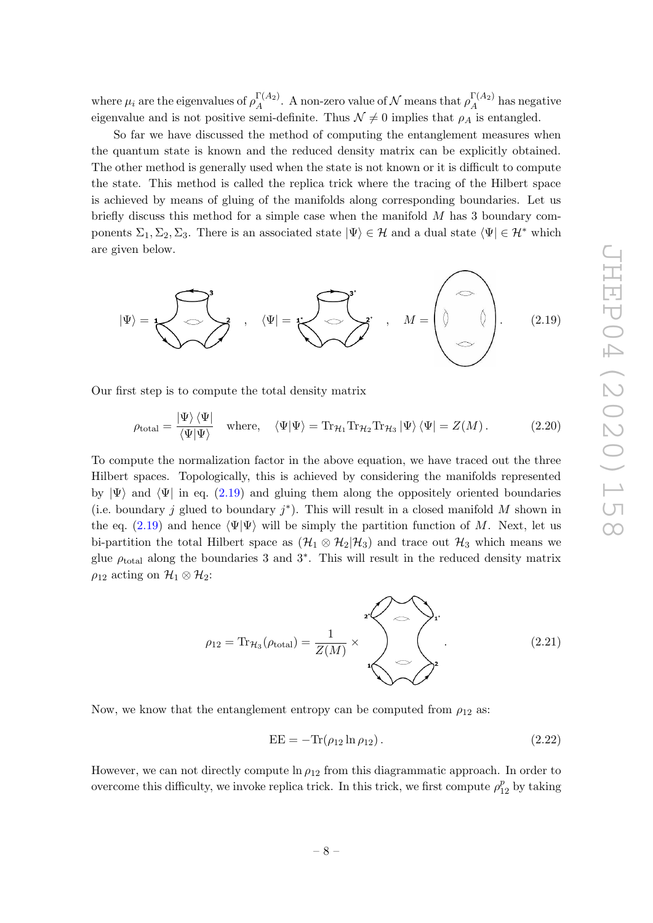where  $\mu_i$  are the eigenvalues of  $\rho_A^{\Gamma(A_2)}$  $\Gamma(A_2)$ . A non-zero value of N means that  $\rho_A^{\Gamma(A_2)}$  $n_A^{(A_2)}$  has negative eigenvalue and is not positive semi-definite. Thus  $\mathcal{N} \neq 0$  implies that  $\rho_A$  is entangled.

So far we have discussed the method of computing the entanglement measures when the quantum state is known and the reduced density matrix can be explicitly obtained. The other method is generally used when the state is not known or it is difficult to compute the state. This method is called the replica trick where the tracing of the Hilbert space is achieved by means of gluing of the manifolds along corresponding boundaries. Let us briefly discuss this method for a simple case when the manifold M has 3 boundary components  $\Sigma_1, \Sigma_2, \Sigma_3$ . There is an associated state  $|\Psi\rangle \in \mathcal{H}$  and a dual state  $\langle \Psi | \in \mathcal{H}^*$  which are given below.



Our first step is to compute the total density matrix

<span id="page-9-0"></span>
$$
\rho_{\text{total}} = \frac{|\Psi\rangle\langle\Psi|}{\langle\Psi|\Psi\rangle} \quad \text{where,} \quad \langle\Psi|\Psi\rangle = \text{Tr}_{\mathcal{H}_1} \text{Tr}_{\mathcal{H}_2} \text{Tr}_{\mathcal{H}_3} |\Psi\rangle \langle\Psi| = Z(M). \tag{2.20}
$$

To compute the normalization factor in the above equation, we have traced out the three Hilbert spaces. Topologically, this is achieved by considering the manifolds represented by  $|\Psi\rangle$  and  $\langle\Psi|$  in eq. [\(2.19\)](#page-9-0) and gluing them along the oppositely oriented boundaries (i.e. boundary j glued to boundary  $j^*$ ). This will result in a closed manifold M shown in the eq. [\(2.19\)](#page-9-0) and hence  $\Psi|\Psi\rangle$  will be simply the partition function of M. Next, let us bi-partition the total Hilbert space as  $(\mathcal{H}_1 \otimes \mathcal{H}_2 | \mathcal{H}_3)$  and trace out  $\mathcal{H}_3$  which means we glue  $\rho_{\text{total}}$  along the boundaries 3 and 3<sup>\*</sup>. This will result in the reduced density matrix  $\rho_{12}$  acting on  $\mathcal{H}_1 \otimes \mathcal{H}_2$ :

$$
\rho_{12} = \text{Tr}_{\mathcal{H}_3}(\rho_{\text{total}}) = \frac{1}{Z(M)} \times \sqrt{\sum_{i=1}^{Z(M)} P_i}
$$
\n(2.21)

Now, we know that the entanglement entropy can be computed from  $\rho_{12}$  as:

<span id="page-9-1"></span>
$$
EE = -\text{Tr}(\rho_{12} \ln \rho_{12}). \qquad (2.22)
$$

However, we can not directly compute  $\ln \rho_{12}$  from this diagrammatic approach. In order to overcome this difficulty, we invoke replica trick. In this trick, we first compute  $\rho_{12}^p$  by taking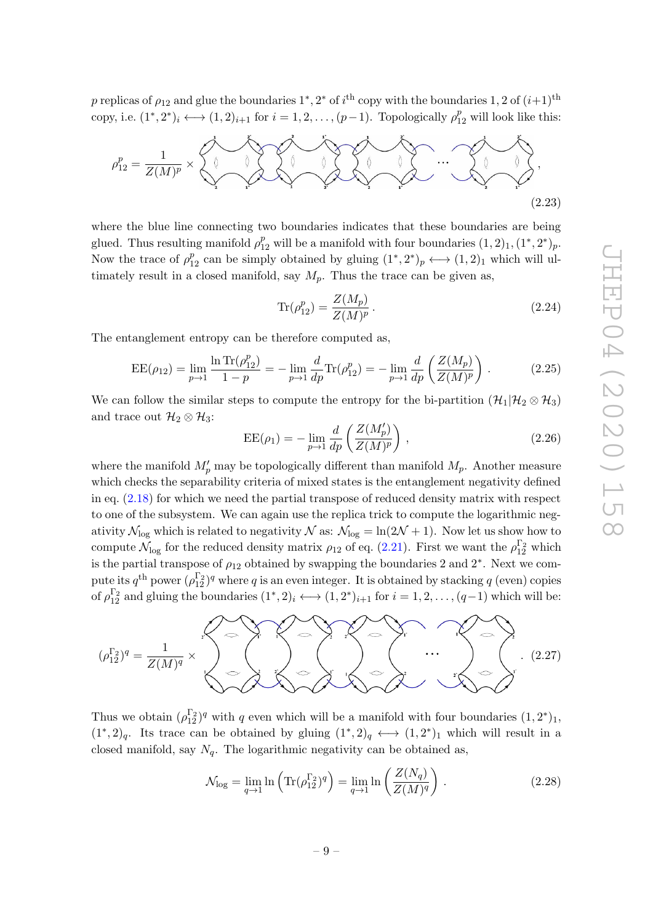p replicas of  $\rho_{12}$  and glue the boundaries  $1^*, 2^*$  of  $i^{\text{th}}$  copy with the boundaries  $1, 2$  of  $(i+1)^{\text{th}}$ copy, i.e.  $(1^*, 2^*)_i \longleftrightarrow (1, 2)_{i+1}$  for  $i = 1, 2, \dots, (p-1)$ . Topologically  $\rho_{12}^p$  will look like this:



where the blue line connecting two boundaries indicates that these boundaries are being glued. Thus resulting manifold  $\rho_{12}^p$  will be a manifold with four boundaries  $(1, 2)_1, (1^*, 2^*)_p$ . Now the trace of  $\rho_{12}^p$  can be simply obtained by gluing  $(1^*, 2^*)_p \longleftrightarrow (1, 2)_1$  which will ultimately result in a closed manifold, say  $M_p$ . Thus the trace can be given as,

$$
\text{Tr}(\rho_{12}^p) = \frac{Z(M_p)}{Z(M)^p} \,. \tag{2.24}
$$

The entanglement entropy can be therefore computed as,

<span id="page-10-0"></span>
$$
EE(\rho_{12}) = \lim_{p \to 1} \frac{\ln \text{Tr}(\rho_{12}^p)}{1 - p} = -\lim_{p \to 1} \frac{d}{dp} \text{Tr}(\rho_{12}^p) = -\lim_{p \to 1} \frac{d}{dp} \left( \frac{Z(M_p)}{Z(M)^p} \right). \tag{2.25}
$$

We can follow the similar steps to compute the entropy for the bi-partition  $(\mathcal{H}_1 | \mathcal{H}_2 \otimes \mathcal{H}_3)$ and trace out  $\mathcal{H}_2 \otimes \mathcal{H}_3$ :

$$
EE(\rho_1) = -\lim_{p \to 1} \frac{d}{dp} \left( \frac{Z(M_p')}{Z(M)^p} \right) ,
$$
 (2.26)

where the manifold  $M'_p$  may be topologically different than manifold  $M_p$ . Another measure which checks the separability criteria of mixed states is the entanglement negativity defined in eq.  $(2.18)$  for which we need the partial transpose of reduced density matrix with respect to one of the subsystem. We can again use the replica trick to compute the logarithmic negativity  $\mathcal{N}_{\text{log}}$  which is related to negativity  $\mathcal{N}$  as:  $\mathcal{N}_{\text{log}} = \ln(2\mathcal{N} + 1)$ . Now let us show how to compute  $\mathcal{N}_{\text{log}}$  for the reduced density matrix  $\rho_{12}$  of eq. [\(2.21\)](#page-9-1). First we want the  $\rho_{12}^{\Gamma_2}$  which is the partial transpose of  $\rho_{12}$  obtained by swapping the boundaries 2 and 2<sup>\*</sup>. Next we compute its  $q^{th}$  power  $(\rho_{12}^{\Gamma_2})^q$  where q is an even integer. It is obtained by stacking q (even) copies of  $\rho_{12}^{\Gamma_2}$  and gluing the boundaries  $(1^*, 2)_i \longleftrightarrow (1, 2^*)_{i+1}$  for  $i = 1, 2, \dots, (q-1)$  which will be:



Thus we obtain  $(\rho_{12}^{\Gamma_2})^q$  with q even which will be a manifold with four boundaries  $(1,2^*)_1$ ,  $(1^*, 2)_q$ . Its trace can be obtained by gluing  $(1^*, 2)_q \longleftrightarrow (1, 2^*)_1$  which will result in a closed manifold, say  $N_q$ . The logarithmic negativity can be obtained as,

$$
\mathcal{N}_{\text{log}} = \lim_{q \to 1} \ln \left( \text{Tr}(\rho_{12}^{\Gamma_2})^q \right) = \lim_{q \to 1} \ln \left( \frac{Z(N_q)}{Z(M)^q} \right) . \tag{2.28}
$$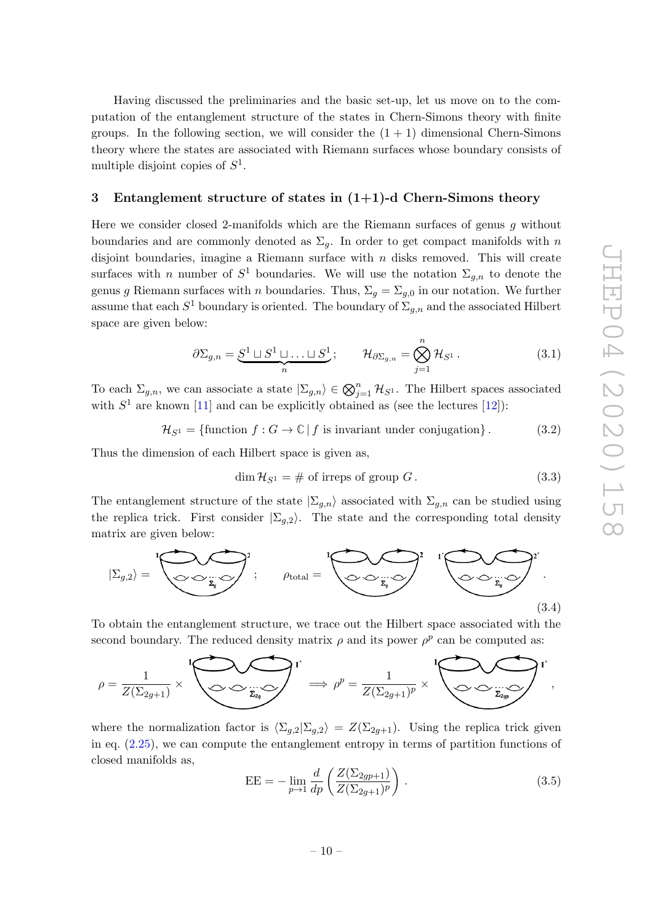Having discussed the preliminaries and the basic set-up, let us move on to the computation of the entanglement structure of the states in Chern-Simons theory with finite groups. In the following section, we will consider the  $(1 + 1)$  dimensional Chern-Simons theory where the states are associated with Riemann surfaces whose boundary consists of multiple disjoint copies of  $S^1$ .

#### <span id="page-11-0"></span>3 Entanglement structure of states in  $(1+1)$ -d Chern-Simons theory

Here we consider closed 2-manifolds which are the Riemann surfaces of genus g without boundaries and are commonly denoted as  $\Sigma_g$ . In order to get compact manifolds with n disjoint boundaries, imagine a Riemann surface with  $n$  disks removed. This will create surfaces with *n* number of  $S^1$  boundaries. We will use the notation  $\Sigma_{g,n}$  to denote the genus g Riemann surfaces with *n* boundaries. Thus,  $\Sigma_g = \Sigma_{g,0}$  in our notation. We further assume that each  $S^1$  boundary is oriented. The boundary of  $\Sigma_{g,n}$  and the associated Hilbert space are given below:

$$
\partial \Sigma_{g,n} = \underbrace{S^1 \sqcup S^1 \sqcup \ldots \sqcup S^1}_{n}; \qquad \mathcal{H}_{\partial \Sigma_{g,n}} = \bigotimes_{j=1}^n \mathcal{H}_{S^1}.
$$
 (3.1)

To each  $\Sigma_{g,n}$ , we can associate a state  $|\Sigma_{g,n}\rangle \in \bigotimes_{j=1}^n \mathcal{H}_{S^1}$ . The Hilbert spaces associated with  $S^1$  are known [\[11\]](#page-47-8) and can be explicitly obtained as (see the lectures [\[12\]](#page-47-9)):

 $\mathcal{H}_{S^1} = \{\text{function } f : G \to \mathbb{C} \mid f \text{ is invariant under conjugation} \}.$  (3.2)

Thus the dimension of each Hilbert space is given as,

$$
\dim \mathcal{H}_{S^1} = \# \text{ of irreps of group } G. \tag{3.3}
$$

The entanglement structure of the state  $|\Sigma_{g,n}\rangle$  associated with  $\Sigma_{g,n}$  can be studied using the replica trick. First consider  $|\Sigma_{g,2}\rangle$ . The state and the corresponding total density matrix are given below:



To obtain the entanglement structure, we trace out the Hilbert space associated with the second boundary. The reduced density matrix  $\rho$  and its power  $\rho^p$  can be computed as:

$$
\rho = \frac{1}{Z(\Sigma_{2g+1})} \times \sum_{\textbf{Z} \text{ is a}} \sum_{\textbf{Z} \text{ is a}} \textbf{I}^* \implies \rho^p = \frac{1}{Z(\Sigma_{2g+1})^p} \times \sum_{\textbf{Z} \text{ is a}} \sum_{\textbf{Z} \text{ is a}} \textbf{I}^* \text{,}
$$

where the normalization factor is  $\langle \Sigma_{g,2} | \Sigma_{g,2} \rangle = Z(\Sigma_{2g+1})$ . Using the replica trick given in eq. [\(2.25\)](#page-10-0), we can compute the entanglement entropy in terms of partition functions of closed manifolds as,

$$
EE = -\lim_{p \to 1} \frac{d}{dp} \left( \frac{Z(\Sigma_{2gp+1})}{Z(\Sigma_{2g+1})^p} \right).
$$
 (3.5)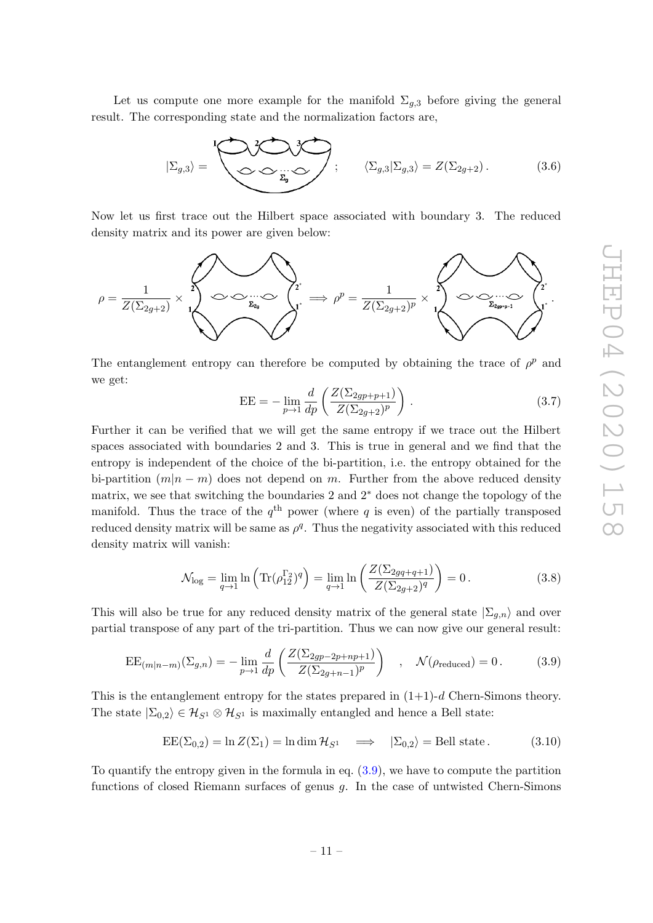Let us compute one more example for the manifold  $\Sigma_{g,3}$  before giving the general result. The corresponding state and the normalization factors are,

$$
|\Sigma_{g,3}\rangle = \begin{bmatrix} 1 & 3 & 3 & 3 \ 0 & 0 & 0 & 0 \ 0 & 0 & 0 & 0 \end{bmatrix}; \qquad \langle \Sigma_{g,3} | \Sigma_{g,3} \rangle = Z(\Sigma_{2g+2}). \qquad (3.6)
$$

Now let us first trace out the Hilbert space associated with boundary 3. The reduced density matrix and its power are given below:



The entanglement entropy can therefore be computed by obtaining the trace of  $\rho^p$  and we get:

$$
EE = -\lim_{p \to 1} \frac{d}{dp} \left( \frac{Z(\Sigma_{2gp+p+1})}{Z(\Sigma_{2g+2})^p} \right).
$$
 (3.7)

Further it can be verified that we will get the same entropy if we trace out the Hilbert spaces associated with boundaries 2 and 3. This is true in general and we find that the entropy is independent of the choice of the bi-partition, i.e. the entropy obtained for the bi-partition  $(m|n-m)$  does not depend on m. Further from the above reduced density matrix, we see that switching the boundaries 2 and 2<sup>∗</sup> does not change the topology of the manifold. Thus the trace of the  $q<sup>th</sup>$  power (where q is even) of the partially transposed reduced density matrix will be same as  $\rho^q$ . Thus the negativity associated with this reduced density matrix will vanish:

$$
\mathcal{N}_{\text{log}} = \lim_{q \to 1} \ln \left( \text{Tr}(\rho_{12}^{\Gamma_2})^q \right) = \lim_{q \to 1} \ln \left( \frac{Z(\Sigma_{2gq+q+1})}{Z(\Sigma_{2g+2})^q} \right) = 0. \tag{3.8}
$$

This will also be true for any reduced density matrix of the general state  $|\Sigma_{g,n}\rangle$  and over partial transpose of any part of the tri-partition. Thus we can now give our general result:

<span id="page-12-0"></span>
$$
EE_{(m|n-m)}(\Sigma_{g,n}) = -\lim_{p \to 1} \frac{d}{dp} \left( \frac{Z(\Sigma_{2gp-2p+np+1})}{Z(\Sigma_{2g+n-1})^p} \right) , \quad \mathcal{N}(\rho_{reduced}) = 0.
$$
 (3.9)

This is the entanglement entropy for the states prepared in  $(1+1)-d$  Chern-Simons theory. The state  $|\Sigma_{0,2}\rangle \in \mathcal{H}_{S^1} \otimes \mathcal{H}_{S^1}$  is maximally entangled and hence a Bell state:

$$
EE(\Sigma_{0,2}) = \ln Z(\Sigma_1) = \ln \dim \mathcal{H}_{S^1} \quad \Longrightarrow \quad |\Sigma_{0,2}\rangle = \text{Bell state.} \tag{3.10}
$$

To quantify the entropy given in the formula in eq. [\(3.9\)](#page-12-0), we have to compute the partition functions of closed Riemann surfaces of genus g. In the case of untwisted Chern-Simons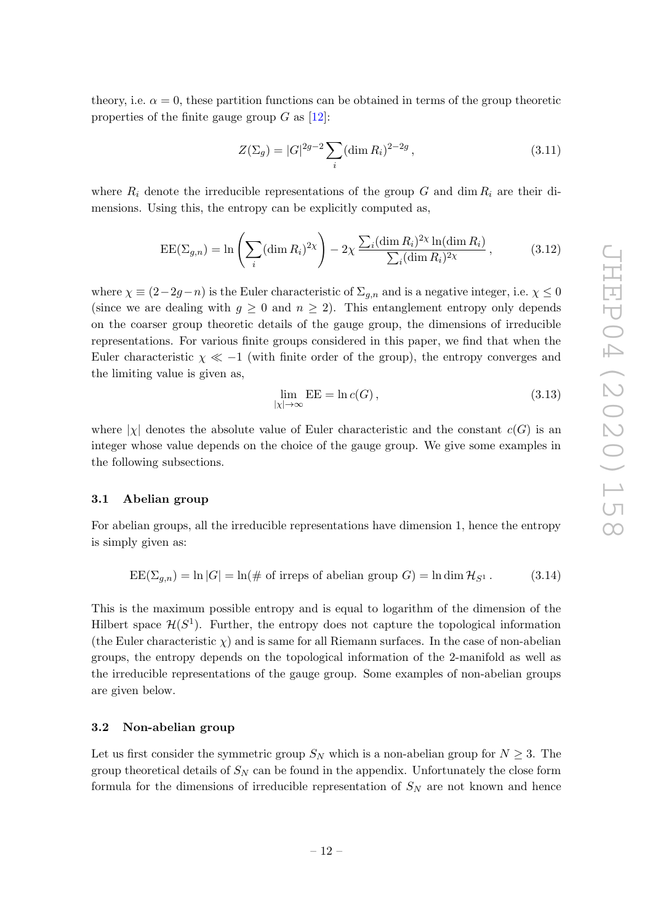theory, i.e.  $\alpha = 0$ , these partition functions can be obtained in terms of the group theoretic properties of the finite gauge group  $G$  as  $[12]$ :

<span id="page-13-2"></span>
$$
Z(\Sigma_g) = |G|^{2g-2} \sum_{i} (\dim R_i)^{2-2g}, \qquad (3.11)
$$

where  $R_i$  denote the irreducible representations of the group G and dim  $R_i$  are their dimensions. Using this, the entropy can be explicitly computed as,

<span id="page-13-3"></span>
$$
EE(\Sigma_{g,n}) = \ln\left(\sum_{i} (\dim R_i)^{2\chi}\right) - 2\chi \frac{\sum_{i} (\dim R_i)^{2\chi} \ln(\dim R_i)}{\sum_{i} (\dim R_i)^{2\chi}},\tag{3.12}
$$

where  $\chi \equiv (2-2g-n)$  is the Euler characteristic of  $\Sigma_{g,n}$  and is a negative integer, i.e.  $\chi \leq 0$ (since we are dealing with  $g \geq 0$  and  $n \geq 2$ ). This entanglement entropy only depends on the coarser group theoretic details of the gauge group, the dimensions of irreducible representations. For various finite groups considered in this paper, we find that when the Euler characteristic  $\chi \ll -1$  (with finite order of the group), the entropy converges and the limiting value is given as,

$$
\lim_{|\chi| \to \infty} EE = \ln c(G), \tag{3.13}
$$

where  $|\chi|$  denotes the absolute value of Euler characteristic and the constant  $c(G)$  is an integer whose value depends on the choice of the gauge group. We give some examples in the following subsections.

#### <span id="page-13-0"></span>3.1 Abelian group

For abelian groups, all the irreducible representations have dimension 1, hence the entropy is simply given as:

<span id="page-13-4"></span>
$$
EE(\Sigma_{g,n}) = \ln |G| = \ln(\text{# of irreps of abelian group } G) = \ln \dim \mathcal{H}_{S^1}.
$$
 (3.14)

This is the maximum possible entropy and is equal to logarithm of the dimension of the Hilbert space  $\mathcal{H}(S^1)$ . Further, the entropy does not capture the topological information (the Euler characteristic  $\chi$ ) and is same for all Riemann surfaces. In the case of non-abelian groups, the entropy depends on the topological information of the 2-manifold as well as the irreducible representations of the gauge group. Some examples of non-abelian groups are given below.

#### <span id="page-13-1"></span>3.2 Non-abelian group

Let us first consider the symmetric group  $S_N$  which is a non-abelian group for  $N \geq 3$ . The group theoretical details of  $S_N$  can be found in the appendix. Unfortunately the close form formula for the dimensions of irreducible representation of  $S_N$  are not known and hence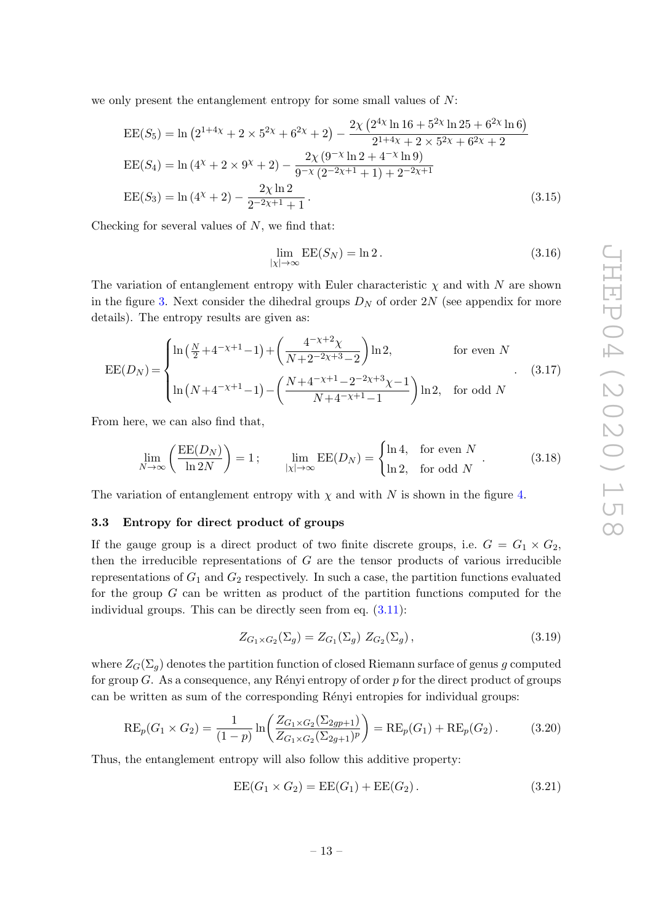we only present the entanglement entropy for some small values of  $N$ :

$$
EE(S_5) = \ln (2^{1+4\chi} + 2 \times 5^{2\chi} + 6^{2\chi} + 2) - \frac{2\chi (2^{4\chi} \ln 16 + 5^{2\chi} \ln 25 + 6^{2\chi} \ln 6)}{2^{1+4\chi} + 2 \times 5^{2\chi} + 6^{2\chi} + 2}
$$
  
\n
$$
EE(S_4) = \ln (4^{\chi} + 2 \times 9^{\chi} + 2) - \frac{2\chi (9^{-\chi} \ln 2 + 4^{-\chi} \ln 9)}{9^{-\chi} (2^{-2\chi+1} + 1) + 2^{-2\chi+1}}
$$
  
\n
$$
EE(S_3) = \ln (4^{\chi} + 2) - \frac{2\chi \ln 2}{2^{-2\chi+1} + 1}.
$$
\n(3.15)

Checking for several values of  $N$ , we find that:

$$
\lim_{|\chi| \to \infty} \text{EE}(S_N) = \ln 2. \tag{3.16}
$$

The variation of entanglement entropy with Euler characteristic  $\chi$  and with N are shown in the figure [3.](#page-15-0) Next consider the dihedral groups  $D_N$  of order  $2N$  (see appendix for more details). The entropy results are given as:

$$
EE(D_N) = \begin{cases} \ln\left(\frac{N}{2} + 4^{-\chi+1} - 1\right) + \left(\frac{4^{-\chi+2}\chi}{N + 2^{-2\chi+3} - 2}\right) \ln 2, & \text{for even } N\\ \ln\left(N + 4^{-\chi+1} - 1\right) - \left(\frac{N + 4^{-\chi+1} - 2^{-2\chi+3}\chi - 1}{N + 4^{-\chi+1} - 1}\right) \ln 2, & \text{for odd } N \end{cases}
$$
(3.17)

From here, we can also find that,

<span id="page-14-1"></span>
$$
\lim_{N \to \infty} \left( \frac{\text{EE}(D_N)}{\ln 2N} \right) = 1; \qquad \lim_{|\chi| \to \infty} \text{EE}(D_N) = \begin{cases} \ln 4, & \text{for even } N \\ \ln 2, & \text{for odd } N \end{cases}.
$$
 (3.18)

The variation of entanglement entropy with  $\chi$  and with N is shown in the figure [4](#page-15-1).

#### <span id="page-14-0"></span>3.3 Entropy for direct product of groups

If the gauge group is a direct product of two finite discrete groups, i.e.  $G = G_1 \times G_2$ , then the irreducible representations of  $G$  are the tensor products of various irreducible representations of  $G_1$  and  $G_2$  respectively. In such a case, the partition functions evaluated for the group G can be written as product of the partition functions computed for the individual groups. This can be directly seen from eq. [\(3.11\)](#page-13-2):

$$
Z_{G_1 \times G_2}(\Sigma_g) = Z_{G_1}(\Sigma_g) \; Z_{G_2}(\Sigma_g) \,, \tag{3.19}
$$

where  $Z_G(\Sigma_g)$  denotes the partition function of closed Riemann surface of genus  $g$  computed for group  $G$ . As a consequence, any Rényi entropy of order  $p$  for the direct product of groups can be written as sum of the corresponding Rényi entropies for individual groups:

$$
RE_p(G_1 \times G_2) = \frac{1}{(1-p)} \ln \left( \frac{Z_{G_1 \times G_2}(\Sigma_{2gp+1})}{Z_{G_1 \times G_2}(\Sigma_{2g+1})^p} \right) = RE_p(G_1) + RE_p(G_2).
$$
 (3.20)

Thus, the entanglement entropy will also follow this additive property:

$$
EE(G_1 \times G_2) = EE(G_1) + EE(G_2).
$$
 (3.21)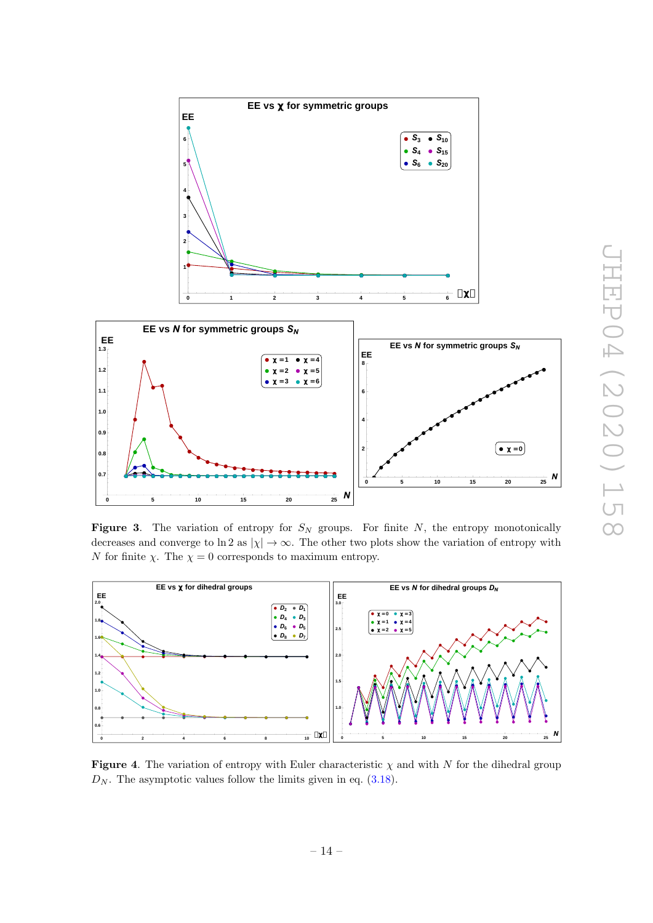

<span id="page-15-0"></span>**Figure 3.** The variation of entropy for  $S_N$  groups. For finite N, the entropy monotonically decreases and converge to ln 2 as  $|\chi| \to \infty$ . The other two plots show the variation of entropy with N for finite  $\chi$ . The  $\chi = 0$  corresponds to maximum entropy.



<span id="page-15-1"></span>**Figure 4**. The variation of entropy with Euler characteristic  $\chi$  and with N for the dihedral group  $D_N$ . The asymptotic values follow the limits given in eq.  $(3.18)$ .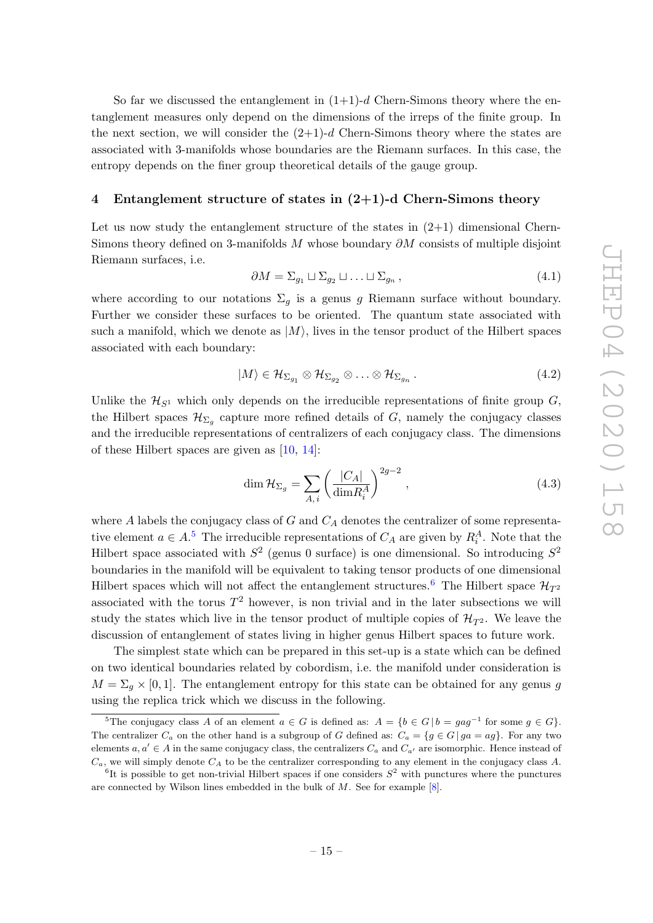So far we discussed the entanglement in  $(1+1)$ -d Chern-Simons theory where the entanglement measures only depend on the dimensions of the irreps of the finite group. In the next section, we will consider the  $(2+1)-d$  Chern-Simons theory where the states are associated with 3-manifolds whose boundaries are the Riemann surfaces. In this case, the entropy depends on the finer group theoretical details of the gauge group.

#### <span id="page-16-0"></span>4 Entanglement structure of states in (2+1)-d Chern-Simons theory

Let us now study the entanglement structure of the states in  $(2+1)$  dimensional Chern-Simons theory defined on 3-manifolds M whose boundary  $\partial M$  consists of multiple disjoint Riemann surfaces, i.e.

$$
\partial M = \Sigma_{g_1} \sqcup \Sigma_{g_2} \sqcup \ldots \sqcup \Sigma_{g_n}, \qquad (4.1)
$$

where according to our notations  $\Sigma_g$  is a genus g Riemann surface without boundary. Further we consider these surfaces to be oriented. The quantum state associated with such a manifold, which we denote as  $|M\rangle$ , lives in the tensor product of the Hilbert spaces associated with each boundary:

$$
|M\rangle \in \mathcal{H}_{\Sigma_{g_1}} \otimes \mathcal{H}_{\Sigma_{g_2}} \otimes \ldots \otimes \mathcal{H}_{\Sigma_{g_n}}.
$$
\n
$$
(4.2)
$$

Unlike the  $\mathcal{H}_{S^1}$  which only depends on the irreducible representations of finite group  $G$ , the Hilbert spaces  $\mathcal{H}_{\Sigma_g}$  capture more refined details of G, namely the conjugacy classes and the irreducible representations of centralizers of each conjugacy class. The dimensions of these Hilbert spaces are given as [\[10](#page-47-7) , [14\]](#page-47-11):

$$
\dim \mathcal{H}_{\Sigma_g} = \sum_{A,i} \left( \frac{|C_A|}{\dim R_i^A} \right)^{2g-2},\tag{4.3}
$$

where A labels the conjugacy class of  $G$  and  $C_A$  denotes the centralizer of some representative element  $a \in A$ <sup>[5](#page-16-1)</sup>. The irreducible representations of  $C_A$  are given by  $R_i^A$ . Note that the Hilbert space associated with  $S^2$  (genus 0 surface) is one dimensional. So introducing  $S^2$ boundaries in the manifold will be equivalent to taking tensor products of one dimensional Hilbert spaces which will not affect the entanglement structures.<sup>[6](#page-16-2)</sup> The Hilbert space  $\mathcal{H}_{T^2}$ associated with the torus  $T^2$  however, is non trivial and in the later subsections we will study the states which live in the tensor product of multiple copies of  $\mathcal{H}_{T^2}$ . We leave the discussion of entanglement of states living in higher genus Hilbert spaces to future work.

The simplest state which can be prepared in this set-up is a state which can be defined on two identical boundaries related by cobordism, i.e. the manifold under consideration is  $M = \Sigma_q \times [0, 1]$ . The entanglement entropy for this state can be obtained for any genus g using the replica trick which we discuss in the following.

<span id="page-16-1"></span><sup>&</sup>lt;sup>5</sup>The conjugacy class A of an element  $a \in G$  is defined as:  $A = \{b \in G \mid b = gag^{-1} \text{ for some } g \in G\}.$ The centralizer  $C_a$  on the other hand is a subgroup of G defined as:  $C_a = \{g \in G \mid ga = ag\}$ . For any two elements  $a, a' \in A$  in the same conjugacy class, the centralizers  $C_a$  and  $C_{a'}$  are isomorphic. Hence instead of  $C_a$ , we will simply denote  $C_A$  to be the centralizer corresponding to any element in the conjugacy class A.

<span id="page-16-2"></span><sup>&</sup>lt;sup>6</sup>It is possible to get non-trivial Hilbert spaces if one considers  $S^2$  with punctures where the punctures are connected by Wilson lines embedded in the bulk of M. See for example [ [8\]](#page-47-2).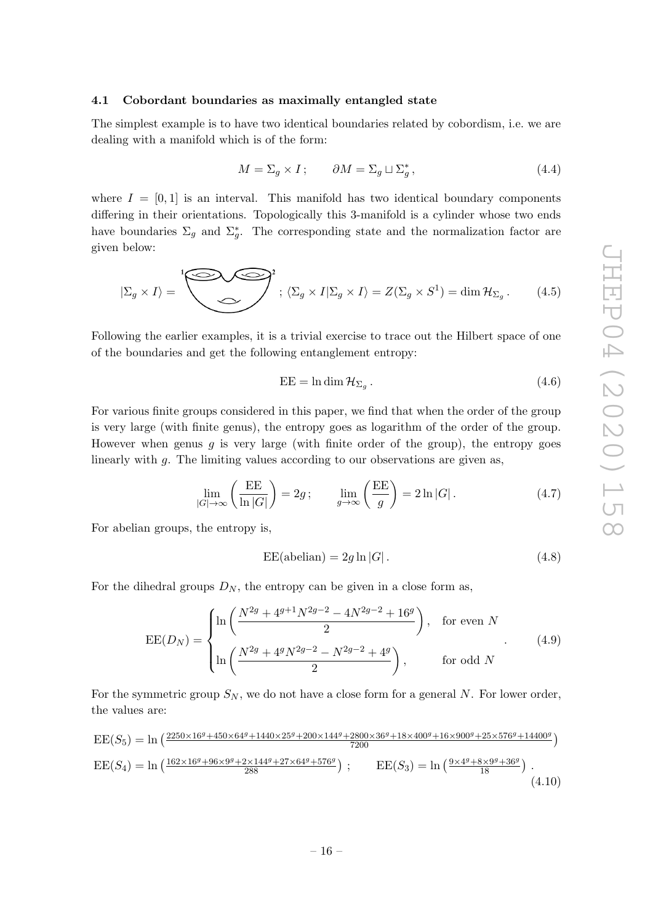#### <span id="page-17-0"></span>4.1 Cobordant boundaries as maximally entangled state

The simplest example is to have two identical boundaries related by cobordism, i.e. we are dealing with a manifold which is of the form:

$$
M = \Sigma_g \times I; \qquad \partial M = \Sigma_g \sqcup \Sigma_g^*, \tag{4.4}
$$

where  $I = [0, 1]$  is an interval. This manifold has two identical boundary components differing in their orientations. Topologically this 3-manifold is a cylinder whose two ends have boundaries  $\Sigma_g$  and  $\Sigma_g^*$ . The corresponding state and the normalization factor are given below:

$$
|\Sigma_g \times I\rangle = \sum_{\{S,g\}} \sum_{i} \langle \Sigma_g \times I | \Sigma_g \times I \rangle = Z(\Sigma_g \times S^1) = \dim \mathcal{H}_{\Sigma_g}.
$$
 (4.5)

Following the earlier examples, it is a trivial exercise to trace out the Hilbert space of one of the boundaries and get the following entanglement entropy:

$$
EE = \ln \dim \mathcal{H}_{\Sigma_g} \,. \tag{4.6}
$$

For various finite groups considered in this paper, we find that when the order of the group is very large (with finite genus), the entropy goes as logarithm of the order of the group. However when genus  $g$  is very large (with finite order of the group), the entropy goes linearly with g. The limiting values according to our observations are given as,

<span id="page-17-1"></span>
$$
\lim_{|G| \to \infty} \left( \frac{\text{EE}}{\ln |G|} \right) = 2g \, ; \qquad \lim_{g \to \infty} \left( \frac{\text{EE}}{g} \right) = 2 \ln |G| \, . \tag{4.7}
$$

For abelian groups, the entropy is,

$$
EE(\text{abelian}) = 2g \ln |G| \,. \tag{4.8}
$$

For the dihedral groups  $D_N$ , the entropy can be given in a close form as,

$$
EE(D_N) = \begin{cases} \ln\left(\frac{N^{2g} + 4^{g+1}N^{2g-2} - 4N^{2g-2} + 16^g}{2}\right), & \text{for even } N\\ \ln\left(\frac{N^{2g} + 4^gN^{2g-2} - N^{2g-2} + 4^g}{2}\right), & \text{for odd } N \end{cases}
$$
(4.9)

For the symmetric group  $S_N$ , we do not have a close form for a general N. For lower order, the values are:

$$
EE(S_5) = \ln\left(\frac{2250 \times 16^g + 450 \times 64^g + 1440 \times 25^g + 200 \times 144^g + 2800 \times 36^g + 18 \times 400^g + 16 \times 900^g + 25 \times 576^g + 14400^g}{7200}\right)
$$
  
\n
$$
EE(S_4) = \ln\left(\frac{162 \times 16^g + 96 \times 9^g + 2 \times 144^g + 27 \times 64^g + 576^g}{288}\right); \qquad EE(S_3) = \ln\left(\frac{9 \times 4^g + 8 \times 9^g + 36^g}{18}\right).
$$
\n(4.10)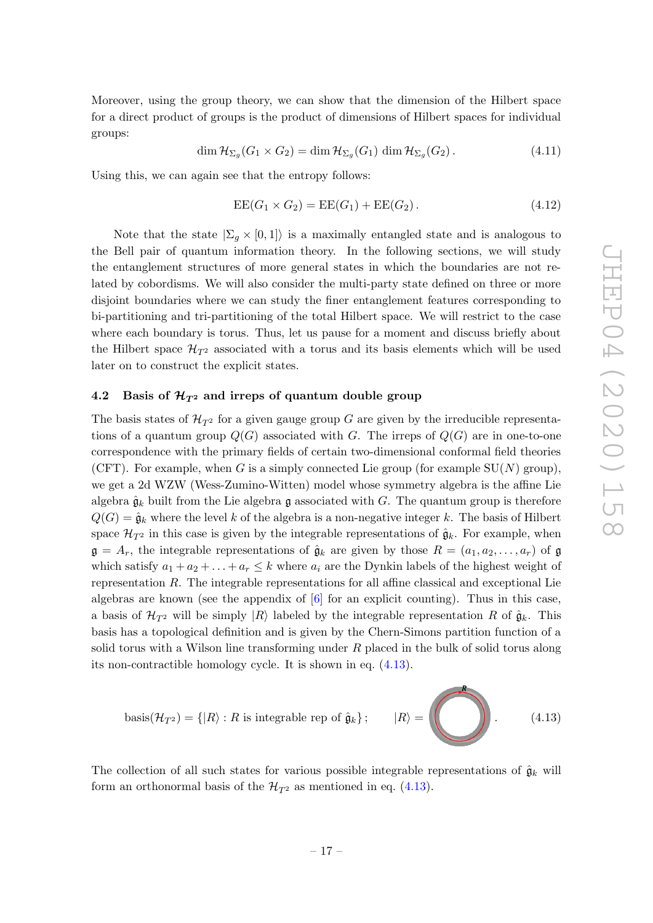Moreover, using the group theory, we can show that the dimension of the Hilbert space for a direct product of groups is the product of dimensions of Hilbert spaces for individual groups:

$$
\dim \mathcal{H}_{\Sigma_g}(G_1 \times G_2) = \dim \mathcal{H}_{\Sigma_g}(G_1) \dim \mathcal{H}_{\Sigma_g}(G_2).
$$
\n(4.11)

Using this, we can again see that the entropy follows:

$$
EE(G_1 \times G_2) = EE(G_1) + EE(G_2).
$$
 (4.12)

Note that the state  $|\Sigma_g \times [0,1]\rangle$  is a maximally entangled state and is analogous to the Bell pair of quantum information theory. In the following sections, we will study the entanglement structures of more general states in which the boundaries are not related by cobordisms. We will also consider the multi-party state defined on three or more disjoint boundaries where we can study the finer entanglement features corresponding to bi-partitioning and tri-partitioning of the total Hilbert space. We will restrict to the case where each boundary is torus. Thus, let us pause for a moment and discuss briefly about the Hilbert space  $\mathcal{H}_{T^2}$  associated with a torus and its basis elements which will be used later on to construct the explicit states.

## <span id="page-18-0"></span>4.2 Basis of  $\mathcal{H}_{T^2}$  and irreps of quantum double group

The basis states of  $\mathcal{H}_{T^2}$  for a given gauge group G are given by the irreducible representations of a quantum group  $Q(G)$  associated with G. The irreps of  $Q(G)$  are in one-to-one correspondence with the primary fields of certain two-dimensional conformal field theories (CFT). For example, when G is a simply connected Lie group (for example  $SU(N)$  group), we get a 2d WZW (Wess-Zumino-Witten) model whose symmetry algebra is the affine Lie algebra  $\hat{\mathfrak{g}}_k$  built from the Lie algebra  $\mathfrak g$  associated with G. The quantum group is therefore  $Q(G) = \hat{\mathfrak{g}}_k$  where the level k of the algebra is a non-negative integer k. The basis of Hilbert space  $\mathcal{H}_{T^2}$  in this case is given by the integrable representations of  $\hat{\mathfrak{g}}_k$ . For example, when  $\mathfrak{g} = A_r$ , the integrable representations of  $\hat{\mathfrak{g}}_k$  are given by those  $R = (a_1, a_2, \ldots, a_r)$  of  $\mathfrak{g}$ which satisfy  $a_1 + a_2 + \ldots + a_r \leq k$  where  $a_i$  are the Dynkin labels of the highest weight of representation R. The integrable representations for all affine classical and exceptional Lie algebras are known (see the appendix of [ [6\]](#page-47-6) for an explicit counting). Thus in this case, a basis of  $\mathcal{H}_{T^2}$  will be simply  $|R\rangle$  labeled by the integrable representation R of  $\hat{\mathfrak{g}}_k$ . This basis has a topological definition and is given by the Chern-Simons partition function of a solid torus with a Wilson line transforming under  $R$  placed in the bulk of solid torus along its non-contractible homology cycle. It is shown in eq. [\(4.13\)](#page-18-1).

<span id="page-18-1"></span>basis
$$
(\mathcal{H}_{T^2}) = \{|R\rangle : R \text{ is integrable rep of } \hat{\mathfrak{g}}_k\}; \qquad |R\rangle = \boxed{\phantom{B}} \qquad (4.13)
$$

 $\mathbb{R}$ 

The collection of all such states for various possible integrable representations of  $\hat{\mathfrak{g}}_k$  will form an orthonormal basis of the  $\mathcal{H}_{T^2}$  as mentioned in eq. [\(4.13\)](#page-18-1).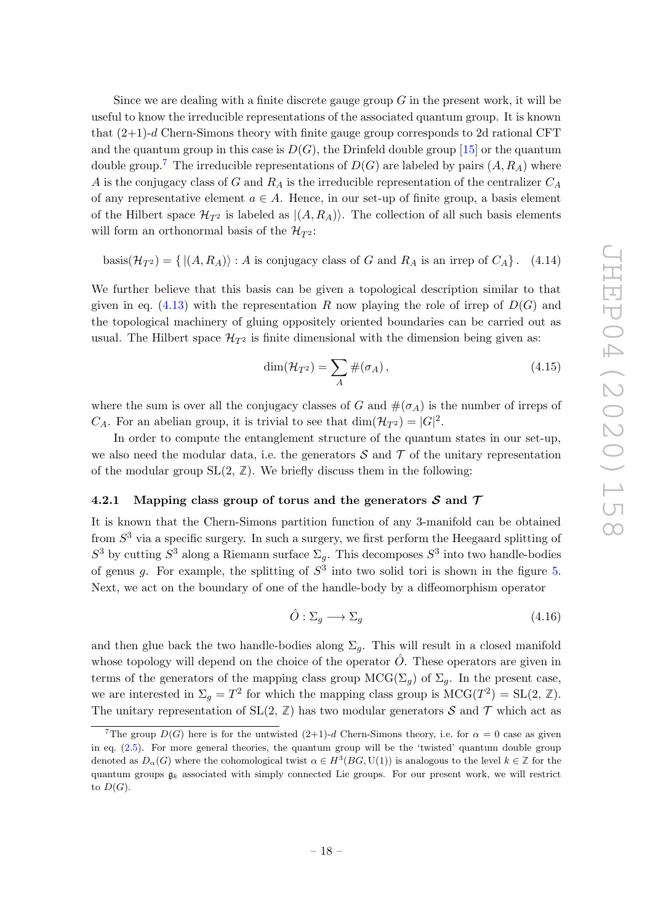Since we are dealing with a finite discrete gauge group  $G$  in the present work, it will be useful to know the irreducible representations of the associated quantum group. It is known that (2+1)- d Chern-Simons theory with finite gauge group corresponds to 2d rational CFT and the quantum group in this case is  $D(G)$ , the Drinfeld double group  $\left[ 15\right]$  or the quantum double group.<sup>[7](#page-19-1)</sup> The irreducible representations of  $D(G)$  are labeled by pairs  $(A, R_A)$  where A is the conjugacy class of G and  $R_A$  is the irreducible representation of the centralizer  $C_A$ of any representative element  $a \in A$ . Hence, in our set-up of finite group, a basis element of the Hilbert space  $\mathcal{H}_{T^2}$  is labeled as  $|(A, R_A)\rangle$ . The collection of all such basis elements will form an orthonormal basis of the  $\mathcal{H}_{T^2}$ :

basis $(\mathcal{H}_{T^2}) = \{ |(A, R_A) \rangle : A$  is conjugacy class of G and  $R_A$  is an irrep of  $C_A\}$  $(4.14)$ 

We further believe that this basis can be given a topological description similar to that given in eq.  $(4.13)$  with the representation R now playing the role of irrep of  $D(G)$  and the topological machinery of gluing oppositely oriented boundaries can be carried out as usual. The Hilbert space  $\mathcal{H}_{T^2}$  is finite dimensional with the dimension being given as:

$$
\dim(\mathcal{H}_{T^2}) = \sum_A \#(\sigma_A),\tag{4.15}
$$

where the sum is over all the conjugacy classes of G and  $\#(\sigma_A)$  is the number of irreps of  $C_A$ . For an abelian group, it is trivial to see that  $\dim(\mathcal{H}_{T^2}) = |G|^2$ .

In order to compute the entanglement structure of the quantum states in our set-up, we also need the modular data, i.e. the generators  $S$  and  $T$  of the unitary representation of the modular group  $SL(2, \mathbb{Z})$ . We briefly discuss them in the following:

## <span id="page-19-0"></span>4.2.1 Mapping class group of torus and the generators  $S$  and  $T$

It is known that the Chern-Simons partition function of any 3-manifold can be obtained from  $S<sup>3</sup>$  via a specific surgery. In such a surgery, we first perform the Heegaard splitting of  $S^3$  by cutting  $S^3$  along a Riemann surface  $\Sigma_g$ . This decomposes  $S^3$  into two handle-bodies of genus g. For example, the splitting of  $S<sup>3</sup>$  into two solid tori is shown in the figure [5](#page-20-0). Next, we act on the boundary of one of the handle-body by a diffeomorphism operator

$$
\hat{O}: \Sigma_g \longrightarrow \Sigma_g \tag{4.16}
$$

and then glue back the two handle-bodies along  $\Sigma_g$ . This will result in a closed manifold whose topology will depend on the choice of the operator  $\hat{O}$ . These operators are given in terms of the generators of the mapping class group  $\mathrm{MCG}(\Sigma_g)$  of  $\Sigma_g$ . In the present case, we are interested in  $\Sigma_g = T^2$  for which the mapping class group is  $MCG(T^2) = SL(2, \mathbb{Z})$ . The unitary representation of  $SL(2, \mathbb{Z})$  has two modular generators  $S$  and  $\mathcal{T}$  which act as

<span id="page-19-1"></span><sup>&</sup>lt;sup>7</sup>The group  $D(G)$  here is for the untwisted  $(2+1)-d$  Chern-Simons theory, i.e. for  $\alpha = 0$  case as given in eq. [\(2.5\)](#page-6-1). For more general theories, the quantum group will be the 'twisted' quantum double group denoted as  $D_{\alpha}(G)$  where the cohomological twist  $\alpha \in H^3(BG, \mathrm{U}(1))$  is analogous to the level  $k \in \mathbb{Z}$  for the quantum groups  $\mathfrak{g}_k$  associated with simply connected Lie groups. For our present work, we will restrict to  $D(G)$ .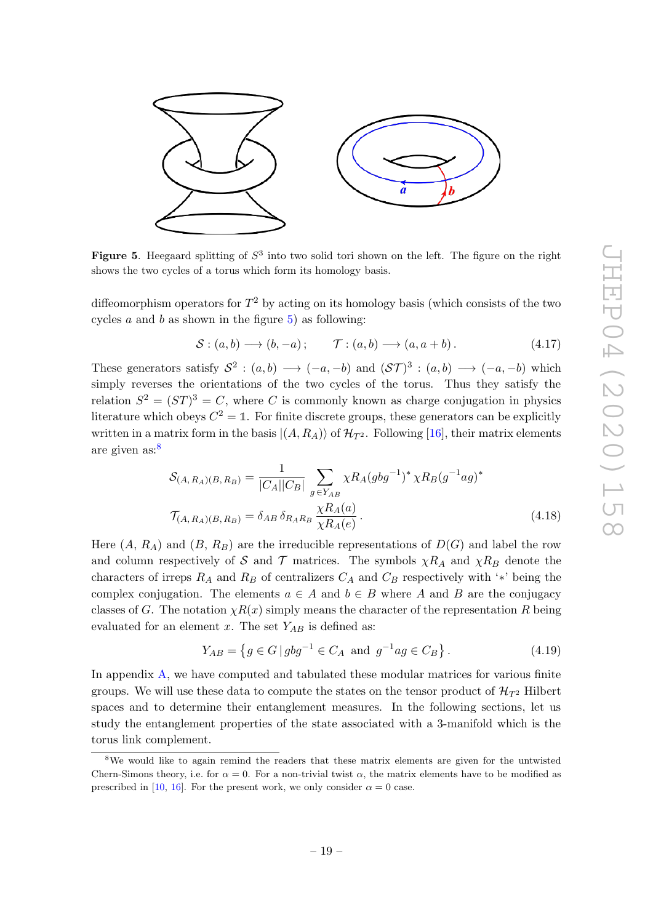

<span id="page-20-0"></span>Figure 5. Heegaard splitting of  $S^3$  into two solid tori shown on the left. The figure on the right shows the two cycles of a torus which form its homology basis.

diffeomorphism operators for  $T^2$  by acting on its homology basis (which consists of the two cycles  $a$  and  $b$  as shown in the figure  $5$ ) as following:

$$
S: (a, b) \longrightarrow (b, -a); \qquad \mathcal{T}: (a, b) \longrightarrow (a, a+b).
$$
 (4.17)

These generators satisfy  $S^2$ :  $(a, b) \longrightarrow (-a, -b)$  and  $(S\mathcal{T})^3$ :  $(a, b) \longrightarrow (-a, -b)$  which simply reverses the orientations of the two cycles of the torus. Thus they satisfy the relation  $S^2 = (ST)^3 = C$ , where C is commonly known as charge conjugation in physics literature which obeys  $C^2 = \mathbb{1}$ . For finite discrete groups, these generators can be explicitly written in a matrix form in the basis  $|(A, R_A) \rangle$  of  $\mathcal{H}_{T^2}$ . Following [\[16\]](#page-47-13), their matrix elements are given as: [8](#page-20-1)

$$
S_{(A,R_A)(B,R_B)} = \frac{1}{|C_A||C_B|} \sum_{g \in Y_{AB}} \chi R_A(gbg^{-1})^* \chi R_B(g^{-1}ag)^*
$$
  

$$
\mathcal{T}_{(A,R_A)(B,R_B)} = \delta_{AB} \delta_{R_A R_B} \frac{\chi R_A(a)}{\chi R_A(e)}.
$$
 (4.18)

Here  $(A, R_A)$  and  $(B, R_B)$  are the irreducible representations of  $D(G)$  and label the row and column respectively of S and T matrices. The symbols  $\chi R_A$  and  $\chi R_B$  denote the characters of irreps  $R_A$  and  $R_B$  of centralizers  $C_A$  and  $C_B$  respectively with '\*' being the complex conjugation. The elements  $a \in A$  and  $b \in B$  where A and B are the conjugacy classes of G. The notation  $\chi R(x)$  simply means the character of the representation R being evaluated for an element x. The set  $Y_{AB}$  is defined as:

<span id="page-20-2"></span>
$$
Y_{AB} = \left\{ g \in G \, | \, gbg^{-1} \in C_A \text{ and } g^{-1}ag \in C_B \right\}.
$$
 (4.19)

In appendix [A,](#page-32-0) we have computed and tabulated these modular matrices for various finite groups. We will use these data to compute the states on the tensor product of  $\mathcal{H}_{T^2}$  Hilbert spaces and to determine their entanglement measures. In the following sections, let us study the entanglement properties of the state associated with a 3-manifold which is the torus link complement.

<span id="page-20-1"></span><sup>&</sup>lt;sup>8</sup>We would like to again remind the readers that these matrix elements are given for the untwisted Chern-Simons theory, i.e. for  $\alpha = 0$ . For a non-trivial twist  $\alpha$ , the matrix elements have to be modified as prescribed in [\[10](#page-47-7), [16\]](#page-47-13). For the present work, we only consider  $\alpha = 0$  case.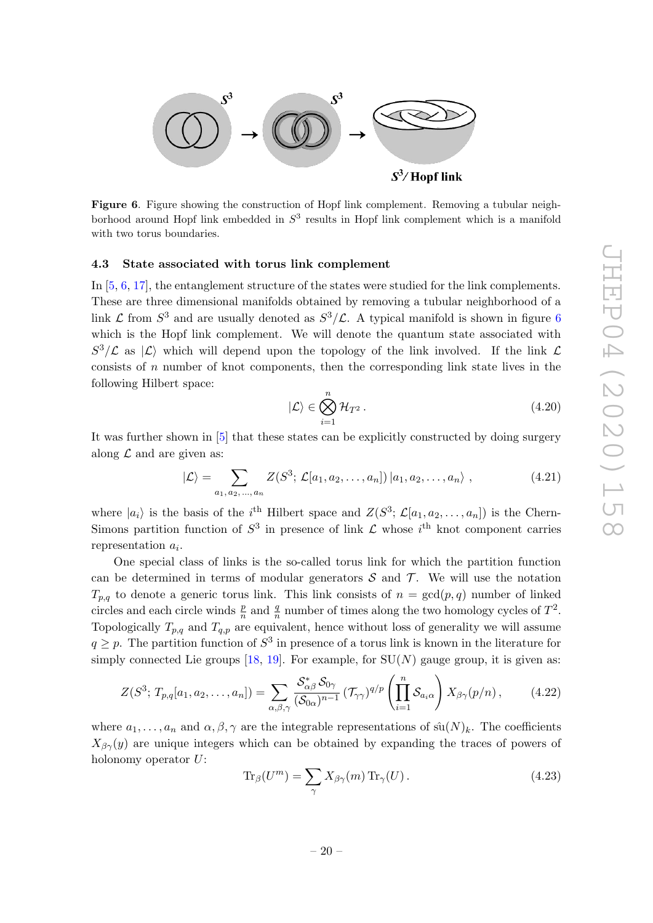

<span id="page-21-1"></span>Figure 6. Figure showing the construction of Hopf link complement. Removing a tubular neighborhood around Hopf link embedded in  $S<sup>3</sup>$  results in Hopf link complement which is a manifold with two torus boundaries.

#### <span id="page-21-0"></span>4.3 State associated with torus link complement

In  $[5, 6, 17]$  $[5, 6, 17]$  $[5, 6, 17]$  $[5, 6, 17]$  $[5, 6, 17]$  $[5, 6, 17]$ , the entanglement structure of the states were studied for the link complements. These are three dimensional manifolds obtained by removing a tubular neighborhood of a link  $\mathcal L$  from  $S^3$  and are usually denoted as  $S^3/\mathcal L$ . A typical manifold is shown in figure [6](#page-21-1) which is the Hopf link complement. We will denote the quantum state associated with  $S^3/\mathcal{L}$  as  $|\mathcal{L}\rangle$  which will depend upon the topology of the link involved. If the link  $\mathcal{L}$ consists of n number of knot components, then the corresponding link state lives in the following Hilbert space:

$$
|\mathcal{L}\rangle \in \bigotimes_{i=1}^{n} \mathcal{H}_{T^2}.
$$
 (4.20)

It was further shown in [ [5\]](#page-47-5) that these states can be explicitly constructed by doing surgery along  $\mathcal L$  and are given as:

$$
|\mathcal{L}\rangle = \sum_{a_1, a_2, ..., a_n} Z(S^3; \mathcal{L}[a_1, a_2, ..., a_n]) |a_1, a_2, ..., a_n\rangle ,
$$
 (4.21)

where  $|a_i\rangle$  is the basis of the *i*<sup>th</sup> Hilbert space and  $Z(S^3; \mathcal{L}[a_1, a_2, \ldots, a_n])$  is the Chern-Simons partition function of  $S^3$  in presence of link  $\mathcal L$  whose  $i^{\text{th}}$  knot component carries representation  $a_i$ .

One special class of links is the so-called torus link for which the partition function can be determined in terms of modular generators  $S$  and  $T$ . We will use the notation  $T_{p,q}$  to denote a generic torus link. This link consists of  $n = \gcd(p,q)$  number of linked circles and each circle winds  $\frac{p}{n}$  and  $\frac{q}{n}$  number of times along the two homology cycles of  $T^2$ . Topologically  $T_{p,q}$  and  $T_{q,p}$  are equivalent, hence without loss of generality we will assume  $q \geq p$ . The partition function of  $S^3$  in presence of a torus link is known in the literature for simply connected Lie groups  $[18, 19]$  $[18, 19]$ . For example, for  $SU(N)$  gauge group, it is given as:

$$
Z(S^3; T_{p,q}[a_1, a_2, \dots, a_n]) = \sum_{\alpha, \beta, \gamma} \frac{\mathcal{S}_{\alpha\beta}^* \mathcal{S}_{0\gamma}}{(\mathcal{S}_{0\alpha})^{n-1}} (\mathcal{T}_{\gamma\gamma})^{q/p} \left(\prod_{i=1}^n \mathcal{S}_{a_i\alpha}\right) X_{\beta\gamma}(p/n), \qquad (4.22)
$$

where  $a_1, \ldots, a_n$  and  $\alpha, \beta, \gamma$  are the integrable representations of  $\hat{su}(N)_k$ . The coefficients  $X_{\beta\gamma}(y)$  are unique integers which can be obtained by expanding the traces of powers of holonomy operator  $U$ :

$$
\operatorname{Tr}_{\beta}(U^m) = \sum_{\gamma} X_{\beta\gamma}(m) \operatorname{Tr}_{\gamma}(U). \tag{4.23}
$$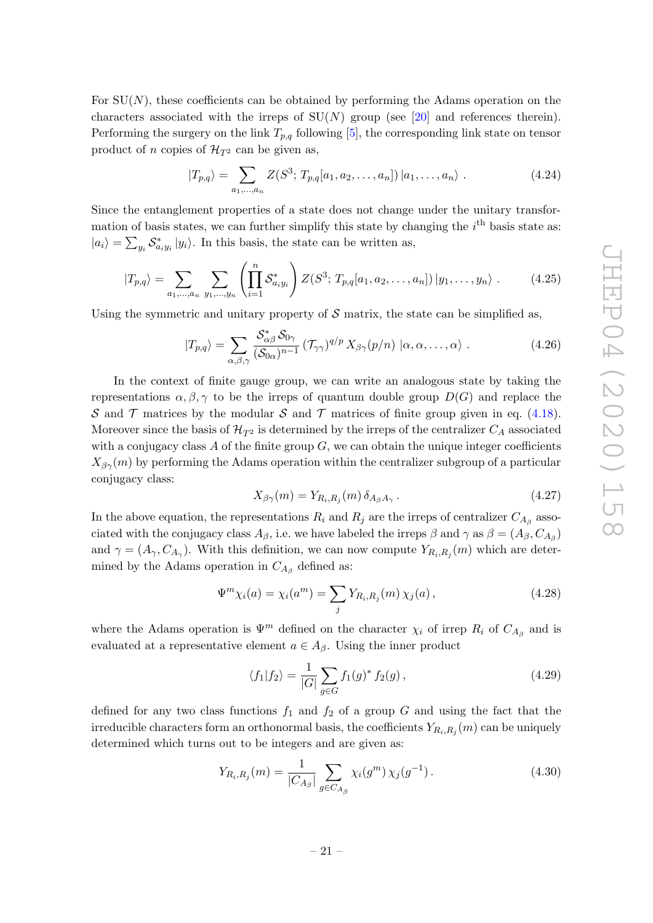For  $SU(N)$ , these coefficients can be obtained by performing the Adams operation on the characters associated with the irreps of  $SU(N)$  group (see [\[20\]](#page-47-17) and references therein). Performing the surgery on the link  $T_{p,q}$  following [[5\]](#page-47-5), the corresponding link state on tensor product of *n* copies of  $\mathcal{H}_{T^2}$  can be given as,

$$
|T_{p,q}\rangle = \sum_{a_1,\dots,a_n} Z(S^3; T_{p,q}[a_1,a_2,\dots,a_n]) |a_1,\dots,a_n\rangle.
$$
 (4.24)

Since the entanglement properties of a state does not change under the unitary transformation of basis states, we can further simplify this state by changing the  $i<sup>th</sup>$  basis state as:  $|a_i\rangle = \sum_{y_i} S^*_{a_i y_i} |y_i\rangle$ . In this basis, the state can be written as,

$$
|T_{p,q}\rangle = \sum_{a_1,\dots,a_n} \sum_{y_1,\dots,y_n} \left( \prod_{i=1}^n S^*_{a_i y_i} \right) Z(S^3; T_{p,q}[a_1, a_2, \dots, a_n]) | y_1,\dots,y_n \rangle . \tag{4.25}
$$

Using the symmetric and unitary property of  $S$  matrix, the state can be simplified as,

$$
|T_{p,q}\rangle = \sum_{\alpha,\beta,\gamma} \frac{\mathcal{S}_{\alpha\beta}^* \mathcal{S}_{0\gamma}}{(\mathcal{S}_{0\alpha})^{n-1}} \, (\mathcal{T}_{\gamma\gamma})^{q/p} \, X_{\beta\gamma}(p/n) \, |\alpha,\alpha,\ldots,\alpha\rangle \; . \tag{4.26}
$$

In the context of finite gauge group, we can write an analogous state by taking the representations  $\alpha, \beta, \gamma$  to be the irreps of quantum double group  $D(G)$  and replace the S and T matrices by the modular S and T matrices of finite group given in eq.  $(4.18)$ . Moreover since the basis of  $\mathcal{H}_{T^2}$  is determined by the irreps of the centralizer  $C_A$  associated with a conjugacy class A of the finite group  $G$ , we can obtain the unique integer coefficients  $X_{\beta\gamma}(m)$  by performing the Adams operation within the centralizer subgroup of a particular conjugacy class:

<span id="page-22-0"></span>
$$
X_{\beta\gamma}(m) = Y_{R_i, R_j}(m) \, \delta_{A_\beta A_\gamma} \,. \tag{4.27}
$$

In the above equation, the representations  $R_i$  and  $R_j$  are the irreps of centralizer  $C_{A_\beta}$  associated with the conjugacy class  $A_{\beta}$ , i.e. we have labeled the irreps  $\beta$  and  $\gamma$  as  $\beta = (A_{\beta}, C_{A_{\beta}})$ and  $\gamma = (A_{\gamma}, C_{A_{\gamma}})$ . With this definition, we can now compute  $Y_{R_i, R_j}(m)$  which are determined by the Adams operation in  $C_{A_{\beta}}$  defined as:

$$
\Psi^{m} \chi_{i}(a) = \chi_{i}(a^{m}) = \sum_{j} Y_{R_{i},R_{j}}(m) \chi_{j}(a), \qquad (4.28)
$$

where the Adams operation is  $\Psi^m$  defined on the character  $\chi_i$  of irrep  $R_i$  of  $C_{A_\beta}$  and is evaluated at a representative element  $a \in A_{\beta}$ . Using the inner product

$$
\langle f_1 | f_2 \rangle = \frac{1}{|G|} \sum_{g \in G} f_1(g)^* f_2(g), \qquad (4.29)
$$

defined for any two class functions  $f_1$  and  $f_2$  of a group G and using the fact that the irreducible characters form an orthonormal basis, the coefficients  $Y_{R_i,R_j}(m)$  can be uniquely determined which turns out to be integers and are given as:

$$
Y_{R_i,R_j}(m) = \frac{1}{|C_{A_\beta}|} \sum_{g \in C_{A_\beta}} \chi_i(g^m) \chi_j(g^{-1}). \tag{4.30}
$$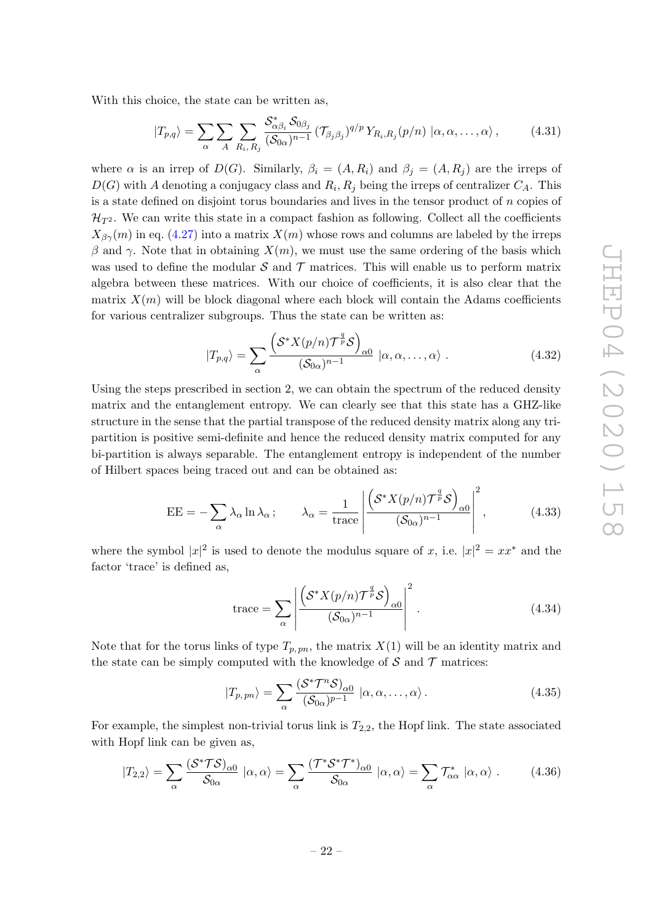With this choice, the state can be written as,

$$
|T_{p,q}\rangle = \sum_{\alpha} \sum_{A} \sum_{R_i, R_j} \frac{\mathcal{S}_{\alpha\beta_i}^* \mathcal{S}_{0\beta_j}}{(\mathcal{S}_{0\alpha})^{n-1}} (\mathcal{T}_{\beta_j\beta_j})^{q/p} Y_{R_i, R_j}(p/n) | \alpha, \alpha, \dots, \alpha \rangle, \tag{4.31}
$$

where  $\alpha$  is an irrep of  $D(G)$ . Similarly,  $\beta_i = (A, R_i)$  and  $\beta_j = (A, R_j)$  are the irreps of  $D(G)$  with A denoting a conjugacy class and  $R_i, R_j$  being the irreps of centralizer  $C_A$ . This is a state defined on disjoint torus boundaries and lives in the tensor product of  $n$  copies of  $\mathcal{H}_{T^2}$ . We can write this state in a compact fashion as following. Collect all the coefficients  $X_{\beta\gamma}(m)$  in eq. [\(4.27\)](#page-22-0) into a matrix  $X(m)$  whose rows and columns are labeled by the irreps β and γ. Note that in obtaining  $X(m)$ , we must use the same ordering of the basis which was used to define the modular  $S$  and  $T$  matrices. This will enable us to perform matrix algebra between these matrices. With our choice of coefficients, it is also clear that the matrix  $X(m)$  will be block diagonal where each block will contain the Adams coefficients for various centralizer subgroups. Thus the state can be written as:

$$
|T_{p,q}\rangle = \sum_{\alpha} \frac{\left(\mathcal{S}^* X(p/n) \mathcal{T}^{\frac{q}{p}} \mathcal{S}\right)_{\alpha 0}}{(\mathcal{S}_{0\alpha})^{n-1}} \, |\alpha, \alpha, \dots, \alpha\rangle \; . \tag{4.32}
$$

Using the steps prescribed in section 2, we can obtain the spectrum of the reduced density matrix and the entanglement entropy. We can clearly see that this state has a GHZ-like structure in the sense that the partial transpose of the reduced density matrix along any tripartition is positive semi-definite and hence the reduced density matrix computed for any bi-partition is always separable. The entanglement entropy is independent of the number of Hilbert spaces being traced out and can be obtained as:

<span id="page-23-0"></span>
$$
EE = -\sum_{\alpha} \lambda_{\alpha} \ln \lambda_{\alpha}; \qquad \lambda_{\alpha} = \frac{1}{\text{trace}} \left| \frac{\left( \mathcal{S}^* X(p/n) \mathcal{T}^{\frac{q}{p}} \mathcal{S} \right)_{\alpha 0}}{(\mathcal{S}_{0\alpha})^{n-1}} \right|^2, \tag{4.33}
$$

where the symbol  $|x|^2$  is used to denote the modulus square of x, i.e.  $|x|^2 = xx^*$  and the factor 'trace' is defined as,

$$
\text{trace} = \sum_{\alpha} \left| \frac{\left( \mathcal{S}^* X(p/n) \mathcal{T}^{\frac{q}{p}} \mathcal{S} \right)_{\alpha 0}}{(\mathcal{S}_{0\alpha})^{n-1}} \right|^2. \tag{4.34}
$$

Note that for the torus links of type  $T_{p, pn}$ , the matrix  $X(1)$  will be an identity matrix and the state can be simply computed with the knowledge of  $S$  and  $T$  matrices:

$$
|T_{p, pn}\rangle = \sum_{\alpha} \frac{(\mathcal{S}^* \mathcal{T}^n \mathcal{S})_{\alpha 0}}{(\mathcal{S}_{0\alpha})^{p-1}} \, |\alpha, \alpha, \dots, \alpha\rangle \,.
$$
 (4.35)

For example, the simplest non-trivial torus link is  $T_{2,2}$ , the Hopf link. The state associated with Hopf link can be given as,

$$
|T_{2,2}\rangle = \sum_{\alpha} \frac{(\mathcal{S}^* \mathcal{T} \mathcal{S})_{\alpha 0}}{\mathcal{S}_{0\alpha}} | \alpha, \alpha \rangle = \sum_{\alpha} \frac{(\mathcal{T}^* \mathcal{S}^* \mathcal{T}^*)_{\alpha 0}}{\mathcal{S}_{0\alpha}} | \alpha, \alpha \rangle = \sum_{\alpha} \mathcal{T}^*_{\alpha \alpha} | \alpha, \alpha \rangle . \tag{4.36}
$$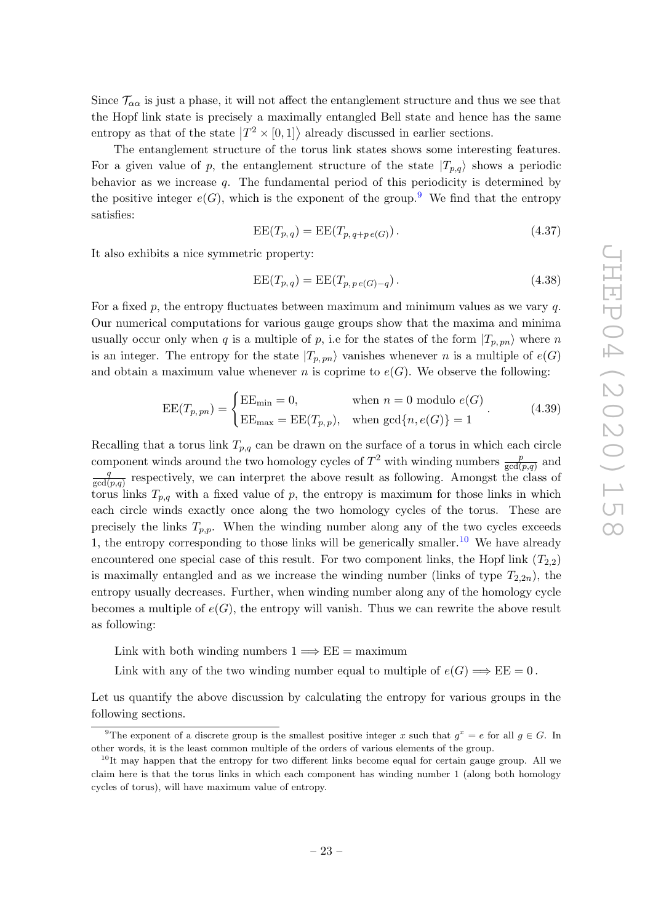Since  $\mathcal{T}_{\alpha\alpha}$  is just a phase, it will not affect the entanglement structure and thus we see that the Hopf link state is precisely a maximally entangled Bell state and hence has the same entropy as that of the state  $|T^2 \times [0,1] \rangle$  already discussed in earlier sections.

The entanglement structure of the torus link states shows some interesting features. For a given value of p, the entanglement structure of the state  $|T_{p,q}\rangle$  shows a periodic behavior as we increase q. The fundamental period of this periodicity is determined by the positive integer  $e(G)$ , which is the exponent of the group.<sup>[9](#page-24-0)</sup> We find that the entropy satisfies:

<span id="page-24-2"></span>
$$
EE(T_{p,q}) = EE(T_{p,q+p e(G)}).
$$
\n(4.37)

It also exhibits a nice symmetric property:

$$
EE(T_{p,q}) = EE(T_{p,pe(G)-q}).
$$
\n(4.38)

For a fixed  $p$ , the entropy fluctuates between maximum and minimum values as we vary  $q$ . Our numerical computations for various gauge groups show that the maxima and minima usually occur only when q is a multiple of p, i.e for the states of the form  $|T_{p, pn}\rangle$  where n is an integer. The entropy for the state  $|T_{p, pn}\rangle$  vanishes whenever n is a multiple of  $e(G)$ and obtain a maximum value whenever n is coprime to  $e(G)$ . We observe the following:

$$
EE(T_{p, pn}) = \begin{cases} EE_{\min} = 0, & \text{when } n = 0 \text{ modulo } e(G) \\ EE_{\max} = EE(T_{p, p}), & \text{when } \gcd\{n, e(G)\} = 1 \end{cases}
$$
 (4.39)

Recalling that a torus link  $T_{p,q}$  can be drawn on the surface of a torus in which each circle component winds around the two homology cycles of  $T^2$  with winding numbers  $\frac{p}{gcd}$  $\frac{p}{\gcd(p,q)}$  and q  $\frac{q}{\gcd(p,q)}$  respectively, we can interpret the above result as following. Amongst the class of torus links  $T_{p,q}$  with a fixed value of p, the entropy is maximum for those links in which each circle winds exactly once along the two homology cycles of the torus. These are precisely the links  $T_{p,p}$ . When the winding number along any of the two cycles exceeds 1, the entropy corresponding to those links will be generically smaller.<sup>[10](#page-24-1)</sup> We have already encountered one special case of this result. For two component links, the Hopf link  $(T_{2,2})$ is maximally entangled and as we increase the winding number (links of type  $T_{2,2n}$ ), the entropy usually decreases. Further, when winding number along any of the homology cycle becomes a multiple of  $e(G)$ , the entropy will vanish. Thus we can rewrite the above result as following:

Link with both winding numbers  $1 \Longrightarrow EE =$  maximum

Link with any of the two winding number equal to multiple of  $e(G) \Longrightarrow EE = 0$ .

Let us quantify the above discussion by calculating the entropy for various groups in the following sections.

<span id="page-24-0"></span><sup>&</sup>lt;sup>9</sup>The exponent of a discrete group is the smallest positive integer x such that  $g^x = e$  for all  $g \in G$ . In other words, it is the least common multiple of the orders of various elements of the group.

<span id="page-24-1"></span> $10$ It may happen that the entropy for two different links become equal for certain gauge group. All we claim here is that the torus links in which each component has winding number 1 (along both homology cycles of torus), will have maximum value of entropy.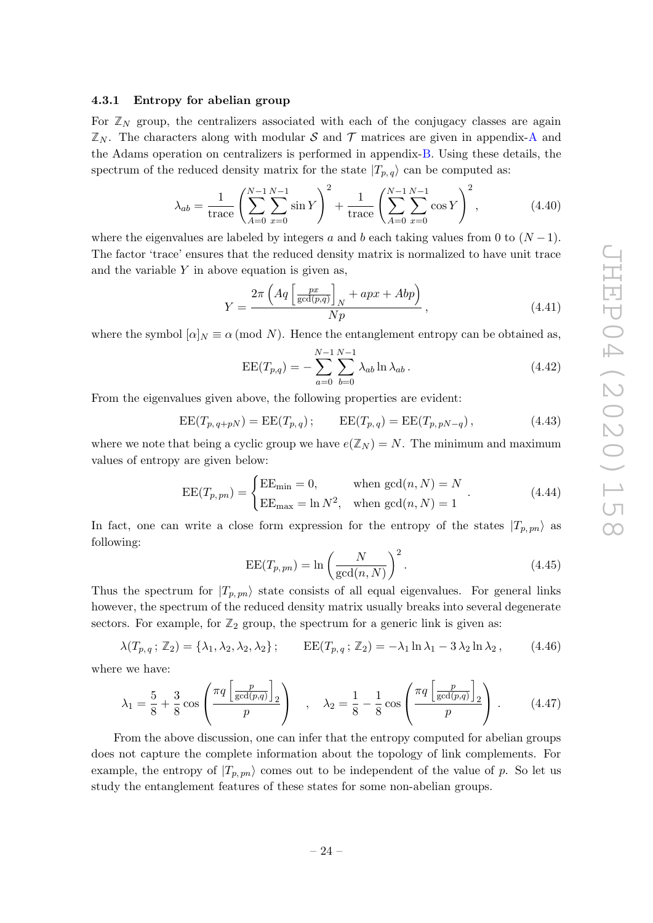#### <span id="page-25-0"></span>4.3.1 Entropy for abelian group

For  $\mathbb{Z}_N$  group, the centralizers associated with each of the conjugacy classes are again  $\mathbb{Z}_N$ . The characters along with modular S and T matrices are given in appendix-[A](#page-32-0) and the Adams operation on centralizers is performed in appendix-[B.](#page-42-0) Using these details, the spectrum of the reduced density matrix for the state  $|T_{p,q}\rangle$  can be computed as:

$$
\lambda_{ab} = \frac{1}{\text{trace}} \left( \sum_{A=0}^{N-1} \sum_{x=0}^{N-1} \sin Y \right)^2 + \frac{1}{\text{trace}} \left( \sum_{A=0}^{N-1} \sum_{x=0}^{N-1} \cos Y \right)^2, \tag{4.40}
$$

where the eigenvalues are labeled by integers  $a$  and  $b$  each taking values from 0 to  $(N-1)$ . The factor 'trace' ensures that the reduced density matrix is normalized to have unit trace and the variable  $Y$  in above equation is given as,

$$
Y = \frac{2\pi \left( Aq \left[ \frac{px}{\gcd(p,q)} \right]_N + apx + Abp \right)}{Np}, \qquad (4.41)
$$

where the symbol  $[\alpha]_N \equiv \alpha \pmod{N}$ . Hence the entanglement entropy can be obtained as,

$$
EE(T_{p,q}) = -\sum_{a=0}^{N-1} \sum_{b=0}^{N-1} \lambda_{ab} \ln \lambda_{ab}.
$$
 (4.42)

From the eigenvalues given above, the following properties are evident:

$$
EE(T_{p,q+pN}) = EE(T_{p,q}); \qquad EE(T_{p,q}) = EE(T_{p,pN-q}), \qquad (4.43)
$$

where we note that being a cyclic group we have  $e(\mathbb{Z}_N) = N$ . The minimum and maximum values of entropy are given below:

$$
EE(T_{p,pn}) = \begin{cases} EE_{\min} = 0, & \text{when } \gcd(n, N) = N \\ EE_{\max} = \ln N^2, & \text{when } \gcd(n, N) = 1 \end{cases} .
$$
 (4.44)

In fact, one can write a close form expression for the entropy of the states  $|T_{p, pn}\rangle$  as following:

<span id="page-25-1"></span>
$$
EE(T_{p,pn}) = \ln\left(\frac{N}{\gcd(n,N)}\right)^2.
$$
\n(4.45)

Thus the spectrum for  $|T_{p, pn}\rangle$  state consists of all equal eigenvalues. For general links however, the spectrum of the reduced density matrix usually breaks into several degenerate sectors. For example, for  $\mathbb{Z}_2$  group, the spectrum for a generic link is given as:

$$
\lambda(T_{p,q}\,;\,\mathbb{Z}_2)=\{\lambda_1,\lambda_2,\lambda_2,\lambda_2\}\,;\qquad \text{EE}(T_{p,q}\,;\,\mathbb{Z}_2)=-\lambda_1\ln\lambda_1-3\,\lambda_2\ln\lambda_2\,,\tag{4.46}
$$

where we have:

$$
\lambda_1 = \frac{5}{8} + \frac{3}{8} \cos \left( \frac{\pi q \left[ \frac{p}{\gcd(p,q)} \right]_2}{p} \right) , \quad \lambda_2 = \frac{1}{8} - \frac{1}{8} \cos \left( \frac{\pi q \left[ \frac{p}{\gcd(p,q)} \right]_2}{p} \right).
$$
 (4.47)

From the above discussion, one can infer that the entropy computed for abelian groups does not capture the complete information about the topology of link complements. For example, the entropy of  $|T_{p, pn}\rangle$  comes out to be independent of the value of p. So let us study the entanglement features of these states for some non-abelian groups.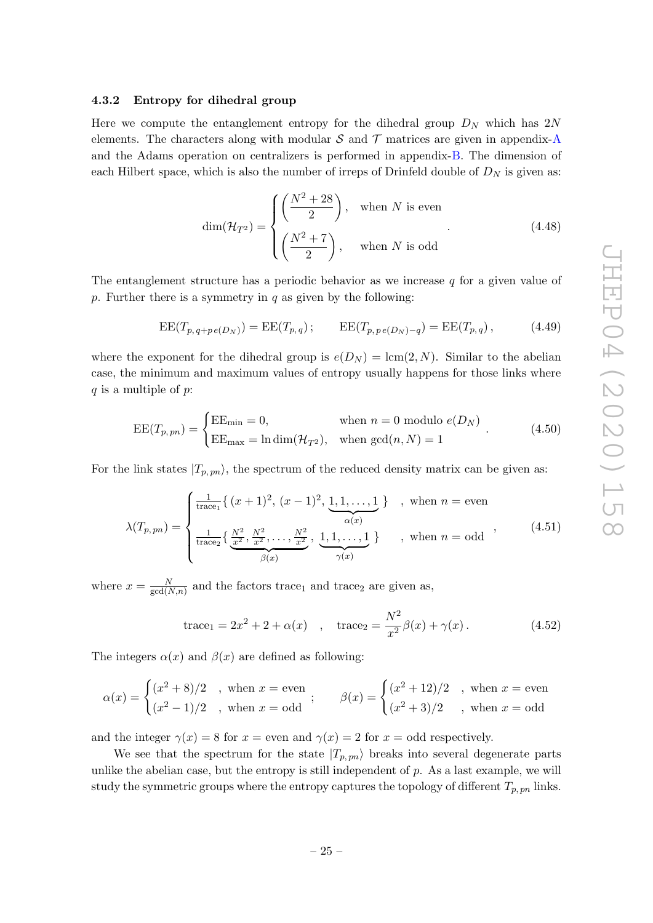#### <span id="page-26-0"></span>4.3.2 Entropy for dihedral group

Here we compute the entanglement entropy for the dihedral group  $D_N$  which has  $2N$ elements. The characters along with modular  $S$  and  $T$  matrices are given in appendix-[A](#page-32-0) and the Adams operation on centralizers is performed in appendix-[B.](#page-42-0) The dimension of each Hilbert space, which is also the number of irreps of Drinfeld double of  $D_N$  is given as:

$$
\dim(\mathcal{H}_{T^2}) = \begin{cases} \left(\frac{N^2 + 28}{2}\right), & \text{when } N \text{ is even} \\ \left(\frac{N^2 + 7}{2}\right), & \text{when } N \text{ is odd} \end{cases}
$$
 (4.48)

The entanglement structure has a periodic behavior as we increase  $q$  for a given value of p. Further there is a symmetry in  $q$  as given by the following:

$$
EE(T_{p,q+p e(D_N)}) = EE(T_{p,q}); \qquad EE(T_{p,p e(D_N)-q}) = EE(T_{p,q}), \qquad (4.49)
$$

where the exponent for the dihedral group is  $e(D_N) = \text{lcm}(2, N)$ . Similar to the abelian case, the minimum and maximum values of entropy usually happens for those links where  $q$  is a multiple of  $p$ :

$$
EE(T_{p, pn}) = \begin{cases} EE_{\min} = 0, & \text{when } n = 0 \text{ modulo } e(D_N) \\ EE_{\max} = \ln \dim(\mathcal{H}_{T^2}), & \text{when } \gcd(n, N) = 1 \end{cases} . \tag{4.50}
$$

For the link states  $|T_{p, pn}\rangle$ , the spectrum of the reduced density matrix can be given as:

<span id="page-26-1"></span>
$$
\lambda(T_{p, pn}) = \begin{cases} \frac{1}{\text{trace}_1} \{ (x+1)^2, (x-1)^2, \underbrace{1, 1, \dots, 1}_{\alpha(x)} \} & , \text{ when } n = \text{even} \\ \frac{1}{\text{trace}_2} \{ \underbrace{\frac{N^2}{x^2}, \frac{N^2}{x^2}, \dots, \frac{N^2}{x^2}}_{\beta(x)}, \underbrace{1, 1, \dots, 1}_{\gamma(x)} \} & , \text{ when } n = \text{odd} \end{cases}
$$
(4.51)

where  $x = \frac{N}{\gcd(N)}$  $\frac{N}{\gcd(N,n)}$  and the factors trace<sub>1</sub> and trace<sub>2</sub> are given as,

trace<sub>1</sub> = 
$$
2x^2 + 2 + \alpha(x)
$$
, trace<sub>2</sub> =  $\frac{N^2}{x^2}\beta(x) + \gamma(x)$ . (4.52)

The integers  $\alpha(x)$  and  $\beta(x)$  are defined as following:

$$
\alpha(x) = \begin{cases} (x^2 + 8)/2 & , \text{ when } x = \text{even} \\ (x^2 - 1)/2 & , \text{ when } x = \text{odd} \end{cases}; \qquad \beta(x) = \begin{cases} (x^2 + 12)/2 & , \text{ when } x = \text{even} \\ (x^2 + 3)/2 & , \text{ when } x = \text{odd} \end{cases}
$$

and the integer  $\gamma(x) = 8$  for  $x =$  even and  $\gamma(x) = 2$  for  $x =$  odd respectively.

We see that the spectrum for the state  $|T_{p, pn}\rangle$  breaks into several degenerate parts unlike the abelian case, but the entropy is still independent of  $p$ . As a last example, we will study the symmetric groups where the entropy captures the topology of different  $T_{p,\,pn}$  links.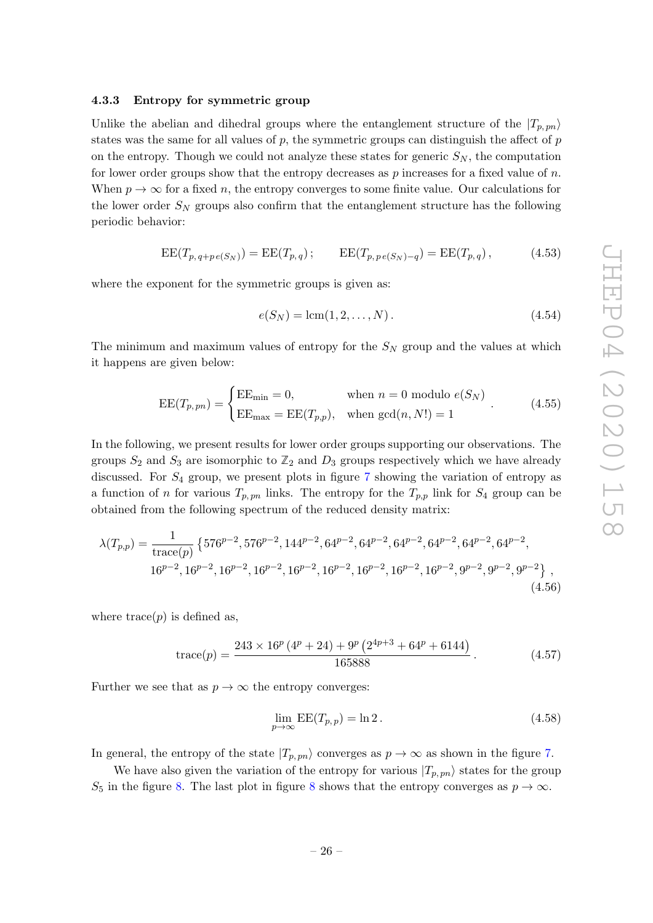#### <span id="page-27-0"></span>4.3.3 Entropy for symmetric group

Unlike the abelian and dihedral groups where the entanglement structure of the  $|T_{p, pn}\rangle$ states was the same for all values of  $p$ , the symmetric groups can distinguish the affect of  $p$ on the entropy. Though we could not analyze these states for generic  $S_N$ , the computation for lower order groups show that the entropy decreases as  $p$  increases for a fixed value of  $n$ . When  $p \to \infty$  for a fixed n, the entropy converges to some finite value. Our calculations for the lower order  $S_N$  groups also confirm that the entanglement structure has the following periodic behavior:

$$
EE(T_{p,q+p e(S_N)}) = EE(T_{p,q}); \qquad EE(T_{p,p e(S_N)-q}) = EE(T_{p,q}), \qquad (4.53)
$$

where the exponent for the symmetric groups is given as:

$$
e(S_N) = \text{lcm}(1, 2, \dots, N). \tag{4.54}
$$

The minimum and maximum values of entropy for the  $S_N$  group and the values at which it happens are given below:

<span id="page-27-1"></span>
$$
EE(T_{p, pn}) = \begin{cases} EE_{\min} = 0, & \text{when } n = 0 \text{ modulo } e(S_N) \\ EE_{\max} = EE(T_{p, p}), & \text{when } \gcd(n, N!) = 1 \end{cases} . \tag{4.55}
$$

In the following, we present results for lower order groups supporting our observations. The groups  $S_2$  and  $S_3$  are isomorphic to  $\mathbb{Z}_2$  and  $D_3$  groups respectively which we have already discussed. For S<sup>4</sup> group, we present plots in figure [7](#page-28-1) showing the variation of entropy as a function of *n* for various  $T_{p, pn}$  links. The entropy for the  $T_{p, p}$  link for  $S_4$  group can be obtained from the following spectrum of the reduced density matrix:

$$
\lambda(T_{p,p}) = \frac{1}{\text{trace}(p)} \left\{ 576^{p-2}, 576^{p-2}, 144^{p-2}, 64^{p-2}, 64^{p-2}, 64^{p-2}, 64^{p-2}, 64^{p-2}, 64^{p-2}, \right. \\
\left. 16^{p-2}, 16^{p-2}, 16^{p-2}, 16^{p-2}, 16^{p-2}, 16^{p-2}, 16^{p-2}, 16^{p-2}, 9^{p-2}, 9^{p-2}, 9^{p-2}, 9^{p-2} \right\},\n \tag{4.56}
$$

where  $trace(p)$  is defined as,

trace(p) = 
$$
\frac{243 \times 16^p (4^p + 24) + 9^p (2^{4p+3} + 64^p + 6144)}{165888}
$$
 (4.57)

Further we see that as  $p \to \infty$  the entropy converges:

$$
\lim_{p \to \infty} \text{EE}(T_{p,p}) = \ln 2. \tag{4.58}
$$

In general, the entropy of the state  $|T_{p, pn}\rangle$  converges as  $p \to \infty$  as shown in the figure [7](#page-28-1).

We have also given the variation of the entropy for various  $|T_{p, pn}\rangle$  states for the group S<sub>5</sub> in the figure [8.](#page-29-0) The last plot in figure [8](#page-29-0) shows that the entropy converges as  $p \to \infty$ .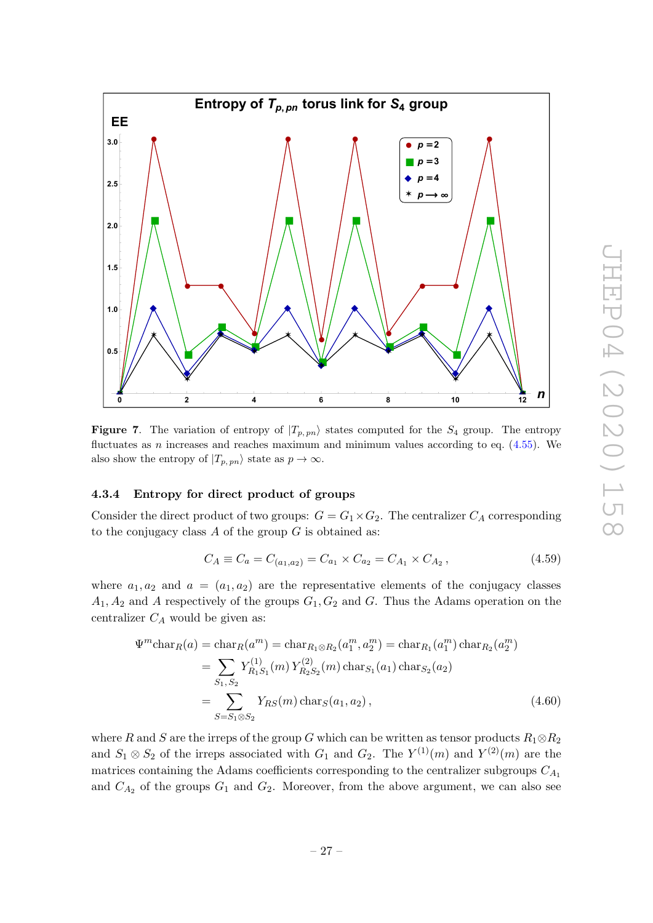

<span id="page-28-1"></span>**Figure 7.** The variation of entropy of  $|T_{p, pn}\rangle$  states computed for the  $S_4$  group. The entropy fluctuates as *n* increases and reaches maximum and minimum values according to eq.  $(4.55)$ . We also show the entropy of  $|T_{p, pn}\rangle$  state as  $p \to \infty$ .

#### <span id="page-28-0"></span>4.3.4 Entropy for direct product of groups

Consider the direct product of two groups:  $G = G_1 \times G_2$ . The centralizer  $C_A$  corresponding to the conjugacy class  $A$  of the group  $G$  is obtained as:

$$
C_A \equiv C_a = C_{(a_1, a_2)} = C_{a_1} \times C_{a_2} = C_{A_1} \times C_{A_2}, \qquad (4.59)
$$

where  $a_1, a_2$  and  $a = (a_1, a_2)$  are the representative elements of the conjugacy classes  $A_1, A_2$  and A respectively of the groups  $G_1, G_2$  and G. Thus the Adams operation on the centralizer  $C_A$  would be given as:

$$
\Psi^{m} \text{char}_{R}(a) = \text{char}_{R}(a^{m}) = \text{char}_{R_{1} \otimes R_{2}}(a_{1}^{m}, a_{2}^{m}) = \text{char}_{R_{1}}(a_{1}^{m}) \text{char}_{R_{2}}(a_{2}^{m})
$$
\n
$$
= \sum_{S_{1}, S_{2}} Y_{R_{1}S_{1}}^{(1)}(m) Y_{R_{2}S_{2}}^{(2)}(m) \text{char}_{S_{1}}(a_{1}) \text{char}_{S_{2}}(a_{2})
$$
\n
$$
= \sum_{S=S_{1} \otimes S_{2}} Y_{RS}(m) \text{char}_{S}(a_{1}, a_{2}), \qquad (4.60)
$$

where R and S are the irreps of the group G which can be written as tensor products  $R_1 \otimes R_2$ and  $S_1 \otimes S_2$  of the irreps associated with  $G_1$  and  $G_2$ . The  $Y^{(1)}(m)$  and  $Y^{(2)}(m)$  are the matrices containing the Adams coefficients corresponding to the centralizer subgroups  $C_{A_1}$ and  $C_{A_2}$  of the groups  $G_1$  and  $G_2$ . Moreover, from the above argument, we can also see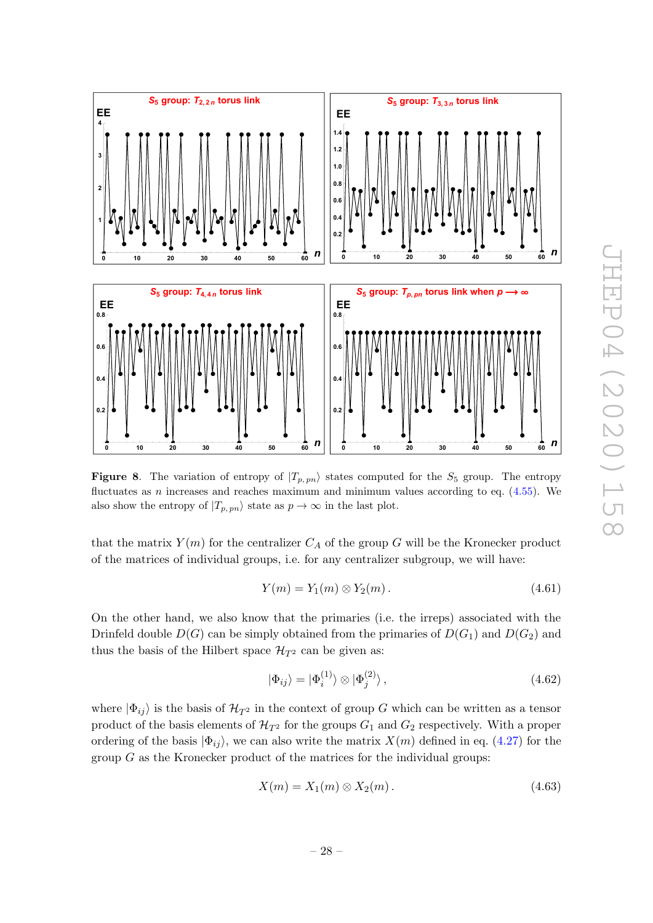

<span id="page-29-0"></span>**Figure 8.** The variation of entropy of  $|T_{p, pn}\rangle$  states computed for the  $S_5$  group. The entropy fluctuates as *n* increases and reaches maximum and minimum values according to eq.  $(4.55)$ . We also show the entropy of  $|T_{p, pn}\rangle$  state as  $p \to \infty$  in the last plot.

that the matrix  $Y(m)$  for the centralizer  $C_A$  of the group G will be the Kronecker product of the matrices of individual groups, i.e. for any centralizer subgroup, we will have:

$$
Y(m) = Y_1(m) \otimes Y_2(m). \tag{4.61}
$$

On the other hand, we also know that the primaries (i.e. the irreps) associated with the Drinfeld double  $D(G)$  can be simply obtained from the primaries of  $D(G_1)$  and  $D(G_2)$  and thus the basis of the Hilbert space  $\mathcal{H}_{T^2}$  can be given as:

$$
|\Phi_{ij}\rangle = |\Phi_i^{(1)}\rangle \otimes |\Phi_j^{(2)}\rangle, \qquad (4.62)
$$

where  $|\Phi_{ij}\rangle$  is the basis of  $\mathcal{H}_{T^2}$  in the context of group G which can be written as a tensor product of the basis elements of  $\mathcal{H}_{T^2}$  for the groups  $G_1$  and  $G_2$  respectively. With a proper ordering of the basis  $|\Phi_{ij}\rangle$ , we can also write the matrix  $X(m)$  defined in eq. [\(4.27\)](#page-22-0) for the group  $G$  as the Kronecker product of the matrices for the individual groups:

$$
X(m) = X_1(m) \otimes X_2(m). \tag{4.63}
$$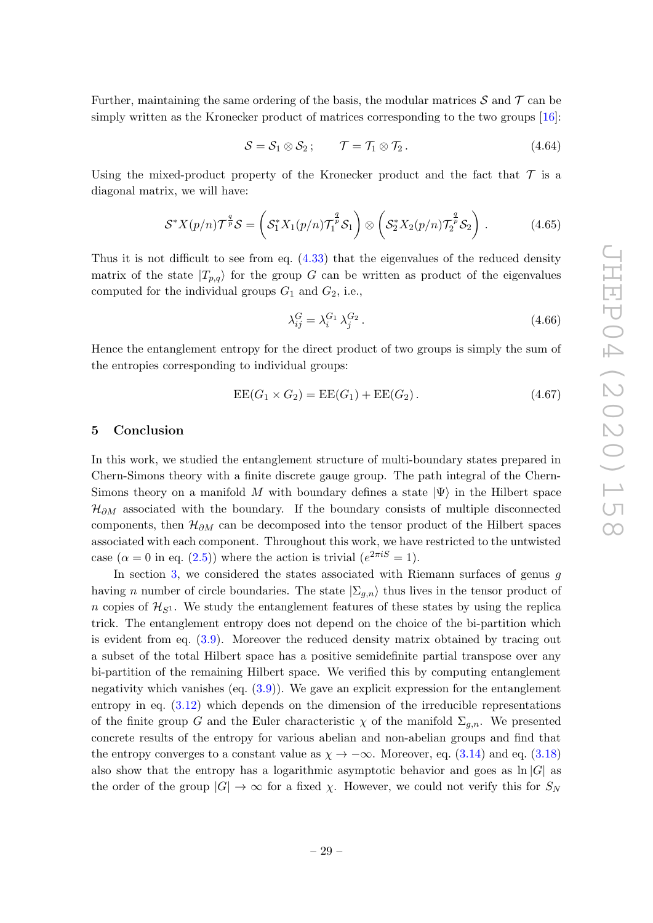Further, maintaining the same ordering of the basis, the modular matrices  $\mathcal S$  and  $\mathcal T$  can be simply written as the Kronecker product of matrices corresponding to the two groups [\[16\]](#page-47-13):

$$
S = S_1 \otimes S_2; \qquad \mathcal{T} = \mathcal{T}_1 \otimes \mathcal{T}_2. \tag{4.64}
$$

Using the mixed-product property of the Kronecker product and the fact that  $\mathcal T$  is a diagonal matrix, we will have:

$$
\mathcal{S}^* X(p/n) \mathcal{T}^{\frac{q}{p}} \mathcal{S} = \left( \mathcal{S}_1^* X_1(p/n) \mathcal{T}_1^{\frac{q}{p}} \mathcal{S}_1 \right) \otimes \left( \mathcal{S}_2^* X_2(p/n) \mathcal{T}_2^{\frac{q}{p}} \mathcal{S}_2 \right).
$$
 (4.65)

Thus it is not difficult to see from eq. [\(4.33\)](#page-23-0) that the eigenvalues of the reduced density matrix of the state  $|T_{p,q}\rangle$  for the group G can be written as product of the eigenvalues computed for the individual groups  $G_1$  and  $G_2$ , i.e.,

$$
\lambda_{ij}^G = \lambda_i^{G_1} \lambda_j^{G_2} \,. \tag{4.66}
$$

Hence the entanglement entropy for the direct product of two groups is simply the sum of the entropies corresponding to individual groups:

$$
EE(G_1 \times G_2) = EE(G_1) + EE(G_2).
$$
 (4.67)

#### <span id="page-30-0"></span>5 Conclusion

In this work, we studied the entanglement structure of multi-boundary states prepared in Chern-Simons theory with a finite discrete gauge group. The path integral of the Chern-Simons theory on a manifold M with boundary defines a state  $|\Psi\rangle$  in the Hilbert space  $\mathcal{H}_{\partial M}$  associated with the boundary. If the boundary consists of multiple disconnected components, then  $\mathcal{H}_{\partial M}$  can be decomposed into the tensor product of the Hilbert spaces associated with each component. Throughout this work, we have restricted to the untwisted case  $(\alpha = 0 \text{ in eq. } (2.5))$  $(\alpha = 0 \text{ in eq. } (2.5))$  $(\alpha = 0 \text{ in eq. } (2.5))$  where the action is trivial  $(e^{2\pi i S} = 1)$ .

In section [3,](#page-11-0) we considered the states associated with Riemann surfaces of genus g having *n* number of circle boundaries. The state  $|\Sigma_{g,n}\rangle$  thus lives in the tensor product of n copies of  $\mathcal{H}_{S^1}$ . We study the entanglement features of these states by using the replica trick. The entanglement entropy does not depend on the choice of the bi-partition which is evident from eq. [\(3.9\)](#page-12-0). Moreover the reduced density matrix obtained by tracing out a subset of the total Hilbert space has a positive semidefinite partial transpose over any bi-partition of the remaining Hilbert space. We verified this by computing entanglement negativity which vanishes (eq. [\(3.9\)](#page-12-0)). We gave an explicit expression for the entanglement entropy in eq.  $(3.12)$  which depends on the dimension of the irreducible representations of the finite group G and the Euler characteristic  $\chi$  of the manifold  $\Sigma_{g,n}$ . We presented concrete results of the entropy for various abelian and non-abelian groups and find that the entropy converges to a constant value as  $\chi \to -\infty$ . Moreover, eq. [\(3.14\)](#page-13-4) and eq. [\(3.18](#page-14-1)) also show that the entropy has a logarithmic asymptotic behavior and goes as  $\ln |G|$  as the order of the group  $|G| \to \infty$  for a fixed  $\chi$ . However, we could not verify this for  $S_N$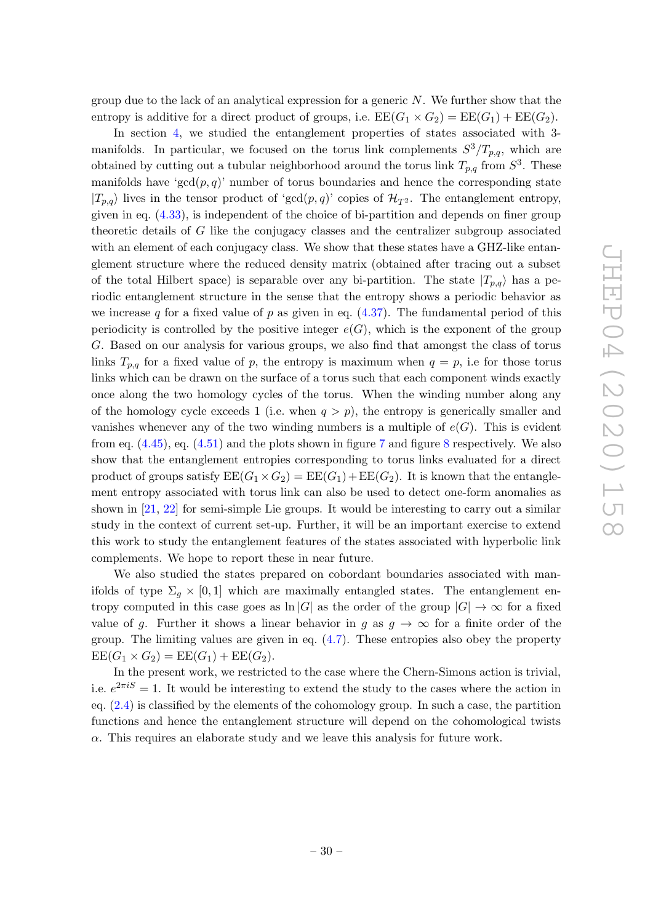group due to the lack of an analytical expression for a generic  $N$ . We further show that the entropy is additive for a direct product of groups, i.e.  $\text{EE}(G_1 \times G_2) = \text{EE}(G_1) + \text{EE}(G_2)$ .

In section [4,](#page-16-0) we studied the entanglement properties of states associated with 3 manifolds. In particular, we focused on the torus link complements  $S^3/T_{p,q}$ , which are obtained by cutting out a tubular neighborhood around the torus link  $T_{p,q}$  from  $S^3$ . These manifolds have 'gcd $(p, q)$ ' number of torus boundaries and hence the corresponding state  $|T_{p,q}\rangle$  lives in the tensor product of 'gcd $(p,q)$ ' copies of  $\mathcal{H}_{T^2}$ . The entanglement entropy, given in eq. [\(4.33\)](#page-23-0), is independent of the choice of bi-partition and depends on finer group theoretic details of G like the conjugacy classes and the centralizer subgroup associated with an element of each conjugacy class. We show that these states have a GHZ-like entanglement structure where the reduced density matrix (obtained after tracing out a subset of the total Hilbert space) is separable over any bi-partition. The state  $|T_{p,q}\rangle$  has a periodic entanglement structure in the sense that the entropy shows a periodic behavior as we increase q for a fixed value of  $p$  as given in eq.  $(4.37)$ . The fundamental period of this periodicity is controlled by the positive integer  $e(G)$ , which is the exponent of the group G. Based on our analysis for various groups, we also find that amongst the class of torus links  $T_{p,q}$  for a fixed value of p, the entropy is maximum when  $q=p$ , i.e for those torus links which can be drawn on the surface of a torus such that each component winds exactly once along the two homology cycles of the torus. When the winding number along any of the homology cycle exceeds 1 (i.e. when  $q > p$ ), the entropy is generically smaller and vanishes whenever any of the two winding numbers is a multiple of  $e(G)$ . This is evident from eq.  $(4.45)$ , eq.  $(4.51)$  and the plots shown in figure [7](#page-28-1) and figure [8](#page-29-0) respectively. We also show that the entanglement entropies corresponding to torus links evaluated for a direct product of groups satisfy  $\text{EE}(G_1 \times G_2) = \text{EE}(G_1) + \text{EE}(G_2)$ . It is known that the entanglement entropy associated with torus link can also be used to detect one-form anomalies as shown in [\[21](#page-47-18) , [22\]](#page-47-19) for semi-simple Lie groups. It would be interesting to carry out a similar study in the context of current set-up. Further, it will be an important exercise to extend this work to study the entanglement features of the states associated with hyperbolic link complements. We hope to report these in near future.

We also studied the states prepared on cobordant boundaries associated with manifolds of type  $\Sigma_g \times [0,1]$  which are maximally entangled states. The entanglement entropy computed in this case goes as  $\ln |G|$  as the order of the group  $|G| \to \infty$  for a fixed value of g. Further it shows a linear behavior in g as  $g \to \infty$  for a finite order of the group. The limiting values are given in eq. [\(4.7\)](#page-17-1). These entropies also obey the property  $\text{EE}(G_1 \times G_2) = \text{EE}(G_1) + \text{EE}(G_2).$ 

In the present work, we restricted to the case where the Chern-Simons action is trivial, i.e.  $e^{2\pi i S} = 1$ . It would be interesting to extend the study to the cases where the action in eq. [\(2.4\)](#page-5-2) is classified by the elements of the cohomology group. In such a case, the partition functions and hence the entanglement structure will depend on the cohomological twists  $\alpha$ . This requires an elaborate study and we leave this analysis for future work.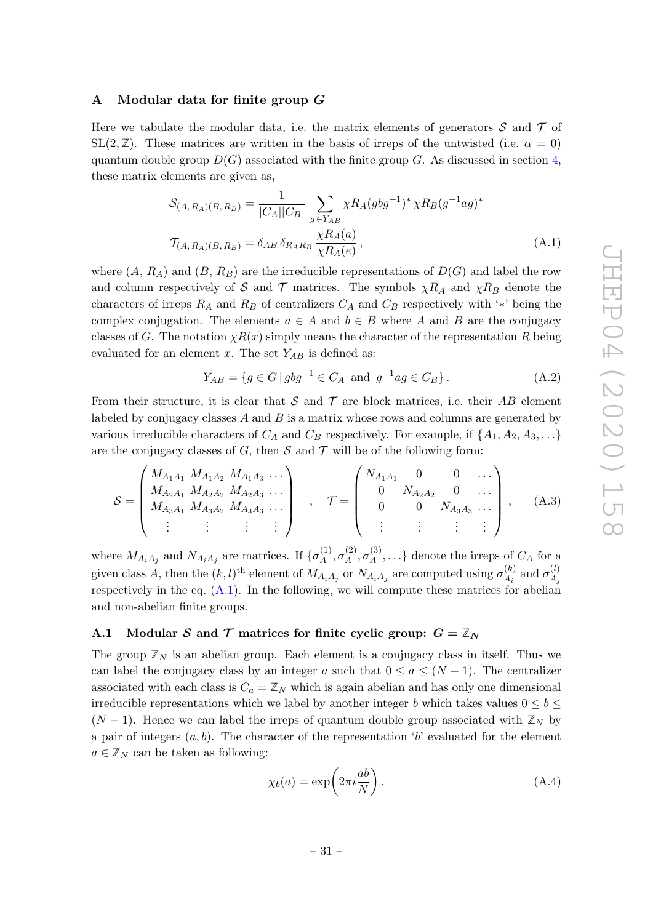## <span id="page-32-0"></span>A Modular data for finite group G

Here we tabulate the modular data, i.e. the matrix elements of generators  $\mathcal S$  and  $\mathcal T$  of SL(2,  $\mathbb{Z}$ ). These matrices are written in the basis of irreps of the untwisted (i.e.  $\alpha = 0$ ) quantum double group  $D(G)$  associated with the finite group G. As discussed in section [4](#page-16-0), these matrix elements are given as,

$$
S_{(A,R_A)(B,R_B)} = \frac{1}{|C_A||C_B|} \sum_{g \in Y_{AB}} \chi R_A(gbg^{-1})^* \chi R_B(g^{-1}ag)^*
$$
  

$$
\mathcal{T}_{(A,R_A)(B,R_B)} = \delta_{AB} \delta_{R_A R_B} \frac{\chi R_A(a)}{\chi R_A(e)},
$$
 (A.1)

where  $(A, R_A)$  and  $(B, R_B)$  are the irreducible representations of  $D(G)$  and label the row and column respectively of S and T matrices. The symbols  $\chi R_A$  and  $\chi R_B$  denote the characters of irreps  $R_A$  and  $R_B$  of centralizers  $C_A$  and  $C_B$  respectively with '\*' being the complex conjugation. The elements  $a \in A$  and  $b \in B$  where A and B are the conjugacy classes of G. The notation  $\chi R(x)$  simply means the character of the representation R being evaluated for an element x. The set  $Y_{AB}$  is defined as:

<span id="page-32-2"></span>
$$
Y_{AB} = \{ g \in G \mid gbg^{-1} \in C_A \text{ and } g^{-1}ag \in C_B \}.
$$
 (A.2)

From their structure, it is clear that  $S$  and  $T$  are block matrices, i.e. their  $AB$  element labeled by conjugacy classes  $A$  and  $B$  is a matrix whose rows and columns are generated by various irreducible characters of  $C_A$  and  $C_B$  respectively. For example, if  $\{A_1, A_2, A_3, \ldots\}$ are the conjugacy classes of G, then  $S$  and  $T$  will be of the following form:

$$
S = \begin{pmatrix} M_{A_1A_1} & M_{A_1A_2} & M_{A_1A_3} & \cdots \\ M_{A_2A_1} & M_{A_2A_2} & M_{A_2A_3} & \cdots \\ M_{A_3A_1} & M_{A_3A_2} & M_{A_3A_3} & \cdots \\ \vdots & \vdots & \vdots & \vdots \end{pmatrix} , \quad \mathcal{T} = \begin{pmatrix} N_{A_1A_1} & 0 & 0 & \cdots \\ 0 & N_{A_2A_2} & 0 & \cdots \\ 0 & 0 & N_{A_3A_3} & \cdots \\ \vdots & \vdots & \vdots & \vdots \end{pmatrix} , \quad (A.3)
$$

where  $M_{A_iA_j}$  and  $N_{A_iA_j}$  are matrices. If  $\{\sigma_A^{(1)}\}$  $\overset{(1)}{A},\overset{(2)}{\sigma_A^{\left( 2 \right)}}$  $\overset{(2)}{A},\overset{(3)}{\sigma_A^{\left( 3 \right)}}$  $\{A^{(5)}, \ldots\}$  denote the irreps of  $C_A$  for a given class A, then the  $(k, l)$ <sup>th</sup> element of  $M_{A_i A_j}$  or  $N_{A_i A_j}$  are computed using  $\sigma_{A_i}^{(k)}$  $\frac{d}{A_i}^{(k)}$  and  $\sigma_{A_j}^{(l)}$  $A_j$ respectively in the eq.  $(A.1)$ . In the following, we will compute these matrices for abelian and non-abelian finite groups.

## <span id="page-32-1"></span>A.1 Modular S and T matrices for finite cyclic group:  $G = \mathbb{Z}_N$

The group  $\mathbb{Z}_N$  is an abelian group. Each element is a conjugacy class in itself. Thus we can label the conjugacy class by an integer a such that  $0 \le a \le (N-1)$ . The centralizer associated with each class is  $C_a = \mathbb{Z}_N$  which is again abelian and has only one dimensional irreducible representations which we label by another integer b which takes values  $0 \leq b \leq$ ( $N-1$ ). Hence we can label the irreps of quantum double group associated with  $\mathbb{Z}_N$  by a pair of integers  $(a, b)$ . The character of the representation 'b' evaluated for the element  $a \in \mathbb{Z}_N$  can be taken as following:

$$
\chi_b(a) = \exp\left(2\pi i \frac{ab}{N}\right). \tag{A.4}
$$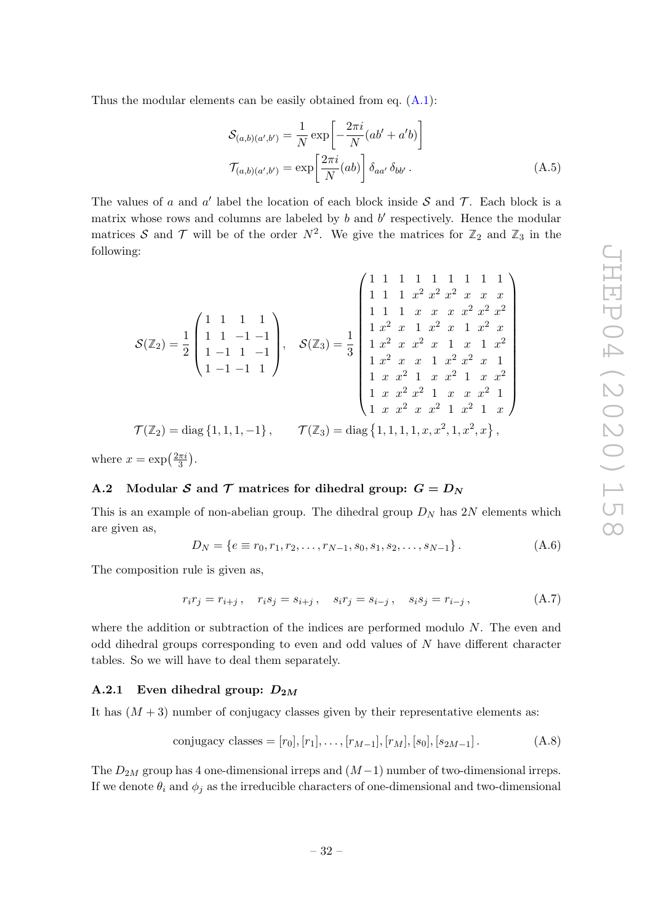Thus the modular elements can be easily obtained from eq.  $(A.1)$ :

$$
S_{(a,b)(a',b')} = \frac{1}{N} \exp\left[-\frac{2\pi i}{N}(ab' + a'b)\right]
$$

$$
\mathcal{T}_{(a,b)(a',b')} = \exp\left[\frac{2\pi i}{N}(ab)\right] \delta_{aa'} \delta_{bb'}.
$$
(A.5)

The values of a and a' label the location of each block inside  $S$  and  $T$ . Each block is a matrix whose rows and columns are labeled by  $b$  and  $b'$  respectively. Hence the modular matrices S and T will be of the order  $N^2$ . We give the matrices for  $\mathbb{Z}_2$  and  $\mathbb{Z}_3$  in the following:

$$
\mathcal{S}(\mathbb{Z}_2) = \frac{1}{2} \begin{pmatrix} 1 & 1 & 1 & 1 \\ 1 & 1 & 1 & 1 \\ 1 & 1 & -1 & -1 \\ 1 & -1 & 1 & -1 \end{pmatrix}, \quad \mathcal{S}(\mathbb{Z}_3) = \frac{1}{3} \begin{pmatrix} 1 & 1 & 1 & 1 & 1 & 1 & 1 \\ 1 & 1 & 1 & x & x & x^2 & x^2 & x^2 \\ 1 & x^2 & x & 1 & x^2 & x & 1 & x^2 & x^2 \\ 1 & x^2 & x & x^2 & x & 1 & x & 1 & x^2 \\ 1 & x^2 & x & x & 1 & x^2 & x & 1 \\ 1 & x & x^2 & 1 & x & x^2 & 1 & x & x^2 \\ 1 & x & x^2 & 1 & x & x^2 & 1 & x & x^2 \\ 1 & x & x^2 & x^2 & 1 & x & x^2 & 1 \\ 1 & x & x^2 & x & x^2 & 1 & x & x^2 \\ 1 & x & x^2 & x & x^2 & 1 & x^2 & 1 \\ 1 & x & x^2 & x & x^2 & 1 & x^2 & 1 \\ 1 & x & x^2 & x & x^2 & 1 & x^2 & 1 \\ 1 & x & x^2 & x & x^2 & 1 & x^2 & 1 \\ 1 & x & x^2 & x & x^2 & 1 & x^2 & 1 \\ 1 & x & x^2 & x & x^2 & 1 & x^2 & 1 \\ 1 & x & x^2 & x & x^2 & 1 & x^2 & 1 \\ 1 & x & x^2 & x & x^2 & 1 & x^2 & 1 \\ 1 & x & x^2 & x & x^2 & 1 & x^2 & 1 \\ 1 & x & x^2 & x & x^2 & 1 & x^2 & 1 \\ 1 & x & x^2 & x & x^2 & 1 & x^2 & 1 \\ 1 & x & x^2 & x & x^2 & 1 & x^2 & 1 \\ 1 & x & x^2 & x & x^2 & 1 & x^2 & 1 \\ 1 & x & x^2 & x & x^2 & 1 & x^2 & 1 \\ 1 & x & x^2 & x & x^2 & 1 & x^2 & 1 \\ 1 & x & x^2 & x & x^2 & 1 & x^2 & 1 \\ 1 & x & x^2 & x & x^2 & 1 & x^2
$$

where  $x = \exp\left(\frac{2\pi i}{3}\right)$  $\frac{\pi i}{3}$ .

## <span id="page-33-0"></span>A.2 Modular S and T matrices for dihedral group:  $G = D_N$

This is an example of non-abelian group. The dihedral group  $D<sub>N</sub>$  has  $2N$  elements which are given as,

$$
D_N = \{e \equiv r_0, r_1, r_2, \dots, r_{N-1}, s_0, s_1, s_2, \dots, s_{N-1}\}.
$$
 (A.6)

The composition rule is given as,

$$
r_i r_j = r_{i+j}, \quad r_i s_j = s_{i+j}, \quad s_i r_j = s_{i-j}, \quad s_i s_j = r_{i-j}, \tag{A.7}
$$

where the addition or subtraction of the indices are performed modulo N. The even and odd dihedral groups corresponding to even and odd values of N have different character tables. So we will have to deal them separately.

## <span id="page-33-1"></span>A.2.1 Even dihedral group:  $D_{2M}$

It has  $(M+3)$  number of conjugacy classes given by their representative elements as:

conjugacy classes = 
$$
[r_0], [r_1], \ldots, [r_{M-1}], [r_M], [s_0], [s_{2M-1}].
$$
 (A.8)

The  $D_{2M}$  group has 4 one-dimensional irreps and  $(M-1)$  number of two-dimensional irreps. If we denote  $\theta_i$  and  $\phi_j$  as the irreducible characters of one-dimensional and two-dimensional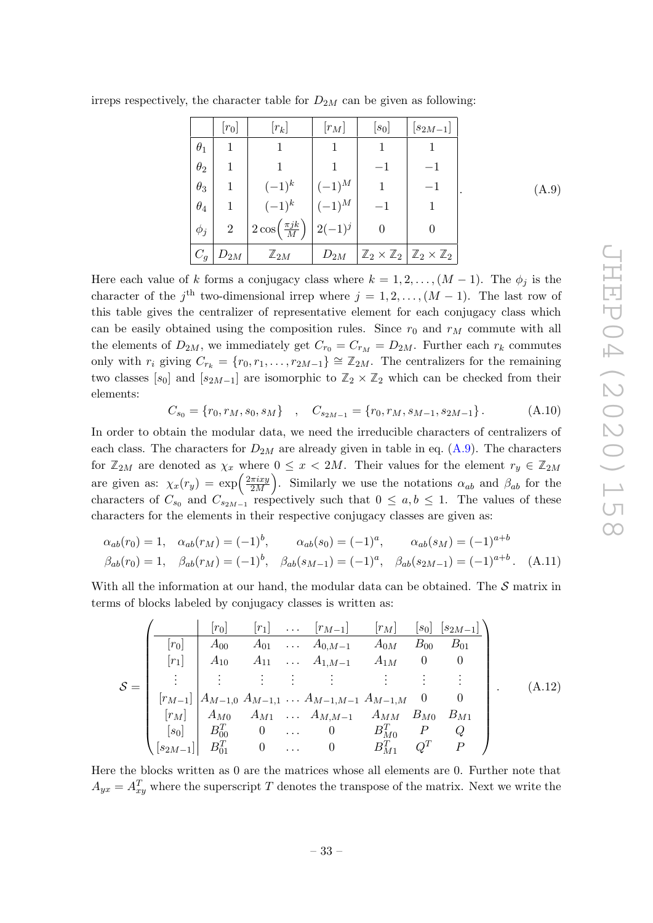$(A.9)$ 

<span id="page-34-0"></span>

|            | $[r_0]$        | $[r_k]$                                                         | $\lfloor r_M \rfloor$ | $[s_0]$                                                               | $\left\lfloor s_{2M-1} \right\rfloor$ |
|------------|----------------|-----------------------------------------------------------------|-----------------------|-----------------------------------------------------------------------|---------------------------------------|
| $\theta_1$ |                |                                                                 | 1                     |                                                                       |                                       |
| $\theta_2$ |                |                                                                 |                       |                                                                       |                                       |
| $\theta_3$ |                | $(-1)^k$                                                        | $(-1)^{M}$            |                                                                       |                                       |
| $\theta_4$ |                | $(-1)^k$                                                        | $(-1)^{M}$            |                                                                       |                                       |
| $\phi_j$   | $\overline{2}$ | $\left  2 \cos \left( \frac{\pi jk}{M} \right) \right  2(-1)^j$ |                       |                                                                       |                                       |
| $C_g$      | $D_{2M}$       | $\mathbb{Z}_{2M}$                                               | $D_{2M}$              | $\mathbb{Z}_2 \times \mathbb{Z}_2$ $\mathbb{Z}_2 \times \mathbb{Z}_2$ |                                       |

irreps respectively, the character table for  $D_{2M}$  can be given as following:

Here each value of k forms a conjugacy class where  $k = 1, 2, ..., (M - 1)$ . The  $\phi_j$  is the character of the  $j^{\text{th}}$  two-dimensional irrep where  $j = 1, 2, ..., (M - 1)$ . The last row of this table gives the centralizer of representative element for each conjugacy class which can be easily obtained using the composition rules. Since  $r_0$  and  $r_M$  commute with all the elements of  $D_{2M}$ , we immediately get  $C_{r_0} = C_{r_M} = D_{2M}$ . Further each  $r_k$  commutes only with  $r_i$  giving  $C_{r_k} = \{r_0, r_1, \ldots, r_{2M-1}\} \cong \mathbb{Z}_{2M}$ . The centralizers for the remaining two classes  $[s_0]$  and  $[s_{2M-1}]$  are isomorphic to  $\mathbb{Z}_2 \times \mathbb{Z}_2$  which can be checked from their elements:

$$
C_{s_0} = \{r_0, r_M, s_0, s_M\} \quad , \quad C_{s_{2M-1}} = \{r_0, r_M, s_{M-1}, s_{2M-1}\} \,. \tag{A.10}
$$

In order to obtain the modular data, we need the irreducible characters of centralizers of each class. The characters for  $D_{2M}$  are already given in table in eq. [\(A.9\)](#page-34-0). The characters for  $\mathbb{Z}_{2M}$  are denoted as  $\chi_x$  where  $0 \leq x < 2M$ . Their values for the element  $r_y \in \mathbb{Z}_{2M}$ are given as:  $\chi_x(r_y) = \exp\left(\frac{2\pi i x y}{2M}\right)$ 2M ). Similarly we use the notations  $\alpha_{ab}$  and  $\beta_{ab}$  for the characters of  $C_{s_0}$  and  $C_{s_{2M-1}}$  respectively such that  $0 \leq a, b \leq 1$ . The values of these characters for the elements in their respective conjugacy classes are given as:

$$
\alpha_{ab}(r_0) = 1, \quad \alpha_{ab}(r_M) = (-1)^b, \qquad \alpha_{ab}(s_0) = (-1)^a, \qquad \alpha_{ab}(s_M) = (-1)^{a+b}
$$
  

$$
\beta_{ab}(r_0) = 1, \quad \beta_{ab}(r_M) = (-1)^b, \quad \beta_{ab}(s_{M-1}) = (-1)^a, \quad \beta_{ab}(s_{2M-1}) = (-1)^{a+b}. \quad (A.11)
$$

With all the information at our hand, the modular data can be obtained. The  $S$  matrix in terms of blocks labeled by conjugacy classes is written as:

$$
\mathcal{S} = \begin{pmatrix}\n[r_0] & [r_1] & \dots & [r_{M-1}] & [r_M] & [s_0] & [s_{2M-1}]\n[r_0] & A_{00} & A_{01} & \dots & A_{0,M-1} & A_{0M} & B_{00} & B_{01} \\
[r_1] & A_{10} & A_{11} & \dots & A_{1,M-1} & A_{1M} & 0 & 0 \\
\vdots & \vdots & \vdots & \vdots & \vdots & \vdots & \vdots & \vdots \\
[r_{M-1}] & A_{M-1,0} & A_{M-1,1} & \dots & A_{M-1,M-1} & A_{M-1,M} & 0 & 0 \\
[r_M] & A_{M0} & A_{M1} & \dots & A_{M,M-1} & A_{MM} & B_{M0} & B_{M1} \\
[s_0] & B_{00}^T & 0 & \dots & 0 & B_{M0}^T & P & Q \\
[s_{2M-1}] & B_{01}^T & 0 & \dots & 0 & B_{M1}^T & Q^T & P\n\end{pmatrix}
$$
\n(A.12)

Here the blocks written as 0 are the matrices whose all elements are 0. Further note that  $A_{yx} = A_{xy}^T$  where the superscript T denotes the transpose of the matrix. Next we write the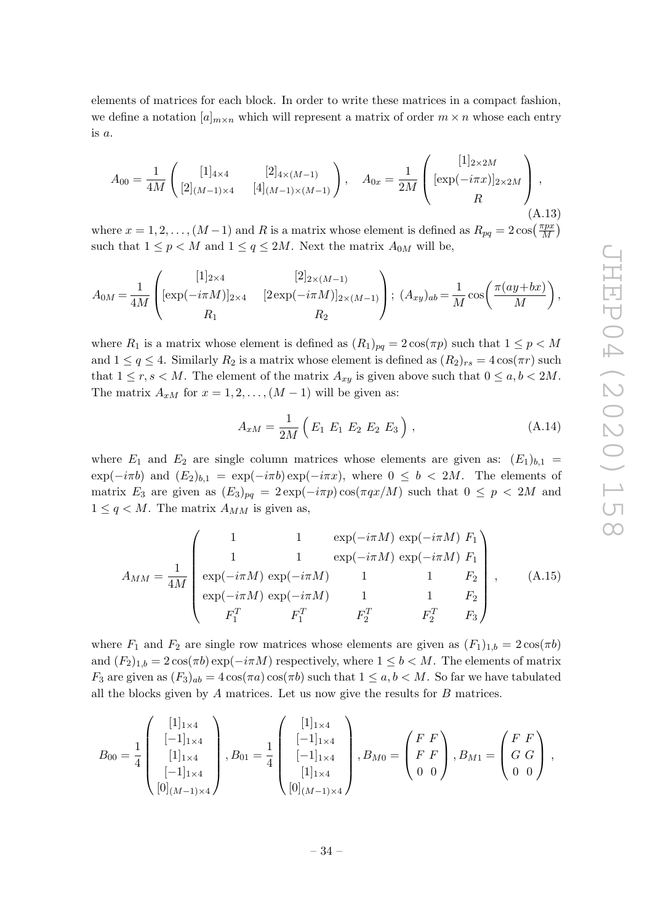elements of matrices for each block. In order to write these matrices in a compact fashion, we define a notation  $[a]_{m \times n}$  which will represent a matrix of order  $m \times n$  whose each entry  $is a.$ 

$$
A_{00} = \frac{1}{4M} \begin{pmatrix} [1]_{4\times4} & [2]_{4\times(M-1)} \\ [2]_{(M-1)\times4} & [4]_{(M-1)\times(M-1)} \end{pmatrix}, \quad A_{0x} = \frac{1}{2M} \begin{pmatrix} [1]_{2\times2M} \\ [\exp(-i\pi x)]_{2\times2M} \\ R \end{pmatrix},
$$
\n(A.13)

where  $x = 1, 2, ..., (M-1)$  and R is a matrix whose element is defined as  $R_{pq} = 2\cos(\frac{\pi px}{M})$  $\frac{\pi px}{M}$ such that  $1 \le p \le M$  and  $1 \le q \le 2M$ . Next the matrix  $A_{0M}$  will be,

$$
A_{0M} = \frac{1}{4M} \left( [\exp(-i\pi M)]_{2\times 4} \quad [2]_{2\times (M-1)} \atop R_1 \qquad [2\exp(-i\pi M)]_{2\times (M-1)} \right); (A_{xy})_{ab} = \frac{1}{M} \cos\left(\frac{\pi (ay+bx)}{M}\right),
$$

where  $R_1$  is a matrix whose element is defined as  $(R_1)_{pq} = 2\cos(\pi p)$  such that  $1 \leq p < M$ and  $1 \le q \le 4$ . Similarly  $R_2$  is a matrix whose element is defined as  $(R_2)_{rs} = 4 \cos(\pi r)$  such that  $1 \le r, s < M$ . The element of the matrix  $A_{xy}$  is given above such that  $0 \le a, b < 2M$ . The matrix  $A_{xM}$  for  $x = 1, 2, ..., (M - 1)$  will be given as:

$$
A_{xM} = \frac{1}{2M} \left( E_1 \ E_1 \ E_2 \ E_2 \ E_3 \right), \tag{A.14}
$$

where  $E_1$  and  $E_2$  are single column matrices whose elements are given as:  $(E_1)_{b,1}$  =  $\exp(-i\pi b)$  and  $(E_2)_{b,1} = \exp(-i\pi b) \exp(-i\pi x)$ , where  $0 \le b < 2M$ . The elements of matrix  $E_3$  are given as  $(E_3)_{pq} = 2 \exp(-i\pi p) \cos(\pi qx/M)$  such that  $0 \leq p < 2M$  and  $1 \leq q \leq M$ . The matrix  $A_{MM}$  is given as,

$$
A_{MM} = \frac{1}{4M} \begin{pmatrix} 1 & 1 & \exp(-i\pi M) \exp(-i\pi M) F_1 \\ 1 & 1 & \exp(-i\pi M) \exp(-i\pi M) F_1 \\ \exp(-i\pi M) \exp(-i\pi M) & 1 & 1 & F_2 \\ \exp(-i\pi M) \exp(-i\pi M) & 1 & 1 & F_2 \\ F_1^T & F_1^T & F_2^T & F_2^T & F_3 \end{pmatrix}, \quad (A.15)
$$

where  $F_1$  and  $F_2$  are single row matrices whose elements are given as  $(F_1)_{1,b} = 2\cos(\pi b)$ and  $(F_2)_{1,b} = 2\cos(\pi b) \exp(-i\pi M)$  respectively, where  $1 \leq b < M$ . The elements of matrix  $F_3$  are given as  $(F_3)_{ab} = 4 \cos(\pi a) \cos(\pi b)$  such that  $1 \le a, b < M$ . So far we have tabulated all the blocks given by  $A$  matrices. Let us now give the results for  $B$  matrices.

$$
B_{00} = \frac{1}{4} \begin{pmatrix} [1]_{1\times4} \\ [-1]_{1\times4} \\ [1]_{1\times4} \\ [-1]_{1\times4} \\ [0]_{(M-1)\times4} \end{pmatrix}, B_{01} = \frac{1}{4} \begin{pmatrix} [1]_{1\times4} \\ [-1]_{1\times4} \\ [-1]_{1\times4} \\ [1]_{1\times4} \\ [0]_{(M-1)\times4} \end{pmatrix}, B_{M0} = \begin{pmatrix} F & F \\ F & F \\ 0 & 0 \end{pmatrix}, B_{M1} = \begin{pmatrix} F & F \\ G & G \\ 0 & 0 \end{pmatrix},
$$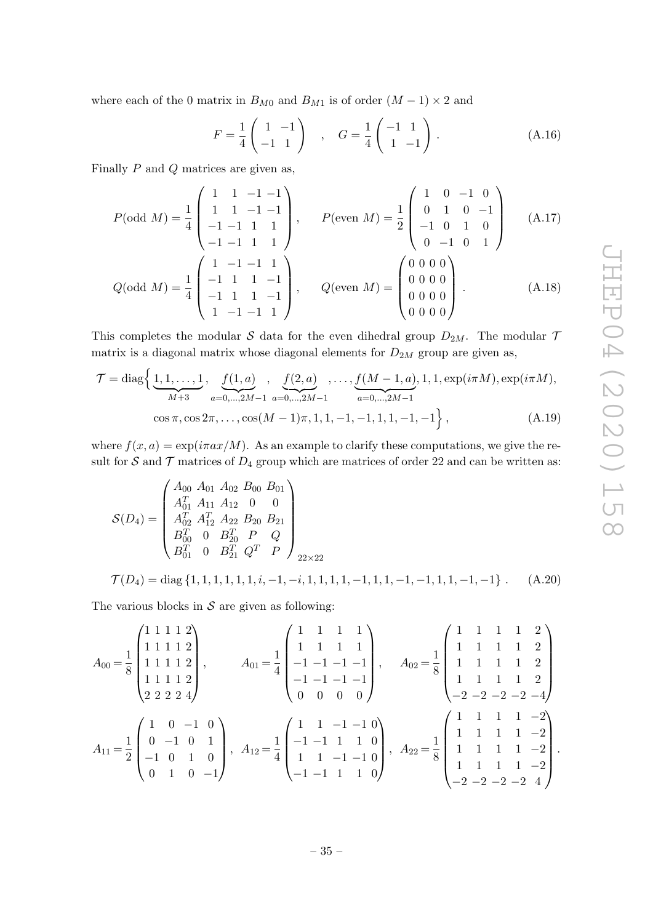where each of the 0 matrix in  $B_{M0}$  and  $B_{M1}$  is of order  $(M-1) \times 2$  and

$$
F = \frac{1}{4} \begin{pmatrix} 1 & -1 \\ -1 & 1 \end{pmatrix} , G = \frac{1}{4} \begin{pmatrix} -1 & 1 \\ 1 & -1 \end{pmatrix} .
$$
 (A.16)

Finally P and Q matrices are given as,

$$
P(\text{odd } M) = \frac{1}{4} \begin{pmatrix} 1 & 1 & -1 & -1 \\ 1 & 1 & -1 & -1 \\ -1 & -1 & 1 & 1 \\ -1 & -1 & 1 & 1 \end{pmatrix}, \qquad P(\text{even } M) = \frac{1}{2} \begin{pmatrix} 1 & 0 & -1 & 0 \\ 0 & 1 & 0 & -1 \\ -1 & 0 & 1 & 0 \\ 0 & -1 & 0 & 1 \end{pmatrix} \quad (A.17)
$$

$$
Q(\text{odd } M) = \frac{1}{4} \begin{pmatrix} 1 & -1 & -1 & 1 \\ -1 & 1 & 1 & -1 \\ -1 & 1 & 1 & -1 \\ 1 & -1 & -1 & 1 \end{pmatrix}, \qquad Q(\text{even } M) = \begin{pmatrix} 0 & 0 & 0 & 0 \\ 0 & 0 & 0 & 0 \\ 0 & 0 & 0 & 0 \\ 0 & 0 & 0 & 0 \end{pmatrix}. \qquad (A.18)
$$

This completes the modular  $S$  data for the even dihedral group  $D_{2M}$ . The modular  $\mathcal{I}$ matrix is a diagonal matrix whose diagonal elements for  $D_{2M}$  group are given as,

$$
\mathcal{T} = \text{diag}\left\{\underbrace{1, 1, \dots, 1}_{M+3}, \underbrace{f(1, a)}_{a=0, \dots, 2M-1}, \underbrace{f(2, a)}_{a=0, \dots, 2M-1}, \dots, \underbrace{f(M-1, a)}_{a=0, \dots, 2M-1}, 1, 1, \exp(i\pi M), \exp(i\pi M), \dots, \cos\pi, \cos 2\pi, \dots, \cos(M-1)\pi, 1, 1, -1, -1, 1, 1, -1, -1\right\},\tag{A.19}
$$

where  $f(x, a) = \exp(i\pi ax/M)$ . As an example to clarify these computations, we give the result for S and  $\mathcal T$  matrices of  $D_4$  group which are matrices of order 22 and can be written as:

<span id="page-36-0"></span>
$$
\mathcal{S}(D_4) = \begin{pmatrix} A_{00} & A_{01} & A_{02} & B_{00} & B_{01} \\ A_{01}^T & A_{11} & A_{12} & 0 & 0 \\ A_{02}^T & A_{12}^T & A_{22} & B_{20} & B_{21} \\ B_{00}^T & 0 & B_{20}^T & P & Q \\ B_{01}^T & 0 & B_{21}^T & Q^T & P \end{pmatrix}_{22 \times 22}
$$
\n
$$
\mathcal{T}(D_4) = \text{diag}\{1, 1, 1, 1, 1, 1, 1, 1, -1, -i, 1, 1, 1, 1, -1, -1, 1, 1, -1, -1\} \ . \tag{A.20}
$$

The various blocks in  $S$  are given as following:

$$
A_{00} = \frac{1}{8} \begin{pmatrix} 1 & 1 & 1 & 2 \\ 1 & 1 & 1 & 1 & 2 \\ 1 & 1 & 1 & 1 & 2 \\ 1 & 1 & 1 & 1 & 2 \\ 2 & 2 & 2 & 4 \end{pmatrix}, \qquad A_{01} = \frac{1}{4} \begin{pmatrix} 1 & 1 & 1 & 1 \\ 1 & 1 & 1 & 1 \\ -1 & -1 & -1 & -1 \\ 0 & 0 & 0 & 0 \end{pmatrix}, \qquad A_{02} = \frac{1}{8} \begin{pmatrix} 1 & 1 & 1 & 1 & 2 \\ 1 & 1 & 1 & 1 & 2 \\ 1 & 1 & 1 & 1 & 2 \\ -2 & -2 & -2 & -2 & -4 \end{pmatrix}
$$

$$
A_{11} = \frac{1}{2} \begin{pmatrix} 1 & 0 & -1 & 0 \\ 0 & -1 & 0 & 1 \\ -1 & 0 & 1 & 0 \\ 0 & 1 & 0 & -1 \end{pmatrix}, \quad A_{12} = \frac{1}{4} \begin{pmatrix} 1 & 1 & -1 & -1 & 0 \\ -1 & -1 & 1 & 1 & 0 \\ 1 & 1 & -1 & -1 & 0 \\ -1 & -1 & 1 & 1 & 0 \end{pmatrix}, \quad A_{22} = \frac{1}{8} \begin{pmatrix} 1 & 1 & 1 & 1 & -2 \\ 1 & 1 & 1 & 1 & -2 \\ 1 & 1 & 1 & 1 & -2 \\ 1 & 1 & 1 & 1 & -2 \\ -2 & -2 & -2 & -2 & 4 \end{pmatrix}.
$$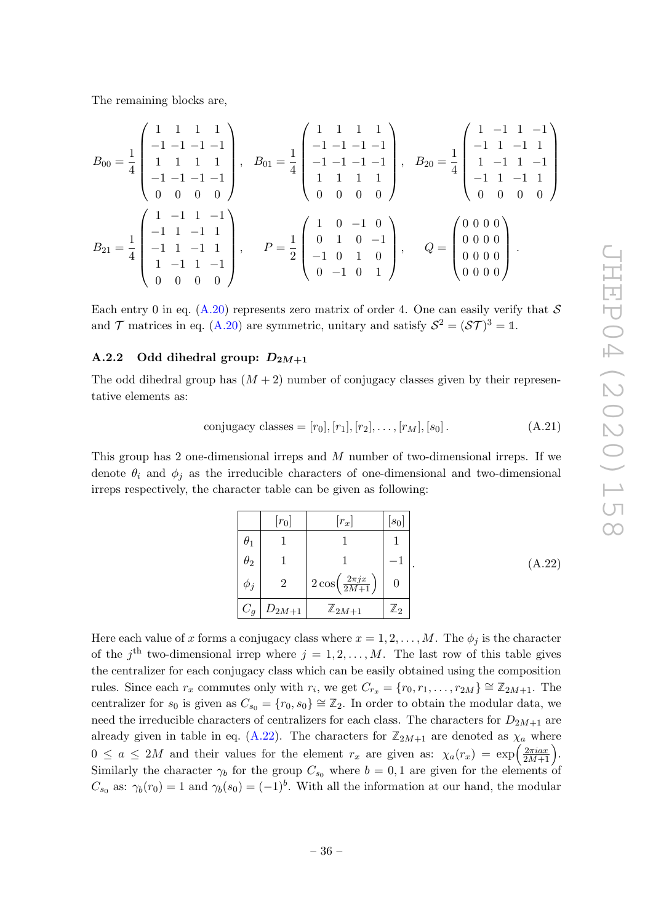The remaining blocks are,

$$
B_{00} = \frac{1}{4} \begin{pmatrix} 1 & 1 & 1 & 1 \\ -1 & -1 & -1 & -1 \\ 1 & 1 & 1 & 1 \\ -1 & -1 & -1 & -1 \end{pmatrix}, \quad B_{01} = \frac{1}{4} \begin{pmatrix} 1 & 1 & 1 & 1 \\ -1 & -1 & -1 & -1 \\ -1 & -1 & -1 & -1 \\ 1 & 1 & 1 & 1 \\ 0 & 0 & 0 & 0 \end{pmatrix}, \quad B_{20} = \frac{1}{4} \begin{pmatrix} 1 & -1 & 1 & -1 \\ -1 & 1 & -1 & 1 \\ 1 & -1 & 1 & -1 \\ 0 & 0 & 0 & 0 \end{pmatrix}
$$

$$
B_{21} = \frac{1}{4} \begin{pmatrix} 1 & -1 & 1 & -1 \\ -1 & 1 & -1 & 1 \\ -1 & 1 & -1 & 1 \\ 1 & -1 & 1 & -1 \\ 1 & -1 & 1 & -1 \end{pmatrix}, \quad P = \frac{1}{2} \begin{pmatrix} 1 & 0 & -1 & 0 \\ 0 & 1 & 0 & -1 \\ -1 & 0 & 1 & 0 \\ 0 & -1 & 0 & 1 \end{pmatrix}, \quad Q = \begin{pmatrix} 0 & 0 & 0 & 0 \\ 0 & 0 & 0 & 0 \\ 0 & 0 & 0 & 0 \\ 0 & 0 & 0 & 0 \end{pmatrix}.
$$

Each entry 0 in eq.  $(A.20)$  represents zero matrix of order 4. One can easily verify that  $S$ and  $\mathcal{T}$  matrices in eq. [\(A.20\)](#page-36-0) are symmetric, unitary and satisfy  $\mathcal{S}^2 = (\mathcal{S}\mathcal{T})^3 = \mathbb{1}$ .

## <span id="page-37-0"></span>A.2.2 Odd dihedral group:  $D_{2M+1}$

The odd dihedral group has  $(M+2)$  number of conjugacy classes given by their representative elements as:

conjugacy classes = 
$$
[r_0], [r_1], [r_2], \ldots, [r_M], [s_0].
$$
 (A.21)

This group has 2 one-dimensional irreps and M number of two-dimensional irreps. If we denote  $\theta_i$  and  $\phi_j$  as the irreducible characters of one-dimensional and two-dimensional irreps respectively, the character table can be given as following:

<span id="page-37-1"></span>

|             | $[r_0]$        | $ r_x $                                               | $\lbrack s_0 \rbrack$ |
|-------------|----------------|-------------------------------------------------------|-----------------------|
| $\theta_1$  |                |                                                       |                       |
| $\theta_2$  |                |                                                       |                       |
| $\varphi_j$ | $\overline{2}$ | $^\dagger\,2\cos\!\left(\frac{2\pi j x}{2M+1}\right)$ |                       |
| $\cup_g$    | $+D_{2M+1}$    | $\mathbb{Z}_{2M+1}$                                   | $\mathbb{Z}_2$        |

Here each value of x forms a conjugacy class where  $x = 1, 2, ..., M$ . The  $\phi_j$  is the character of the  $j<sup>th</sup>$  two-dimensional irrep where  $j = 1, 2, ..., M$ . The last row of this table gives the centralizer for each conjugacy class which can be easily obtained using the composition rules. Since each  $r_x$  commutes only with  $r_i$ , we get  $C_{r_x} = \{r_0, r_1, \ldots, r_{2M}\} \cong \mathbb{Z}_{2M+1}$ . The centralizer for  $s_0$  is given as  $C_{s_0} = \{r_0, s_0\} \cong \mathbb{Z}_2$ . In order to obtain the modular data, we need the irreducible characters of centralizers for each class. The characters for  $D_{2M+1}$  are already given in table in eq.  $(A.22)$ . The characters for  $\mathbb{Z}_{2M+1}$  are denoted as  $\chi_a$  where  $0 \le a \le 2M$  and their values for the element  $r_x$  are given as:  $\chi_a(r_x) = \exp\left(\frac{2\pi i a x}{2M+1}\right)$ 2M+1 . Similarly the character  $\gamma_b$  for the group  $C_{s_0}$  where  $b=0,1$  are given for the elements of  $C_{s_0}$  as:  $\gamma_b(r_0) = 1$  and  $\gamma_b(s_0) = (-1)^b$ . With all the information at our hand, the modular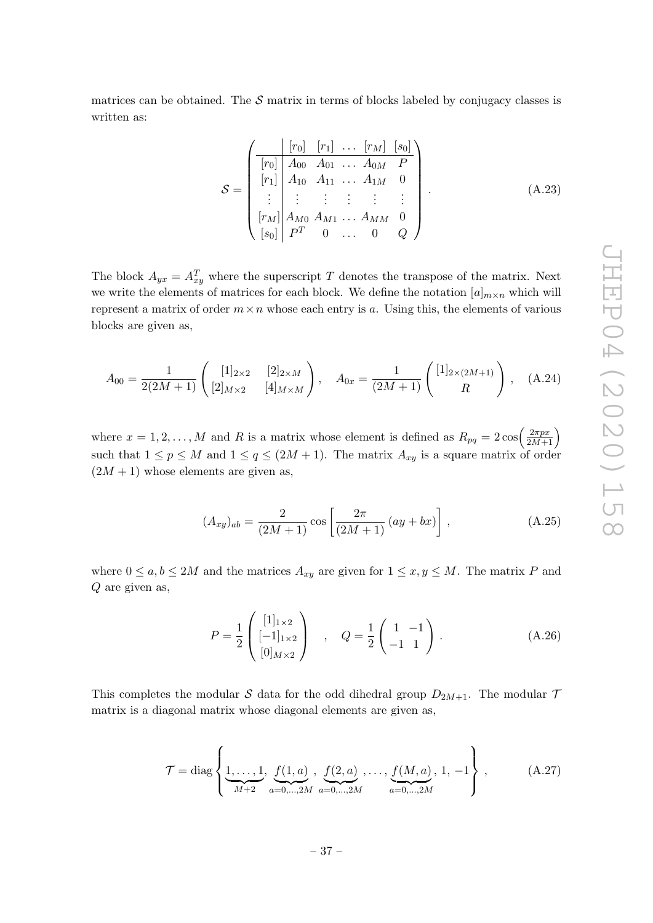matrices can be obtained. The  $S$  matrix in terms of blocks labeled by conjugacy classes is written as:

$$
\mathcal{S} = \begin{pmatrix}\n[r_0] & [r_1] & \dots & [r_M] & [s_0] \\
[r_0] & A_{00} & A_{01} & \dots & A_{0M} & P \\
[r_1] & A_{10} & A_{11} & \dots & A_{1M} & 0 \\
\vdots & \vdots & \vdots & \vdots & \vdots & \vdots \\
[r_M] & A_{M0} & A_{M1} & \dots & A_{MM} & 0 \\
[s_0] & P^T & 0 & \dots & 0 & Q\n\end{pmatrix}.
$$
\n(A.23)

The block  $A_{yx} = A_{xy}^T$  where the superscript T denotes the transpose of the matrix. Next we write the elements of matrices for each block. We define the notation  $[a]_{m \times n}$  which will represent a matrix of order  $m \times n$  whose each entry is a. Using this, the elements of various blocks are given as,

$$
A_{00} = \frac{1}{2(2M+1)} \begin{pmatrix} [1]_{2\times 2} & [2]_{2\times M} \\ [2]_{M\times 2} & [4]_{M\times M} \end{pmatrix}, \quad A_{0x} = \frac{1}{(2M+1)} \begin{pmatrix} [1]_{2\times (2M+1)} \\ R \end{pmatrix}, \quad (A.24)
$$

where  $x = 1, 2, ..., M$  and R is a matrix whose element is defined as  $R_{pq} = 2\cos\left(\frac{2\pi px}{2M + 1}\right)$ 2M+1  $\setminus$ such that  $1 \le p \le M$  and  $1 \le q \le (2M + 1)$ . The matrix  $A_{xy}$  is a square matrix of order  $(2M + 1)$  whose elements are given as,

$$
(A_{xy})_{ab} = \frac{2}{(2M+1)} \cos\left[\frac{2\pi}{(2M+1)}(ay+bx)\right],
$$
 (A.25)

where  $0 \le a, b \le 2M$  and the matrices  $A_{xy}$  are given for  $1 \le x, y \le M$ . The matrix P and Q are given as,

$$
P = \frac{1}{2} \begin{pmatrix} [1]_{1 \times 2} \\ [-1]_{1 \times 2} \\ [0]_{M \times 2} \end{pmatrix} , \quad Q = \frac{1}{2} \begin{pmatrix} 1 & -1 \\ -1 & 1 \end{pmatrix} .
$$
 (A.26)

This completes the modular  $S$  data for the odd dihedral group  $D_{2M+1}$ . The modular  $\mathcal{I}$ matrix is a diagonal matrix whose diagonal elements are given as,

$$
\mathcal{T} = \text{diag}\left\{\underbrace{1,\ldots,1}_{M+2}, \underbrace{f(1,a)}_{a=0,\ldots,2M}, \underbrace{f(2,a)}_{a=0,\ldots,2M}, \ldots, \underbrace{f(M,a)}_{a=0,\ldots,2M}, 1, -1\right\},
$$
 (A.27)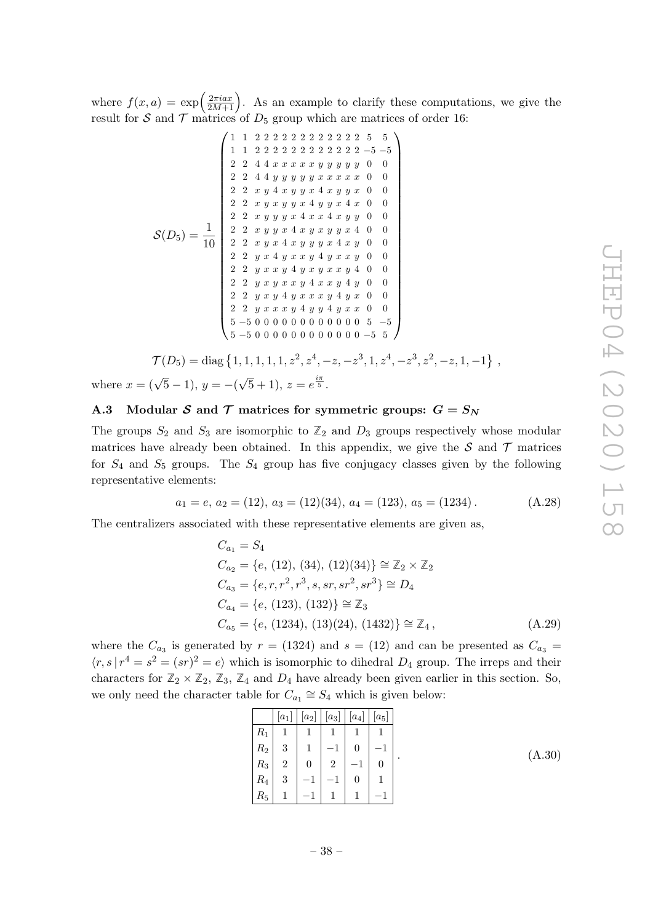where  $f(x, a) = \exp\left(\frac{2\pi i a x}{2M+1}\right)$ 2M+1 . As an example to clarify these computations, we give the result for  $S$  and  $T$  matrices of  $D_5$  group which are matrices of order 16:

S ( D <sup>5</sup>) = 1 10 1 1 2 2 2 2 2 2 2 2 2 2 2 2 5 5 1 1 2 2 2 2 2 2 2 2 2 2 2 2 − 5 − 5 2 2 4 4 x x x x x y y y y y 0 0 2 2 4 4 y y y y y x x x x x 0 0 2 2 x y 4 x y y x 4 x y y x 0 0 2 2 x y x y y x 4 y y x 4 x 0 0 2 2 x y y y x 4 x x 4 x y y 0 0 2 2 x y y x 4 x y x y y x 4 0 0 2 2 x y x 4 x y y y x 4 x y 0 0 2 2 y x 4 y x x y 4 y x x y 0 0 2 2 y x x y 4 y x y x x y 4 0 0 2 2 y x y x x y 4 x x y 4 y 0 0 2 2 y x y 4 y x x x y 4 y x 0 0 2 2 y x x x y 4 y y 4 y x x 0 0 5 −5 0 0 0 0 0 0 0 0 0 0 0 0 5 − 5 5 −5 0 0 0 0 0 0 0 0 0 0 0 0 −5 5 

 $\mathcal{T}(D_5) = \text{diag}\left\{1, 1, 1, 1, 1, z^2, z^4, -z, -z^3, 1, z^4, -z^3, z^2, -z, 1, -1\right\},$ where  $x = (\sqrt{5} - 1), y = -(\sqrt{5} + 1), z = e^{\frac{i\pi}{5}}.$ 

## <span id="page-39-0"></span>A.3 Modular S and T matrices for symmetric groups:  $G = S_N$

The groups  $S_2$  and  $S_3$  are isomorphic to  $\mathbb{Z}_2$  and  $D_3$  groups respectively whose modular matrices have already been obtained. In this appendix, we give the  $S$  and  $T$  matrices for  $S_4$  and  $S_5$  groups. The  $S_4$  group has five conjugacy classes given by the following representative elements:

$$
a_1 = e, a_2 = (12), a_3 = (12)(34), a_4 = (123), a_5 = (1234).
$$
 (A.28)

The centralizers associated with these representative elements are given as,

$$
C_{a_1} = S_4
$$
  
\n
$$
C_{a_2} = \{e, (12), (34), (12)(34)\} \cong \mathbb{Z}_2 \times \mathbb{Z}_2
$$
  
\n
$$
C_{a_3} = \{e, r, r^2, r^3, s, sr, sr^2, sr^3\} \cong D_4
$$
  
\n
$$
C_{a_4} = \{e, (123), (132)\} \cong \mathbb{Z}_3
$$
  
\n
$$
C_{a_5} = \{e, (1234), (13)(24), (1432)\} \cong \mathbb{Z}_4,
$$
  
\n(A.29)

where the  $C_{a_3}$  is generated by  $r = (1324)$  and  $s = (12)$  and can be presented as  $C_{a_3} =$  $\langle r, s | r^4 = s^2 = (sr)^2 = e \rangle$  which is isomorphic to dihedral  $D_4$  group. The irreps and their characters for  $\mathbb{Z}_2 \times \mathbb{Z}_2$ ,  $\mathbb{Z}_3$ ,  $\mathbb{Z}_4$  and  $D_4$  have already been given earlier in this section. So, we only need the character table for  $C_{a_1} \cong S_4$  which is given below:

|       | $[a_1]$        | $ a_2 $  | $\left[a_3\right]$ | $[a_4]$ | $ a_5 $ |
|-------|----------------|----------|--------------------|---------|---------|
| $R_1$ | 1              | 1        | 1                  |         | 1       |
| $R_2$ | 3              | 1        |                    |         | и       |
| $R_3$ | $\overline{2}$ | $\Omega$ | $\overline{2}$     |         |         |
| $R_4$ | 3              | м        |                    |         | и       |
| $R_5$ |                |          |                    |         | и       |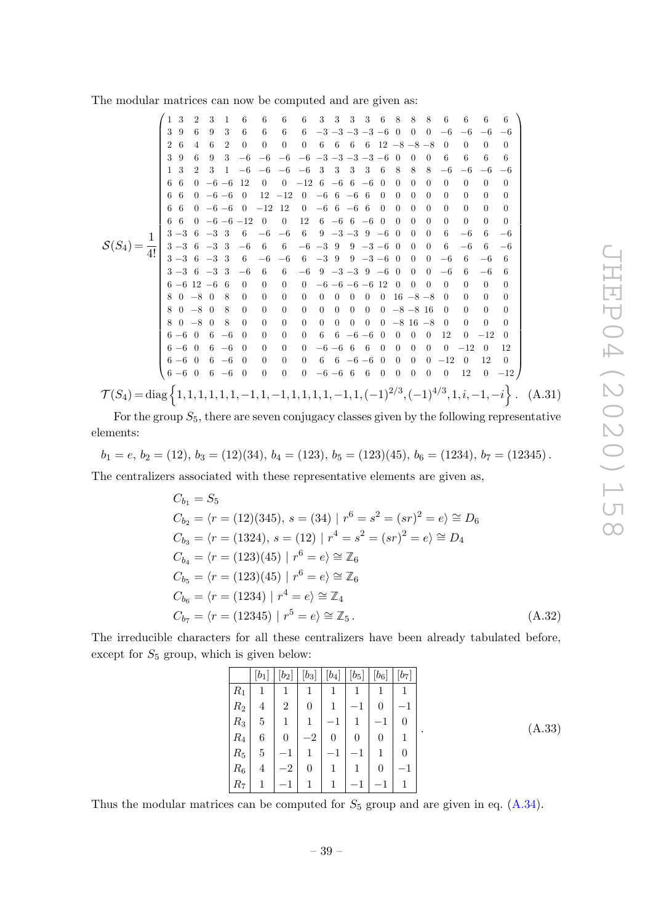The modular matrices can now be computed and are given as:

|                                                                                                                                                                                            | 1 3      |                | 2 3 1           |                   | $6\phantom{.0}6$        | $6\phantom{.0}6$                                                                                                         | 6                                              | 6 3 3 3 3 6 8 8 8                                                                  |                                                |                |                            |                |                |                |                            | - 6                    | - 6                 | - 6                    | -6               |
|--------------------------------------------------------------------------------------------------------------------------------------------------------------------------------------------|----------|----------------|-----------------|-------------------|-------------------------|--------------------------------------------------------------------------------------------------------------------------|------------------------------------------------|------------------------------------------------------------------------------------|------------------------------------------------|----------------|----------------------------|----------------|----------------|----------------|----------------------------|------------------------|---------------------|------------------------|------------------|
|                                                                                                                                                                                            | 39       | - 6            | 9 3             |                   | - 6                     | - 6                                                                                                                      | 6                                              | $6 -3 -3 -3 -3 -6 0$                                                               |                                                |                |                            |                |                | $0\quad 0$     |                            |                        | $-6$ $-6$ $-6$ $-6$ |                        |                  |
|                                                                                                                                                                                            | 2 6      | $\overline{4}$ | - 6             | - 2               | $\overline{0}$          | $\overline{0}$                                                                                                           |                                                | $0 \t 0 \t 6 \t 6 \t 6 \t 6 \t 12 \t -8 \t -8 \t -8 \t 0$                          |                                                |                |                            |                |                |                |                            |                        | $\Omega$            | $\Omega$               | $\Omega$         |
|                                                                                                                                                                                            | 39       | 6              | 9               | 3                 |                         |                                                                                                                          | $-6$ $-6$ $-6$ $-6$ $-3$ $-3$ $-3$ $-3$ $-6$ 0 |                                                                                    |                                                |                |                            |                |                | $\Omega$       | $\left($                   | - 6                    | -6                  | -6                     | 6                |
|                                                                                                                                                                                            | $1\quad$ | 2              | 3               |                   |                         |                                                                                                                          | $1 -6 -6 -6 -6 -3 3 3 3$                       |                                                                                    |                                                |                | 3                          | -6             | 8              | 8              | 8                          | $-6$                   | $-6$                | $-6$                   | $-6$             |
|                                                                                                                                                                                            | 66       |                |                 | $0 -6 -6 12$      |                         |                                                                                                                          | 0 0 $-12$ 6 $-6$ 6 $-6$                        |                                                                                    |                                                |                |                            | $\overline{0}$ | $\theta$       | $\overline{0}$ | $\overline{0}$             | $\theta$               | $\overline{0}$      | $\theta$               | $\overline{0}$   |
|                                                                                                                                                                                            |          |                |                 | 6 6 0 $-6$ $-6$ 0 |                         |                                                                                                                          | $12 -12$ 0 $-6$ 6 $-6$ 6                       |                                                                                    |                                                |                |                            | $\Omega$       | $\overline{0}$ | $\overline{0}$ | $\overline{0}$             | $\theta$               | $\overline{0}$      | $\overline{0}$         | $\theta$         |
|                                                                                                                                                                                            |          |                |                 |                   |                         | 6 6 0 -6 -6 0 -12 12                                                                                                     |                                                | $0 -66 -66$                                                                        |                                                |                |                            | $\overline{0}$ | $\overline{0}$ | $\overline{0}$ | $\overline{0}$             | $\overline{0}$         | $\overline{0}$      | $\overline{0}$         | $\theta$         |
|                                                                                                                                                                                            |          |                |                 |                   | 6 6 0 $-6$ $-6$ $-12$ 0 |                                                                                                                          | $\overline{0}$                                 |                                                                                    | $12 \quad 6 \quad -6 \quad 6 \quad -6 \quad 0$ |                |                            |                | $\overline{0}$ | $\overline{0}$ | $\overline{0}$             | $\overline{0}$         | $\overline{0}$      | $\overline{0}$         | $\overline{0}$   |
| $S(S_4) = \frac{1}{4!} \begin{vmatrix} 3 & -3 & 6 & -3 & 3 & 6 & -6 & -6 & 6 & 9 & -3 & -3 & 9 & -6 & 0 \\ 3 & -3 & 6 & -3 & 3 & -6 & 6 & 6 & -6 & -3 & 9 & 9 & -3 & -6 & 0 \end{vmatrix}$ |          |                |                 |                   |                         |                                                                                                                          |                                                |                                                                                    |                                                |                |                            |                |                | $\overline{0}$ | $\theta$                   | 6                      | $-6$                | -6                     | $-6$             |
|                                                                                                                                                                                            |          |                |                 |                   |                         |                                                                                                                          |                                                |                                                                                    |                                                |                |                            |                |                | $0\quad 0$     |                            | -6                     | $-6$                | - 6                    | $-6$             |
|                                                                                                                                                                                            |          |                | $3 - 36 - 33$   |                   |                         |                                                                                                                          | $6 -6 -6 6 -3 9 9 -3 -6 0$                     |                                                                                    |                                                |                |                            |                |                | $0\quad 0$     |                            | $-6$                   | -6                  | $-6$                   | 6                |
|                                                                                                                                                                                            |          |                |                 |                   | $\overline{0}$          | $3-3$ 6 $-3$ 3 $-6$ 6                                                                                                    |                                                | $6 -6 9 -3 -3 9 -6 0$                                                              |                                                |                |                            |                |                | $\Omega$       | $\Omega$<br>$\overline{0}$ | $-6$<br>$\overline{0}$ | 6<br>$\overline{0}$ | $-6$<br>$\overline{0}$ | 6<br>$\theta$    |
|                                                                                                                                                                                            |          |                | $6-6$ 12 $-6$ 6 | $80 - 8080$       |                         | $\overline{0}$<br>$\overline{0}$                                                                                         | $\overline{0}$                                 | $0 \quad 0 \quad -6 \quad -6 \quad -6 \quad -6 \quad 12 \quad 0$<br>$\overline{0}$ | $0\quad 0$                                     | $\overline{0}$ | $\overline{0}$             |                | $0 \t16 -8 -8$ | $\overline{0}$ |                            | $\overline{0}$         | $\Omega$            | $\overline{0}$         | $\theta$         |
|                                                                                                                                                                                            |          |                |                 | $80 - 8080$       |                         | $\overline{0}$                                                                                                           | $\mathbf{0}$                                   | $\overline{0}$                                                                     | $0 \t 0 \t 0 \t 0 \t -8 \t -8 \t 16$           |                |                            |                |                |                |                            | $\hspace{0.1em} 0$     | $\Omega$            | $\overline{0}$         | $\Omega$         |
|                                                                                                                                                                                            |          |                |                 | $80 - 8080$       |                         | $\overline{0}$                                                                                                           |                                                | $0 \quad 0$                                                                        | $0\quad 0$                                     | $0\quad 0$     |                            |                | $0 -816 -80$   |                |                            |                        | $\theta$            | $\overline{0}$         | $\Omega$         |
|                                                                                                                                                                                            |          |                | $6-6$ 0 6 $-6$  |                   | $\overline{0}$          | $\overline{0}$                                                                                                           | $\overline{0}$                                 | $\overline{0}$                                                                     |                                                |                | $6\quad 6\quad -6\quad -6$ | - 0            | $\theta$       | $\theta$       | $\theta$                   | 12                     | $\theta$            | $-12$                  | $\theta$         |
|                                                                                                                                                                                            |          |                |                 |                   | $6-6$ 0 6 $-6$ 0 0      |                                                                                                                          | $\overline{0}$                                 | $0 -6 -6 6 6$                                                                      |                                                |                |                            | $\overline{0}$ | $\overline{0}$ | $0\quad 0$     |                            |                        | $0 -12 0$           |                        | 12               |
|                                                                                                                                                                                            |          |                |                 |                   |                         |                                                                                                                          |                                                |                                                                                    | $0 \t 6 \t 6 \t -6 \t -6 \t 0$                 |                |                            |                | $\overline{0}$ |                |                            | $0 \t 0 \t -12$        | $\theta$            | 12                     | $\left($         |
|                                                                                                                                                                                            |          |                |                 |                   |                         | $\left( \begin{array}{ccccccccc} 6 & -6 & 0 & 6 & -6 & 0 & 0 & 0 \\ 6 & -6 & 0 & 6 & -6 & 0 & 0 & 0 \end{array} \right)$ |                                                | $0 -6 -6 6 6$                                                                      |                                                |                |                            | $0\quad 0$     |                | $0\quad 0$     |                            | $\overline{0}$         |                     |                        | $12 \t 0 \t -12$ |
|                                                                                                                                                                                            |          |                |                 |                   |                         |                                                                                                                          |                                                |                                                                                    |                                                |                |                            |                |                |                |                            |                        |                     |                        |                  |
| $\mathcal{T}(S_4) = \text{diag}\left\{1, 1, 1, 1, 1, 1, -1, 1, -1, 1, 1, 1, 1, -1, 1, (-1)^{2/3}, (-1)^{4/3}, 1, i, -1, -i\right\}.$ (A.31)                                                |          |                |                 |                   |                         |                                                                                                                          |                                                |                                                                                    |                                                |                |                            |                |                |                |                            |                        |                     |                        |                  |

For the group  $S_5$ , there are seven conjugacy classes given by the following representative elements:

$$
b_1 = e, b_2 = (12), b_3 = (12)(34), b_4 = (123), b_5 = (123)(45), b_6 = (1234), b_7 = (12345).
$$

The centralizers associated with these representative elements are given as,

$$
C_{b_1} = S_5
$$
  
\n
$$
C_{b_2} = \langle r = (12)(345), s = (34) | r^6 = s^2 = (sr)^2 = e \rangle \cong D_6
$$
  
\n
$$
C_{b_3} = \langle r = (1324), s = (12) | r^4 = s^2 = (sr)^2 = e \rangle \cong D_4
$$
  
\n
$$
C_{b_4} = \langle r = (123)(45) | r^6 = e \rangle \cong \mathbb{Z}_6
$$
  
\n
$$
C_{b_5} = \langle r = (123)(45) | r^6 = e \rangle \cong \mathbb{Z}_6
$$
  
\n
$$
C_{b_6} = \langle r = (1234) | r^4 = e \rangle \cong \mathbb{Z}_4
$$
  
\n
$$
C_{b_7} = \langle r = (12345) | r^5 = e \rangle \cong \mathbb{Z}_5.
$$
  
\n(A.32)

The irreducible characters for all these centralizers have been already tabulated before, except for  $S_5$  group, which is given below:

|       | $[b_1]$ | $\left[ b_{2}\right]$ | $[b_3]$        | $[b_4]$                             | $[b_5]$ | $[b_6]$                  | $[b_7]$ |
|-------|---------|-----------------------|----------------|-------------------------------------|---------|--------------------------|---------|
| $R_1$ | 1       | 1                     | 1              | 1                                   | 1       | 1                        |         |
| $R_2$ | 4       | $\overline{2}$        | 0              | 1                                   |         | 0                        |         |
| $R_3$ | 5       | 1                     | 1              | 1<br>$\qquad \qquad \longleftarrow$ |         | —                        | 0       |
| $R_4$ | 6       | $\theta$              | $-2$           | $\overline{0}$                      | 0       | 0                        | 1       |
| $R_5$ | 5       |                       | 1              | $-1$                                |         |                          | 0       |
| $R_6$ | 4       | $-2$                  | $\overline{0}$ | 1                                   |         | $\overline{0}$           |         |
| $R_7$ | 1       |                       | 1              | 1                                   |         | $\overline{\phantom{0}}$ |         |

Thus the modular matrices can be computed for  $S_5$  group and are given in eq.  $(A.34)$ .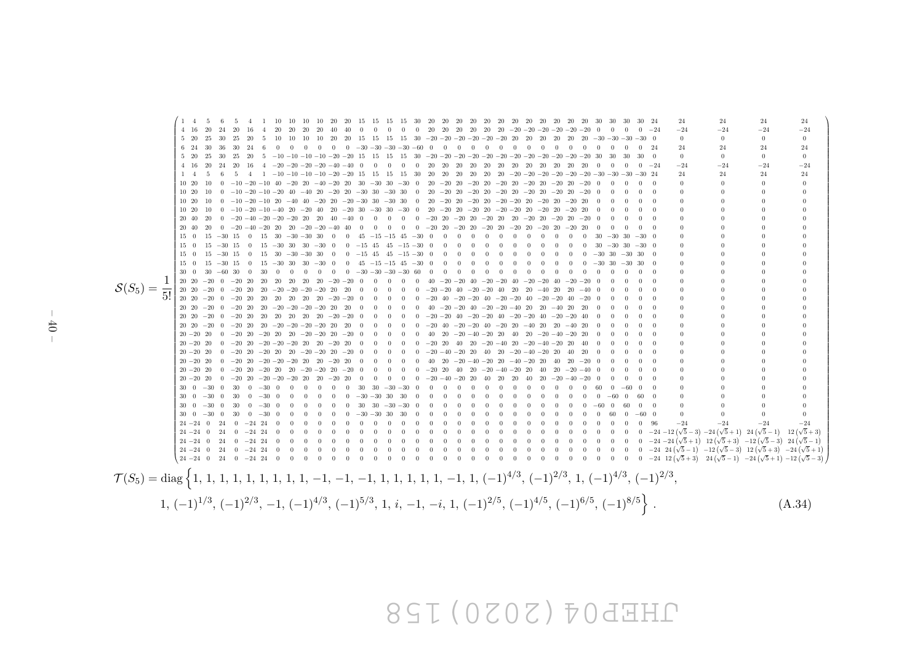# JHEP04(2020)158

<span id="page-41-0"></span> $S(S_5) = \frac{1}{5!}$  $\left( \begin{array}{cc} 1 & 4 \end{array} \right)$  1 4 5 6 5 4 1 10 10 10 10 20 20 15 15 15 15 30 20 20 20 20 20 20 20 20 20 20 20 20 30 30 30 30 24 24 24 24 24 4 16 20 24 20 16 4 20 20 20 20 40 40 0 0 0 0 0 20 20 20 20 20 20 −20 −20 −20 −20 −20 −20 0 0 0 0 −24 −24 −24 −24 −24 5 20 25 30 25 20 5 10 10 10 10 20 20 15 15 15 15 30 −20 −20 −20 −20 −20 −20 20 20 20 20 20 20 −30 −30 −30 −30 0 0 0 0 0 6 24 30 36 30 24 6 0 0 0 0 0 0 −30 −30 −30 −30 −60 0 0 0 0 0 0 0 0 0 0 0 0 0 0 0 0 24 24 24 24 24  $5$  20  $25$  30  $25$  20  $5$   $-10$   $-10$   $-10$   $-10$   $-20$   $-20$   $15$  15 15 30  $-20$   $-20$   $-20$   $-20$   $-20$   $-20$   $-20$   $-20$   $-20$   $-20$   $-20$   $-20$   $-20$   $-20$   $-20$   $-20$   $-20$   $-20$   $-20$   $-20$   $-20$   $-20$   $-20$   $-20$  4 16 20 24 20 16 4 −20 −20 −20 −20 −40 −40 0 0 0 0 0 20 20 20 20 20 20 20 20 20 20 20 20 0 0 0 0 −24 −24 −24 −24 −24 1 4 5 6 5 4 1 −10 −10 −10 −10 −20 −20 15 15 15 15 30 20 20 20 20 20 20 −20 −20 −20 −20 −20 −20 −30 −30 −30 −30 24 24 24 24 24 10 20 10 0 −10 −20 −10 40 −20 20 −40 −20 20 30 −30 30 −30 0 20 −20 20 −20 20 −20 20 −20 20 −20 20 −20 0 0 0 0 0 0 0 0 0 10 20 10 0 −10 −20 −10 −20 40 −40 20 −20 20 −30 30 −30 30 0 20 −20 20 −20 20 −20 20 −20 20 −20 20 −20 0 0 0 0 0 0 0 0 0 10 20 10 0 −10 −20 −10 20 −40 40 −20 20 −20 −30 30 −30 30 0 20 −20 20 −20 20 −20 −20 20 −20 20 −20 20 0 0 0 0 0 0 0 0 0 10 20 10 0 −10 −20 −10 −40 20 −20 40 20 −20 30 −30 30 −30 0 20 −20 20 −20 20 −20 −20 20 −20 20 −20 20 0 0 0 0 0 0 0 0 0 20 40 20 0 −20 −40 −20 −20 −20 20 20 40 −40 0 0 0 0 0 −20 20 −20 20 −20 20 20 −20 20 −20 20 −20 0 0 0 0 0 0 0 0 0 20 40 20 0 −20 −40 −20 20 20 −20 −20 −40 40 0 0 0 0 0 −20 20 −20 20 −20 20 −20 20 −20 20 −20 20 0 0 0 0 0 0 0 0 0 15 0 15 −30 15 0 15 30 −30 −30 30 0 0 45 −15 −15 45 −30 0 0 0 0 0 0 0 0 0 0 0 0 30 −30 30 −30 0 0 0 0 0 15 0 15 −30 15 0 15 −30 30 30 −30 0 0 −15 45 45 −15 −30 0 0 0 0 0 0 0 0 0 0 0 0 30 −30 30 −30 0 0 0 0 0 15 0 15 −30 15 0 15 30 −30 −30 30 0 0 −15 45 45 −15 −30 0 0 0 0 0 0 0 0 0 0 0 0 −30 30 −30 30 0 0 0 0 0 15 0 15 −30 15 0 15 −30 30 30 −30 0 0 45 −15 −15 45 −30 0 0 0 0 0 0 0 0 0 0 0 0 −30 30 −30 30 0 0 0 0 0 30 0 30 −60 30 0 30 0 0 0 0 0 0 −30 −30 −30 −30 60 0 0 0 0 0 0 0 0 0 0 0 0 0 0 0 0 0 0 0 0 0 20 20 −20 0 −20 20 20 20 20 20 20 −20 −20 0 0 0 0 0 40 −20 −20 40 −20 −20 40 −20 −20 40 −20 −20 0 0 0 0 0 0 0 0 0 20 20 −20 0 −20 20 20 −20 −20 −20 −20 20 20 0 0 0 0 0 −20 −20 40 −20 −20 40 20 20 −40 20 20 −40 0 0 0 0 0 0 0 0 0 20 20 −20 0 −20 20 20 20 20 20 20 −20 −20 0 0 0 0 0 −20 40 −20 −20 40 −20 −20 40 −20 −20 40 −20 0 0 0 0 0 0 0 0 0 20 20 −20 0 −20 20 20 −20 −20 −20 −20 20 20 0 0 0 0 0 40 −20 −20 40 −20 −20 −40 20 20 −40 20 20 0 0 0 0 0 0 0 0 0 20 20 −20 0 −20 20 20 20 20 20 20 −20 −20 0 0 0 0 0 −20 −20 40 −20 −20 40 −20 −20 40 −20 −20 40 0 0 0 0 0 0 0 0 0 20 20 −20 0 −20 20 20 −20 −20 −20 −20 20 20 0 0 0 0 0 −20 40 −20 −20 40 −20 20 −40 20 20 −40 20 0 0 0 0 0 0 0 0 0 20 −20 20 0 −20 20 −20 20 20 −20 −20 20 −20 0 0 0 0 0 40 20 −20 −40 −20 20 40 20 −20 −40 −20 20 0 0 0 0 0 0 0 0 0 20 −20 20 0 −20 20 −20 −20 −20 20 20 −20 20 0 0 0 0 0 −20 20 40 20 −20 −40 20 −20 −40 −20 20 40 0 0 0 0 0 0 0 0 0 20 −20 20 0 −20 20 −20 20 20 −20 −20 20 −20 0 0 0 0 0 −20 −40 −20 20 40 20 −20 −40 −20 20 40 20 0 0 0 0 0 0 0 0 0 20 −20 20 0 −20 20 −20 −20 −20 20 20 −20 20 0 0 0 0 0 40 20 −20 −40 −20 20 −40 −20 20 40 20 −20 0 0 0 0 0 0 0 0 0 20 −20 20 0 −20 20 −20 20 20 −20 −20 20 −20 0 0 0 0 0 −20 20 40 20 −20 −40 −20 20 40 20 −20 −40 0 0 0 0 0 0 0 0 0 20 −20 20 0 −20 20 −20 −20 −20 20 20 −20 20 0 0 0 0 0 −20 −40 −20 20 40 20 20 40 20 −20 −40 −20 0 0 0 0 0 0 0 0 0 30 0 −30 0 30 0 −30 0 0 0 0 0 0 30 30 −30 −30 0 0 0 0 0 0 0 0 0 0 0 0 0 60 0 −60 0 0 0 0 0 0 30 0 −30 0 30 0 −30 0 0 0 0 0 0 −30 −30 30 30 0 0 0 0 0 0 0 0 0 0 0 0 0 0 −60 0 60 0 0 0 0 0 30 0 −30 0 30 0 −30 0 0 0 0 0 0 30 30 −30 −30 0 0 0 0 0 0 0 0 0 0 0 0 0 −60 0 60 0 0 0 0 0 0 30 0 −30 0 30 0 −30 0 0 0 0 0 0 −30 −30 30 30 0 0 0 0 0 0 0 0 0 0 0 0 0 0 60 0 −60 0 0 0 0 0 24 −24 0 24 0 −24 24 0 0 0 0 0 0 0 0 0 0 0 0 0 0 0 0 0 0 0 0 0 0 0 0 0 0 0 96 −24 −24 −24 −24 <sup>24</sup> <sup>−</sup>24 0 24 0 <sup>−</sup>24 24 0 0 0 0 0 0 0 0 0 0 0 0 0 0 0 0 0 0 0 0 0 0 0 0 0 0 0 <sup>−</sup><sup>24</sup> <sup>−</sup><sup>12</sup> <sup>√</sup>  $\frac{5}{5}$  – 3) – 24 ( $\sqrt{5}$  + 1) – 24 ( $\sqrt{5}$  – 1) – 12 ( $\sqrt{5}$  + 3) <sup>24</sup> <sup>−</sup>24 0 24 0 <sup>−</sup>24 24 0 0 0 0 0 0 0 0 0 0 0 0 0 0 0 0 0 0 0 0 0 0 0 0 0 0 0 <sup>−</sup><sup>24</sup> <sup>−</sup><sup>24</sup> <sup>√</sup>  $\overline{5} + 1\overline{\smash{\big)}\,}$  12  $\overline{\left(\sqrt{5} + 3\right)}$  -12  $\overline{\left(\sqrt{5} - 3\right)}$  24  $\overline{\left(\sqrt{5} - 1\right)}$ <sup>24</sup> <sup>−</sup>24 0 24 0 <sup>−</sup>24 24 0 0 0 0 0 0 0 0 0 0 0 0 0 0 0 0 0 0 0 0 0 0 0 0 0 0 0 <sup>−</sup>24 24 <sup>√</sup>  $\frac{(5-1)}{2}$  - 12 ( $\sqrt{5}$  - 3) 12 ( $\sqrt{5}$  + 3) - 24 ( $\sqrt{5}$  + 1) <sup>24</sup> <sup>−</sup>24 0 24 0 <sup>−</sup>24 24 0 0 0 0 0 0 0 0 0 0 0 0 0 0 0 0 0 0 0 0 0 0 0 0 0 0 0 <sup>−</sup>24 12 <sup>√</sup> 5 + 3 <sup>24</sup> <sup>√</sup> 5 − 1 <sup>−</sup><sup>24</sup> <sup>√</sup> 5 + 1 <sup>−</sup><sup>12</sup> <sup>√</sup> 5 − 3 Τ  $\mathcal{T}(S_5) = \text{diag} \left\{ 1, 1, 1, 1, 1, 1, 1, 1, -1, -1, -1, 1, 1, 1, 1, 1, -1, 1, (-1)^{4/3}, (-1)^{2/3}, 1, (-1)^{4/3}, (-1)^{2/3}, (-1)^{4/3}, (-1)^{4/3}, (-1)^{4/3}, (-1)^{4/3}, (-1)^{4/3}, (-1)^{4/3}, (-1)^{4/3}, (-1)^{4/3}, (-1)^{4/3}, (-1)^{4/3}, (-1)^{4/3}, (-1)^{4/3}, (-1)^{4/3}, (-1)^{4/3},$  $1, (-1)^{1/3}, (-1)^{2/3}, -1, (-1)^{4/3}, (-1)^{5/3}, 1, i, -1, -i, 1, (-1)^{2/5}, (-1)^{4/5}, (-1)^{6/5}, (-1)^{8/5}$  $(A.34)$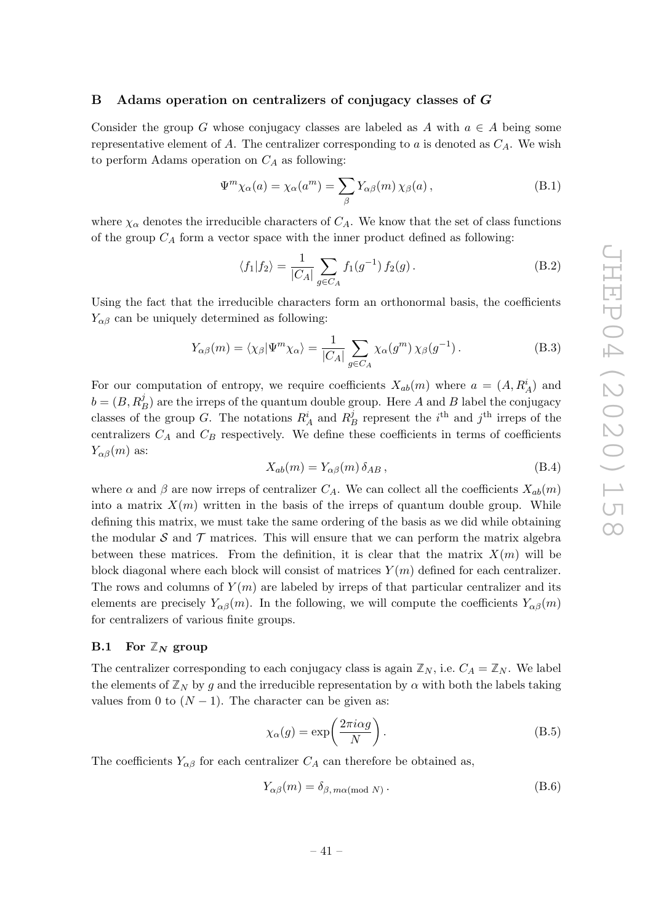## <span id="page-42-0"></span>B Adams operation on centralizers of conjugacy classes of  $G$

Consider the group G whose conjugacy classes are labeled as A with  $a \in A$  being some representative element of A. The centralizer corresponding to a is denoted as  $C_A$ . We wish to perform Adams operation on  $C_A$  as following:

$$
\Psi^m \chi_\alpha(a) = \chi_\alpha(a^m) = \sum_{\beta} Y_{\alpha\beta}(m) \chi_\beta(a), \qquad (B.1)
$$

where  $\chi_{\alpha}$  denotes the irreducible characters of  $C_A$ . We know that the set of class functions of the group  $C_A$  form a vector space with the inner product defined as following:

$$
\langle f_1 | f_2 \rangle = \frac{1}{|C_A|} \sum_{g \in C_A} f_1(g^{-1}) f_2(g).
$$
 (B.2)

Using the fact that the irreducible characters form an orthonormal basis, the coefficients  $Y_{\alpha\beta}$  can be uniquely determined as following:

$$
Y_{\alpha\beta}(m) = \langle \chi_{\beta} | \Psi^m \chi_{\alpha} \rangle = \frac{1}{|C_A|} \sum_{g \in C_A} \chi_{\alpha}(g^m) \chi_{\beta}(g^{-1}). \tag{B.3}
$$

For our computation of entropy, we require coefficients  $X_{ab}(m)$  where  $a = (A, R_A^i)$  and  $b = (B, R_B^j)$  are the irreps of the quantum double group. Here A and B label the conjugacy classes of the group G. The notations  $R_A^i$  and  $R_B^j$  represent the *i*<sup>th</sup> and *j*<sup>th</sup> irreps of the centralizers  $C_A$  and  $C_B$  respectively. We define these coefficients in terms of coefficients  $Y_{\alpha\beta}(m)$  as:

$$
X_{ab}(m) = Y_{\alpha\beta}(m)\,\delta_{AB}\,,\tag{B.4}
$$

where  $\alpha$  and  $\beta$  are now irreps of centralizer  $C_A$ . We can collect all the coefficients  $X_{ab}(m)$ into a matrix  $X(m)$  written in the basis of the irreps of quantum double group. While defining this matrix, we must take the same ordering of the basis as we did while obtaining the modular  $S$  and  $T$  matrices. This will ensure that we can perform the matrix algebra between these matrices. From the definition, it is clear that the matrix  $X(m)$  will be block diagonal where each block will consist of matrices  $Y(m)$  defined for each centralizer. The rows and columns of  $Y(m)$  are labeled by irreps of that particular centralizer and its elements are precisely  $Y_{\alpha\beta}(m)$ . In the following, we will compute the coefficients  $Y_{\alpha\beta}(m)$ for centralizers of various finite groups.

## <span id="page-42-1"></span>**B.1** For  $\mathbb{Z}_N$  group

The centralizer corresponding to each conjugacy class is again  $\mathbb{Z}_N$ , i.e.  $C_A = \mathbb{Z}_N$ . We label the elements of  $\mathbb{Z}_N$  by g and the irreducible representation by  $\alpha$  with both the labels taking values from 0 to  $(N-1)$ . The character can be given as:

$$
\chi_{\alpha}(g) = \exp\left(\frac{2\pi i \alpha g}{N}\right). \tag{B.5}
$$

The coefficients  $Y_{\alpha\beta}$  for each centralizer  $C_A$  can therefore be obtained as,

<span id="page-42-2"></span>
$$
Y_{\alpha\beta}(m) = \delta_{\beta, m\alpha \text{(mod } N)}.
$$
\n(B.6)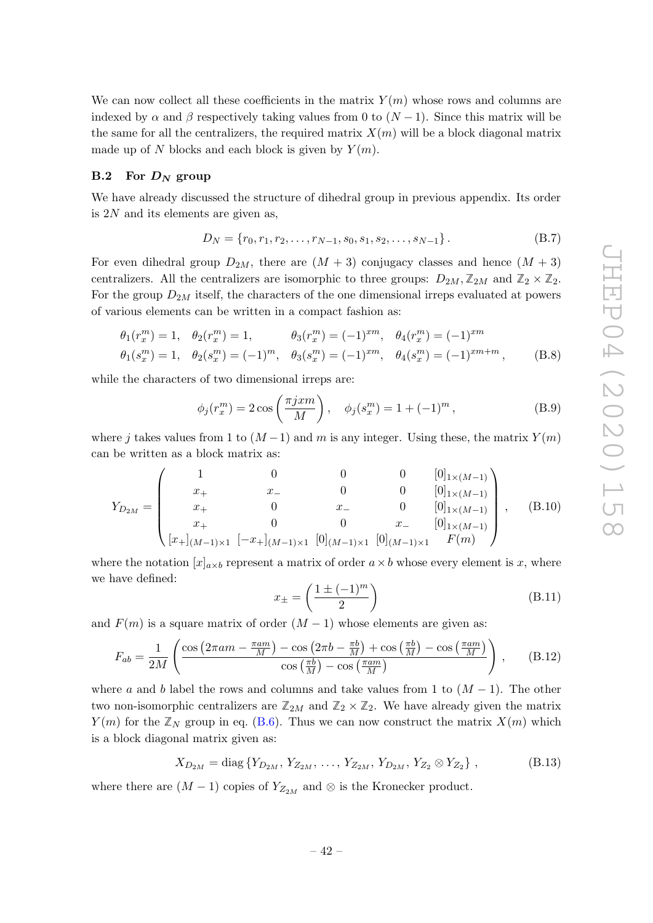We can now collect all these coefficients in the matrix  $Y(m)$  whose rows and columns are indexed by  $\alpha$  and  $\beta$  respectively taking values from 0 to  $(N-1)$ . Since this matrix will be the same for all the centralizers, the required matrix  $X(m)$  will be a block diagonal matrix made up of N blocks and each block is given by  $Y(m)$ .

#### <span id="page-43-0"></span> $\mathbf{B.2}$  $\bar{D}_N$  group

We have already discussed the structure of dihedral group in previous appendix. Its order is 2 N and its elements are given as,

$$
D_N = \{r_0, r_1, r_2, \dots, r_{N-1}, s_0, s_1, s_2, \dots, s_{N-1}\}.
$$
 (B.7)

For even dihedral group  $D_{2M}$ , there are  $(M+3)$  conjugacy classes and hence  $(M+3)$ centralizers. All the centralizers are isomorphic to three groups:  $D_{2M}$ ,  $\mathbb{Z}_{2M}$  and  $\mathbb{Z}_2 \times \mathbb{Z}_2$ . For the group  $D_{2M}$  itself, the characters of the one dimensional irreps evaluated at powers of various elements can be written in a compact fashion as:

$$
\theta_1(r_x^m) = 1, \quad \theta_2(r_x^m) = 1, \qquad \theta_3(r_x^m) = (-1)^{xm}, \quad \theta_4(r_x^m) = (-1)^{xm}
$$
  

$$
\theta_1(s_x^m) = 1, \quad \theta_2(s_x^m) = (-1)^m, \quad \theta_3(s_x^m) = (-1)^{xm}, \quad \theta_4(s_x^m) = (-1)^{xm+m}, \qquad (B.8)
$$

while the characters of two dimensional irreps are:

$$
\phi_j(r_x^m) = 2 \cos\left(\frac{\pi j x m}{M}\right), \quad \phi_j(s_x^m) = 1 + (-1)^m,
$$
\n(B.9)

where j takes values from 1 to  $(M-1)$  and m is any integer. Using these, the matrix  $Y(m)$ can be written as a block matrix as:

$$
Y_{D_{2M}} = \begin{pmatrix} 1 & 0 & 0 & 0 & [0]_{1 \times (M-1)} \\ x_+ & x_- & 0 & 0 & [0]_{1 \times (M-1)} \\ x_+ & 0 & x_- & 0 & [0]_{1 \times (M-1)} \\ x_+ & 0 & 0 & x_- & [0]_{1 \times (M-1)} \\ x_+ & 0 & 0 & x_- & [0]_{1 \times (M-1)} \\ [x_+]_{(M-1) \times 1} \ [ -x_+]_{(M-1) \times 1} \ [0]_{(M-1) \times 1} \ [0]_{(M-1) \times 1} \ F(m) \end{pmatrix}, \quad (B.10)
$$

where the notation  $[x]_{a \times b}$  represent a matrix of order  $a \times b$  whose every element is x, where we have defined:

$$
x_{\pm} = \left(\frac{1 \pm (-1)^m}{2}\right) \tag{B.11}
$$

and  $F(m)$  is a square matrix of order  $(M-1)$  whose elements are given as:

$$
F_{ab} = \frac{1}{2M} \left( \frac{\cos \left( 2\pi a m - \frac{\pi a m}{M} \right) - \cos \left( 2\pi b - \frac{\pi b}{M} \right) + \cos \left( \frac{\pi b}{M} \right) - \cos \left( \frac{\pi a m}{M} \right)}{\cos \left( \frac{\pi b}{M} \right) - \cos \left( \frac{\pi a m}{M} \right)} \right), \quad (B.12)
$$

where a and b label the rows and columns and take values from 1 to  $(M-1)$ . The other two non-isomorphic centralizers are  $\mathbb{Z}_{2M}$  and  $\mathbb{Z}_2 \times \mathbb{Z}_2$ . We have already given the matrix  $Y(m)$  for the  $\mathbb{Z}_N$  group in eq. [\(B.6\)](#page-42-2). Thus we can now construct the matrix  $X(m)$  which is a block diagonal matrix given as:

$$
X_{D_{2M}} = \text{diag}\{Y_{D_{2M}}, Y_{Z_{2M}}, \dots, Y_{Z_{2M}}, Y_{D_{2M}}, Y_{Z_2} \otimes Y_{Z_2}\},
$$
 (B.13)

where there are  $(M-1)$  copies of  $Y_{Z_{2M}}$  and  $\otimes$  is the Kronecker product.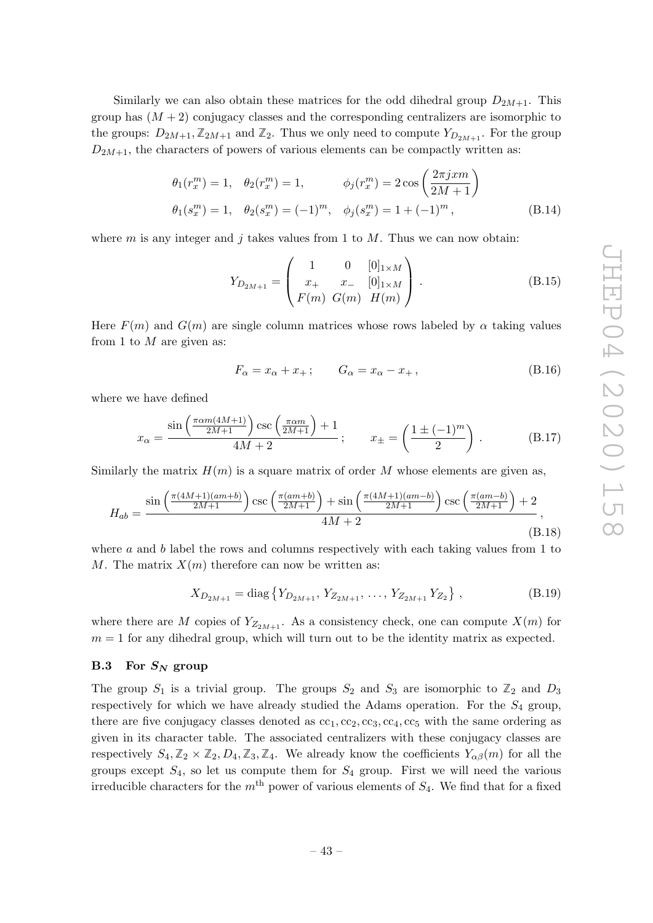Similarly we can also obtain these matrices for the odd dihedral group  $D_{2M+1}$ . This group has  $(M + 2)$  conjugacy classes and the corresponding centralizers are isomorphic to the groups:  $D_{2M+1}, \mathbb{Z}_{2M+1}$  and  $\mathbb{Z}_2$ . Thus we only need to compute  $Y_{D_{2M+1}}$ . For the group  $D_{2M+1}$ , the characters of powers of various elements can be compactly written as:

$$
\theta_1(r_x^m) = 1, \quad \theta_2(r_x^m) = 1, \qquad \phi_j(r_x^m) = 2\cos\left(\frac{2\pi j x m}{2M + 1}\right)
$$

$$
\theta_1(s_x^m) = 1, \quad \theta_2(s_x^m) = (-1)^m, \quad \phi_j(s_x^m) = 1 + (-1)^m,
$$
(B.14)

where  $m$  is any integer and  $j$  takes values from 1 to  $M$ . Thus we can now obtain:

$$
Y_{D_{2M+1}} = \begin{pmatrix} 1 & 0 & [0]_{1 \times M} \\ x_+ & x_- & [0]_{1 \times M} \\ F(m) & G(m) & H(m) \end{pmatrix} .
$$
 (B.15)

Here  $F(m)$  and  $G(m)$  are single column matrices whose rows labeled by  $\alpha$  taking values from 1 to  $M$  are given as:

$$
F_{\alpha} = x_{\alpha} + x_{+}; \qquad G_{\alpha} = x_{\alpha} - x_{+}, \tag{B.16}
$$

where we have defined

$$
x_{\alpha} = \frac{\sin\left(\frac{\pi \alpha m (4M+1)}{2M+1}\right) \csc\left(\frac{\pi \alpha m}{2M+1}\right) + 1}{4M+2}; \qquad x_{\pm} = \left(\frac{1 \pm (-1)^m}{2}\right). \tag{B.17}
$$

Similarly the matrix  $H(m)$  is a square matrix of order M whose elements are given as,

$$
H_{ab} = \frac{\sin\left(\frac{\pi(4M+1)(am+b)}{2M+1}\right)\csc\left(\frac{\pi(am+b)}{2M+1}\right) + \sin\left(\frac{\pi(4M+1)(am-b)}{2M+1}\right)\csc\left(\frac{\pi(am-b)}{2M+1}\right) + 2}{4M+2},
$$
\n(B.18)

where a and b label the rows and columns respectively with each taking values from 1 to M. The matrix  $X(m)$  therefore can now be written as:

$$
X_{D_{2M+1}} = \text{diag}\left\{ Y_{D_{2M+1}}, Y_{Z_{2M+1}}, \dots, Y_{Z_{2M+1}} Y_{Z_2} \right\},\tag{B.19}
$$

where there are M copies of  $Y_{Z_{2M+1}}$ . As a consistency check, one can compute  $X(m)$  for  $m = 1$  for any dihedral group, which will turn out to be the identity matrix as expected.

## <span id="page-44-0"></span> $B.3$  For  $S_N$  group

The group  $S_1$  is a trivial group. The groups  $S_2$  and  $S_3$  are isomorphic to  $\mathbb{Z}_2$  and  $D_3$ respectively for which we have already studied the Adams operation. For the  $S_4$  group, there are five conjugacy classes denoted as  $cc_1$ ,  $cc_2$ ,  $cc_3$ ,  $cc_4$ ,  $cc_5$  with the same ordering as given in its character table. The associated centralizers with these conjugacy classes are respectively  $S_4, \mathbb{Z}_2 \times \mathbb{Z}_2, D_4, \mathbb{Z}_3, \mathbb{Z}_4$ . We already know the coefficients  $Y_{\alpha\beta}(m)$  for all the groups except  $S_4$ , so let us compute them for  $S_4$  group. First we will need the various irreducible characters for the  $m<sup>th</sup>$  power of various elements of  $S_4$ . We find that for a fixed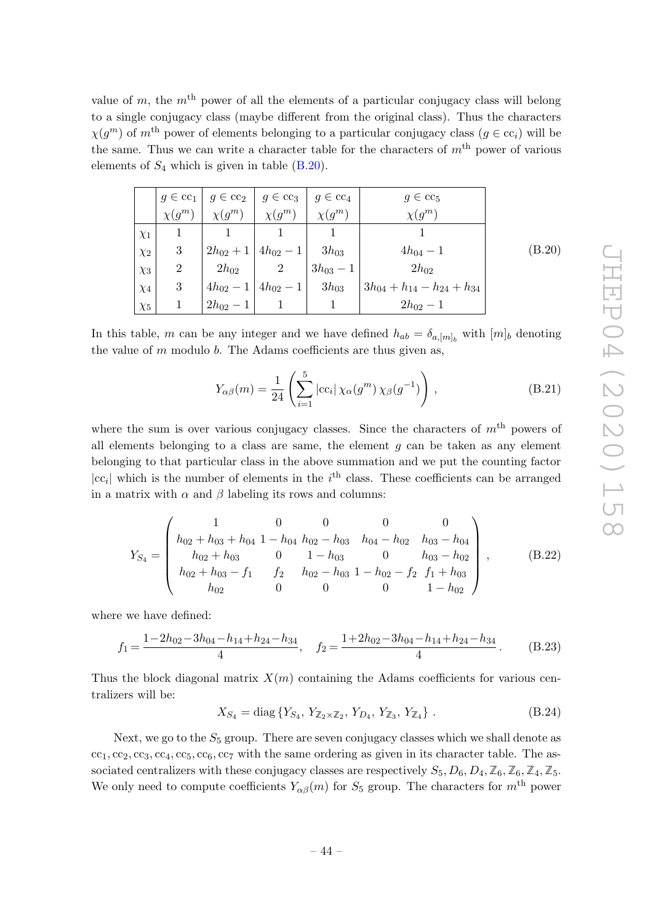value of m, the  $m<sup>th</sup>$  power of all the elements of a particular conjugacy class will belong to a single conjugacy class (maybe different from the original class). Thus the characters  $\chi(g^m)$  of m<sup>th</sup> power of elements belonging to a particular conjugacy class ( $g \in cc_i$ ) will be the same. Thus we can write a character table for the characters of  $m<sup>th</sup>$  power of various elements of  $S_4$  which is given in table  $(B.20)$ .

<span id="page-45-0"></span>

|          |                |               | $g \in \text{cc}_1 \mid g \in \text{cc}_2 \mid g \in \text{cc}_3$ | $g \in \text{cc}_4$ | $g \in \text{cc}_5$                  |        |
|----------|----------------|---------------|-------------------------------------------------------------------|---------------------|--------------------------------------|--------|
|          | $\chi(g^m)$    | $\chi(g^m)$   | $\chi(g^m)$                                                       | $\chi(g^m)$         | $\chi(g^m)$                          |        |
| $\chi_1$ |                |               |                                                                   |                     |                                      |        |
| $\chi_2$ | 3              |               | $2h_{02}+1 4h_{02}-1 $                                            | $-3h_{03}$          | $4h_{04} - 1$                        | (B.20) |
| $\chi_3$ | $\overline{2}$ | $2h_{02}$     | $\overline{2}$                                                    | $3h_{03}-1$         | $2h_{02}$                            |        |
| $\chi_4$ | 3              |               | $4h_{02} - 1 \mid 4h_{02} - 1 \mid$                               | $1 - 3h_{03}$       | $3h_{04} + h_{14} - h_{24} + h_{34}$ |        |
| $\chi_5$ |                | $2h_{02} - 1$ |                                                                   |                     | $2h_{02} - 1$                        |        |

In this table, m can be any integer and we have defined  $h_{ab} = \delta_{a,[m]_b}$  with  $[m]_b$  denoting the value of  $m$  modulo  $b$ . The Adams coefficients are thus given as,

$$
Y_{\alpha\beta}(m) = \frac{1}{24} \left( \sum_{i=1}^{5} |cc_i| \chi_{\alpha}(g^m) \chi_{\beta}(g^{-1}) \right), \qquad (B.21)
$$

where the sum is over various conjugacy classes. Since the characters of  $m<sup>th</sup>$  powers of all elements belonging to a class are same, the element  $g$  can be taken as any element belonging to that particular class in the above summation and we put the counting factor  $|cc_i|$  which is the number of elements in the i<sup>th</sup> class. These coefficients can be arranged in a matrix with  $\alpha$  and  $\beta$  labeling its rows and columns:

$$
Y_{S_4} = \begin{pmatrix} 1 & 0 & 0 & 0 & 0 \\ h_{02} + h_{03} + h_{04} & 1 - h_{04} & h_{02} - h_{03} & h_{04} - h_{02} & h_{03} - h_{04} \\ h_{02} + h_{03} & 0 & 1 - h_{03} & 0 & h_{03} - h_{02} \\ h_{02} + h_{03} - f_1 & f_2 & h_{02} - h_{03} & 1 - h_{02} - f_2 & f_1 + h_{03} \\ h_{02} & 0 & 0 & 0 & 1 - h_{02} \end{pmatrix},
$$
 (B.22)

where we have defined:

$$
f_1 = \frac{1 - 2h_{02} - 3h_{04} - h_{14} + h_{24} - h_{34}}{4}, \quad f_2 = \frac{1 + 2h_{02} - 3h_{04} - h_{14} + h_{24} - h_{34}}{4}.
$$
 (B.23)

Thus the block diagonal matrix  $X(m)$  containing the Adams coefficients for various centralizers will be:

$$
X_{S_4} = \text{diag}\{Y_{S_4}, Y_{\mathbb{Z}_2 \times \mathbb{Z}_2}, Y_{D_4}, Y_{\mathbb{Z}_3}, Y_{\mathbb{Z}_4}\}.
$$
 (B.24)

Next, we go to the  $S_5$  group. There are seven conjugacy classes which we shall denote as  $cc_1$ ,  $cc_2$ ,  $cc_3$ ,  $cc_4$ ,  $cc_5$ ,  $cc_6$ ,  $cc_7$  with the same ordering as given in its character table. The associated centralizers with these conjugacy classes are respectively  $S_5$ ,  $D_6$ ,  $D_4$ ,  $\mathbb{Z}_6$ ,  $\mathbb{Z}_4$ ,  $\mathbb{Z}_5$ . We only need to compute coefficients  $Y_{\alpha\beta}(m)$  for  $S_5$  group. The characters for  $m<sup>th</sup>$  power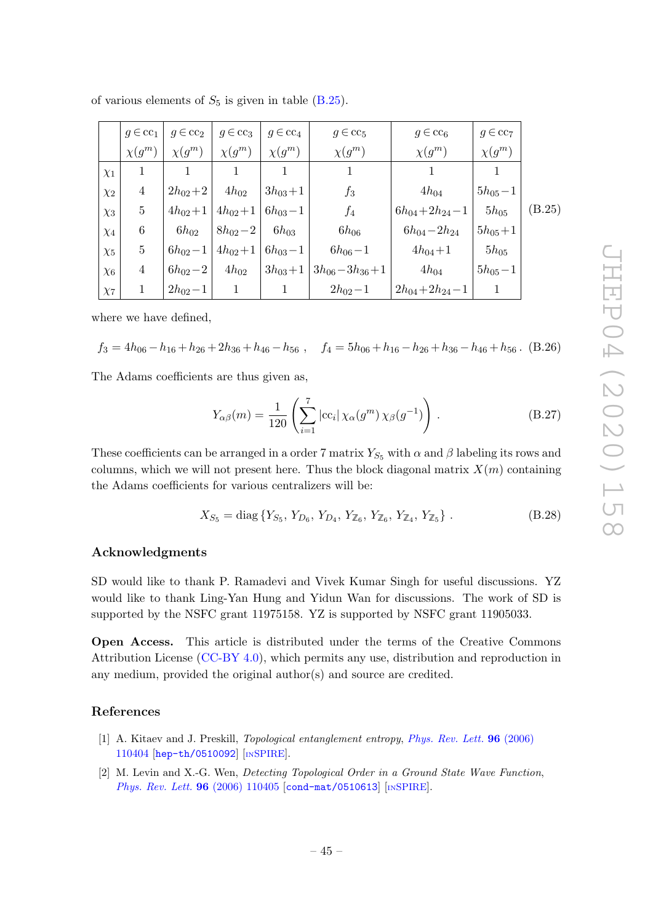| of various elements of $S_5$ is given in table (B.25). |  |  |  |
|--------------------------------------------------------|--|--|--|
|--------------------------------------------------------|--|--|--|

<span id="page-46-1"></span>

|          | $q \in \mathrm{cc}_1$ | $g \in cc_2$ | $g \in cc_3$ | $g \in \mathrm{cc}_4$ | $g \in \text{cc}_5$ | $g \in \text{cc}_6$     | $g \in cc7$ |        |
|----------|-----------------------|--------------|--------------|-----------------------|---------------------|-------------------------|-------------|--------|
|          | $\chi(g^m)$           | $\chi(g^m)$  | $\chi(g^m)$  | $\chi(g^m)$           | $\chi(g^m)$         | $\chi(g^m)$             | $\chi(g^m)$ |        |
| $\chi_1$ | 1                     |              |              |                       |                     |                         |             |        |
| $\chi_2$ | $\overline{4}$        | $2h_{02}+2$  | $4h_{02}$    | $3h_{03}+1$           | $f_3$               | $4h_{04}$               | $5h_{05}-1$ |        |
| $\chi_3$ | $\overline{5}$        | $4h_{02}+1$  | $4h_{02}+1$  | $\mid 6h_{03}-1$      | $f_4$               | $6h_{04} + 2h_{24} - 1$ | $5h_{05}$   | (B.25) |
| $\chi_4$ | $6\phantom{.}6$       | $6h_{02}$    | $8h_{02}-2$  | $6h_{03}$             | $6h_{06}$           | $6h_{04}-2h_{24}$       | $5h_{05}+1$ |        |
| $\chi_5$ | $\overline{5}$        | $6h_{02}-1$  | $4h_{02}+1$  | $6h_{03}-1$           | $6h_{06}-1$         | $4h_{04}+1$             | $5h_{05}$   |        |
| $\chi_6$ | $\overline{4}$        | $6h_{02}-2$  | $4h_{02}$    | $3h_{03}+1$           | $3h_{06}-3h_{36}+1$ | $4h_{04}$               | $5h_{05}-1$ |        |
| $\chi_7$ |                       | $2h_{02}-1$  |              |                       | $2h_{02}-1$         | $2h_{04} + 2h_{24} - 1$ |             |        |

where we have defined,

$$
f_3 = 4h_{06} - h_{16} + h_{26} + 2h_{36} + h_{46} - h_{56} , \quad f_4 = 5h_{06} + h_{16} - h_{26} + h_{36} - h_{46} + h_{56} .
$$
 (B.26)

The Adams coefficients are thus given as,

$$
Y_{\alpha\beta}(m) = \frac{1}{120} \left( \sum_{i=1}^{7} |cc_i| \chi_{\alpha}(g^m) \chi_{\beta}(g^{-1}) \right).
$$
 (B.27)

These coefficients can be arranged in a order 7 matrix  $Y_{S_5}$  with  $\alpha$  and  $\beta$  labeling its rows and columns, which we will not present here. Thus the block diagonal matrix  $X(m)$  containing the Adams coefficients for various centralizers will be:

$$
X_{S_5} = \text{diag}\{Y_{S_5}, Y_{D_6}, Y_{D_4}, Y_{\mathbb{Z}_6}, Y_{\mathbb{Z}_6}, Y_{\mathbb{Z}_4}, Y_{\mathbb{Z}_5}\}.
$$
 (B.28)

#### Acknowledgments

SD would like to thank P. Ramadevi and Vivek Kumar Singh for useful discussions. YZ would like to thank Ling-Yan Hung and Yidun Wan for discussions. The work of SD is supported by the NSFC grant 11975158. YZ is supported by NSFC grant 11905033.

Open Access. This article is distributed under the terms of the Creative Commons Attribution License [\(CC-BY 4.0\)](https://creativecommons.org/licenses/by/4.0/), which permits any use, distribution and reproduction in any medium, provided the original author(s) and source are credited.

#### References

- <span id="page-46-0"></span>[1] A. Kitaev and J. Preskill, *Topological entanglement entropy* , *[Phys. Rev. Lett.](https://doi.org/10.1103/PhysRevLett.96.110404)* 96 (2006) [110404](https://doi.org/10.1103/PhysRevLett.96.110404) [[hep-th/0510092](https://arxiv.org/abs/hep-th/0510092)] [IN[SPIRE](https://inspirehep.net/search?p=find+EPRINT+hep-th/0510092)].
- [2] M. Levin and X.-G. Wen, *Detecting Topological Order in a Ground State Wave Function* , [Phys. Rev. Lett.](https://doi.org/10.1103/PhysRevLett.96.110405) **96** (2006) 110405 [[cond-mat/0510613](https://arxiv.org/abs/cond-mat/0510613)] [IN[SPIRE](https://inspirehep.net/search?p=find+J+%22Phys.Rev.Lett.,96,110405%22)].